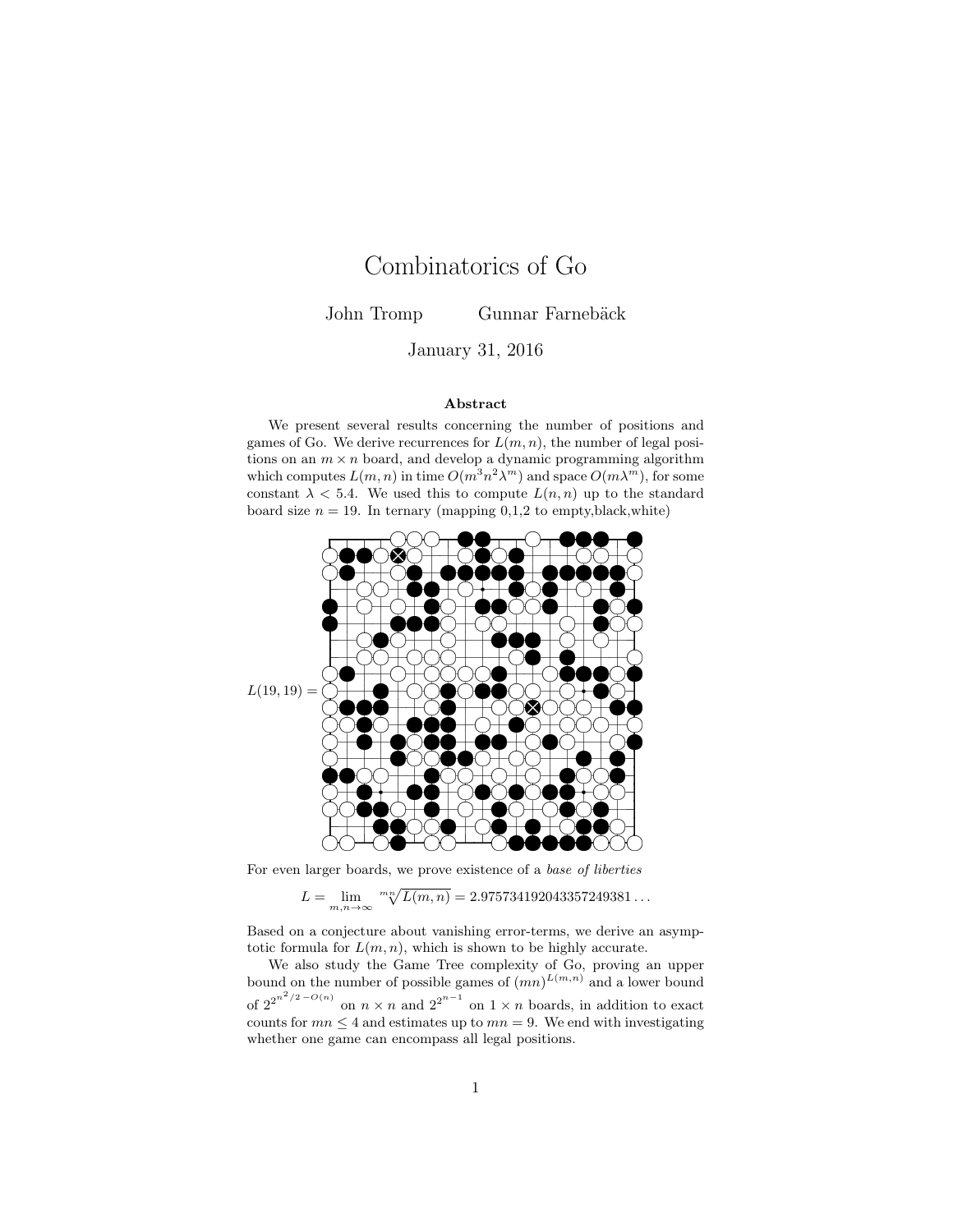# Combinatorics of Go

John Tromp Gunnar Farnebäck

January 31, 2016

#### Abstract

We present several results concerning the number of positions and games of Go. We derive recurrences for  $L(m, n)$ , the number of legal positions on an  $m \times n$  board, and develop a dynamic programming algorithm which computes  $L(m, n)$  in time  $O(m^3 n^2 \lambda^m)$  and space  $O(m \lambda^m)$ , for some constant  $\lambda$  < 5.4. We used this to compute  $L(n, n)$  up to the standard board size  $n = 19$ . In ternary (mapping 0,1,2 to empty, black, white)



For even larger boards, we prove existence of a base of liberties

$$
L = \lim_{m,n \to \infty} {}^{m} \sqrt[n]{L(m,n)} = 2.975734192043357249381...
$$

Based on a conjecture about vanishing error-terms, we derive an asymptotic formula for  $L(m, n)$ , which is shown to be highly accurate.

We also study the Game Tree complexity of Go, proving an upper bound on the number of possible games of  $(mn)^{L(m,n)}$  and a lower bound of  $2^{2^{n^2/2 - O(n)}}$  on  $n \times n$  and  $2^{2^{n-1}}$  on  $1 \times n$  boards, in addition to exact counts for  $mn \leq 4$  and estimates up to  $mn = 9$ . We end with investigating whether one game can encompass all legal positions.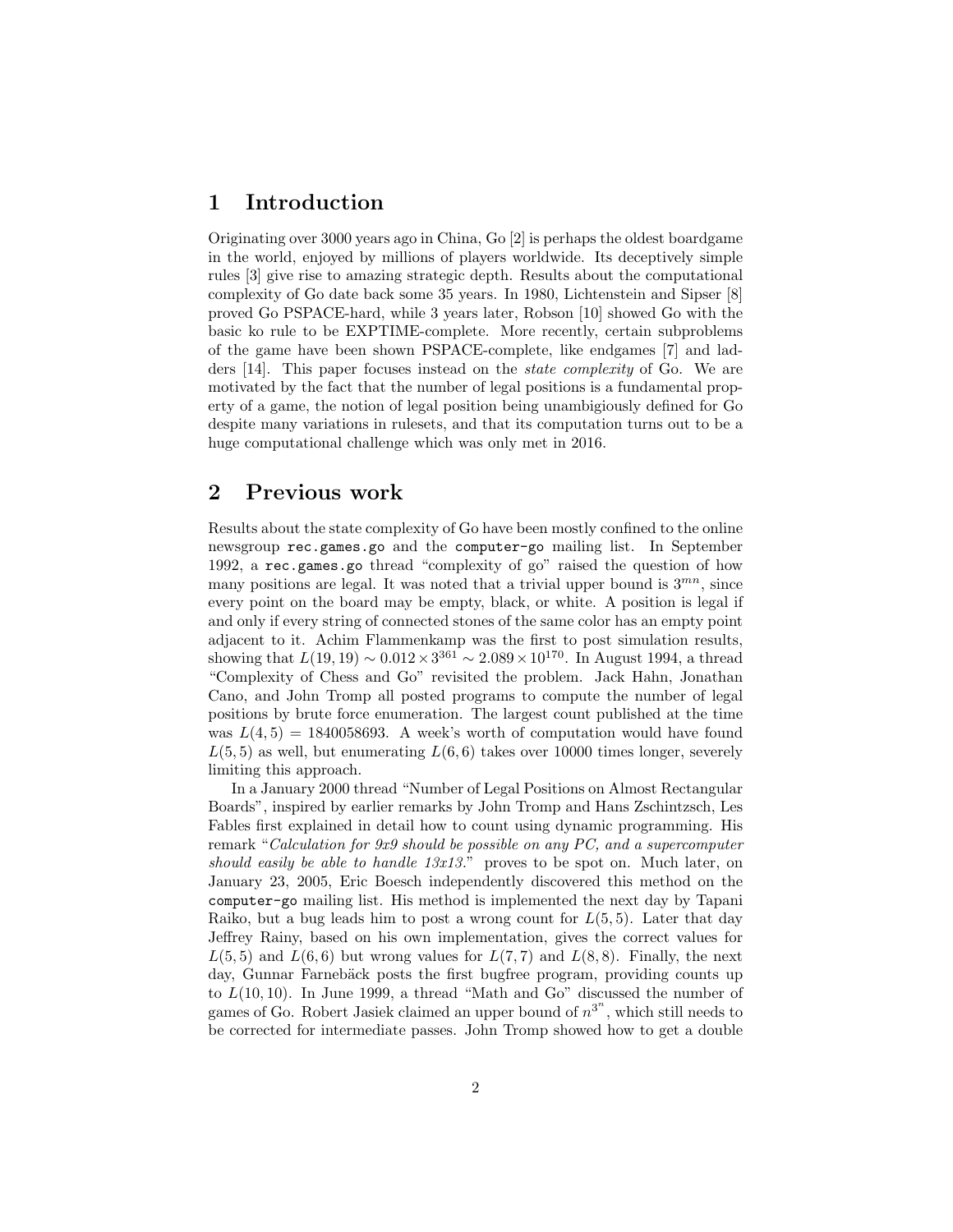# 1 Introduction

Originating over 3000 years ago in China, Go [2] is perhaps the oldest boardgame in the world, enjoyed by millions of players worldwide. Its deceptively simple rules [3] give rise to amazing strategic depth. Results about the computational complexity of Go date back some 35 years. In 1980, Lichtenstein and Sipser [8] proved Go PSPACE-hard, while 3 years later, Robson [10] showed Go with the basic ko rule to be EXPTIME-complete. More recently, certain subproblems of the game have been shown PSPACE-complete, like endgames [7] and ladders [14]. This paper focuses instead on the state complexity of Go. We are motivated by the fact that the number of legal positions is a fundamental property of a game, the notion of legal position being unambigiously defined for Go despite many variations in rulesets, and that its computation turns out to be a huge computational challenge which was only met in 2016.

# 2 Previous work

Results about the state complexity of Go have been mostly confined to the online newsgroup rec.games.go and the computer-go mailing list. In September 1992, a rec.games.go thread "complexity of go" raised the question of how many positions are legal. It was noted that a trivial upper bound is  $3^{mn}$ , since every point on the board may be empty, black, or white. A position is legal if and only if every string of connected stones of the same color has an empty point adjacent to it. Achim Flammenkamp was the first to post simulation results, showing that  $L(19, 19) \sim 0.012 \times 3^{361} \sim 2.089 \times 10^{170}$ . In August 1994, a thread "Complexity of Chess and Go" revisited the problem. Jack Hahn, Jonathan Cano, and John Tromp all posted programs to compute the number of legal positions by brute force enumeration. The largest count published at the time was  $L(4, 5) = 1840058693$ . A week's worth of computation would have found  $L(5, 5)$  as well, but enumerating  $L(6, 6)$  takes over 10000 times longer, severely limiting this approach.

In a January 2000 thread "Number of Legal Positions on Almost Rectangular Boards", inspired by earlier remarks by John Tromp and Hans Zschintzsch, Les Fables first explained in detail how to count using dynamic programming. His remark "Calculation for 9x9 should be possible on any PC, and a supercomputer should easily be able to handle 13x13." proves to be spot on. Much later, on January 23, 2005, Eric Boesch independently discovered this method on the computer-go mailing list. His method is implemented the next day by Tapani Raiko, but a bug leads him to post a wrong count for  $L(5, 5)$ . Later that day Jeffrey Rainy, based on his own implementation, gives the correct values for  $L(5, 5)$  and  $L(6, 6)$  but wrong values for  $L(7, 7)$  and  $L(8, 8)$ . Finally, the next day, Gunnar Farnebäck posts the first bugfree program, providing counts up to  $L(10, 10)$ . In June 1999, a thread "Math and Go" discussed the number of games of Go. Robert Jasiek claimed an upper bound of  $n^{3^n}$ , which still needs to be corrected for intermediate passes. John Tromp showed how to get a double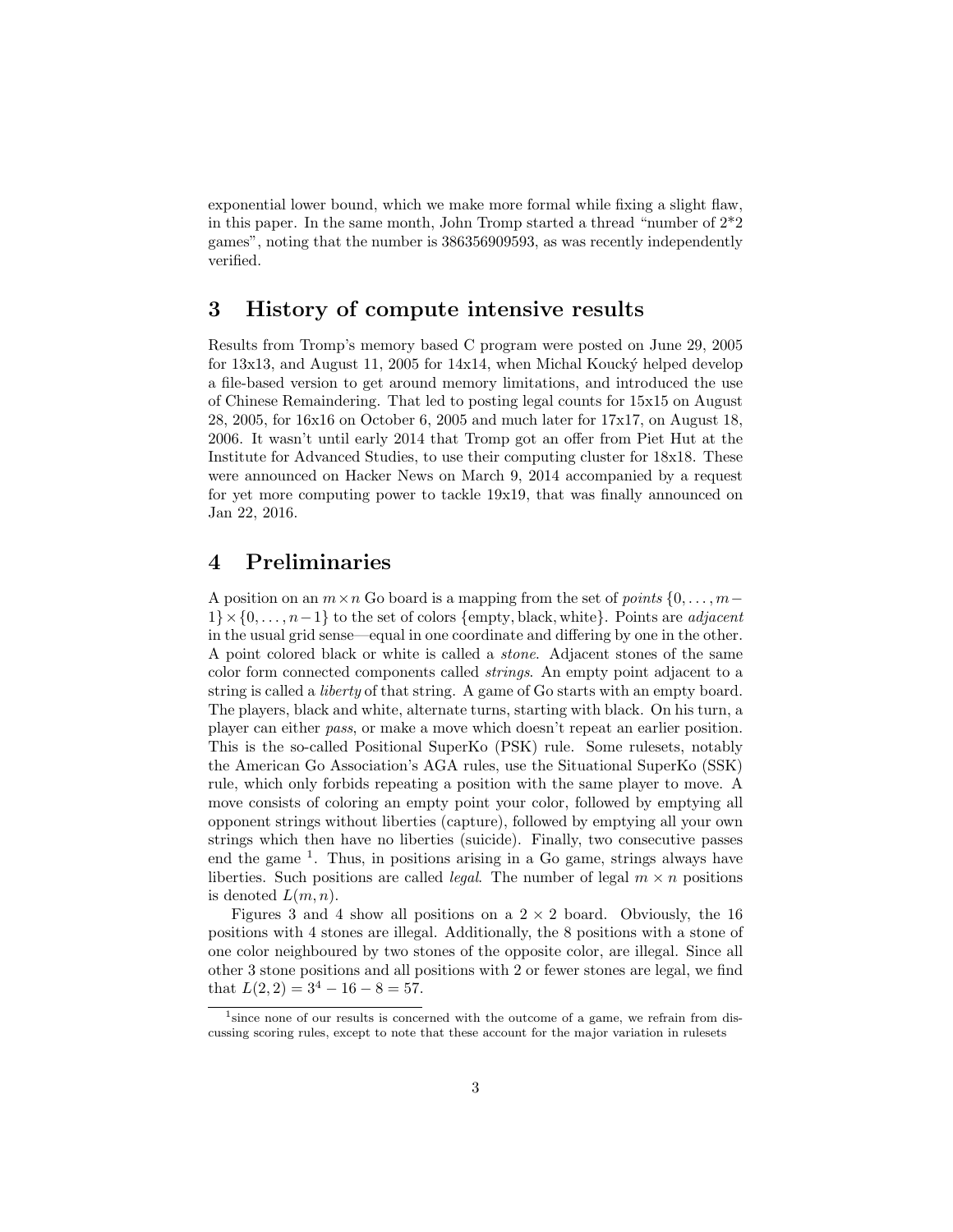exponential lower bound, which we make more formal while fixing a slight flaw, in this paper. In the same month, John Tromp started a thread "number of 2\*2 games", noting that the number is 386356909593, as was recently independently verified.

# 3 History of compute intensive results

Results from Tromp's memory based C program were posted on June 29, 2005 for  $13x13$ , and August 11, 2005 for  $14x14$ , when Michal Koucký helped develop a file-based version to get around memory limitations, and introduced the use of Chinese Remaindering. That led to posting legal counts for 15x15 on August 28, 2005, for 16x16 on October 6, 2005 and much later for 17x17, on August 18, 2006. It wasn't until early 2014 that Tromp got an offer from Piet Hut at the Institute for Advanced Studies, to use their computing cluster for 18x18. These were announced on Hacker News on March 9, 2014 accompanied by a request for yet more computing power to tackle 19x19, that was finally announced on Jan 22, 2016.

# 4 Preliminaries

A position on an  $m \times n$  Go board is a mapping from the set of *points*  $\{0, \ldots, m-\}$  $1\} \times \{0, \ldots, n-1\}$  to the set of colors {empty, black, white}. Points are *adjacent* in the usual grid sense—equal in one coordinate and differing by one in the other. A point colored black or white is called a stone. Adjacent stones of the same color form connected components called strings. An empty point adjacent to a string is called a liberty of that string. A game of Go starts with an empty board. The players, black and white, alternate turns, starting with black. On his turn, a player can either pass, or make a move which doesn't repeat an earlier position. This is the so-called Positional SuperKo (PSK) rule. Some rulesets, notably the American Go Association's AGA rules, use the Situational SuperKo (SSK) rule, which only forbids repeating a position with the same player to move. A move consists of coloring an empty point your color, followed by emptying all opponent strings without liberties (capture), followed by emptying all your own strings which then have no liberties (suicide). Finally, two consecutive passes end the game <sup>1</sup>. Thus, in positions arising in a Go game, strings always have liberties. Such positions are called *legal*. The number of legal  $m \times n$  positions is denoted  $L(m, n)$ .

Figures 3 and 4 show all positions on a  $2 \times 2$  board. Obviously, the 16 positions with 4 stones are illegal. Additionally, the 8 positions with a stone of one color neighboured by two stones of the opposite color, are illegal. Since all other 3 stone positions and all positions with 2 or fewer stones are legal, we find that  $L(2, 2) = 3^4 - 16 - 8 = 57$ .

<sup>&</sup>lt;sup>1</sup> since none of our results is concerned with the outcome of a game, we refrain from discussing scoring rules, except to note that these account for the major variation in rulesets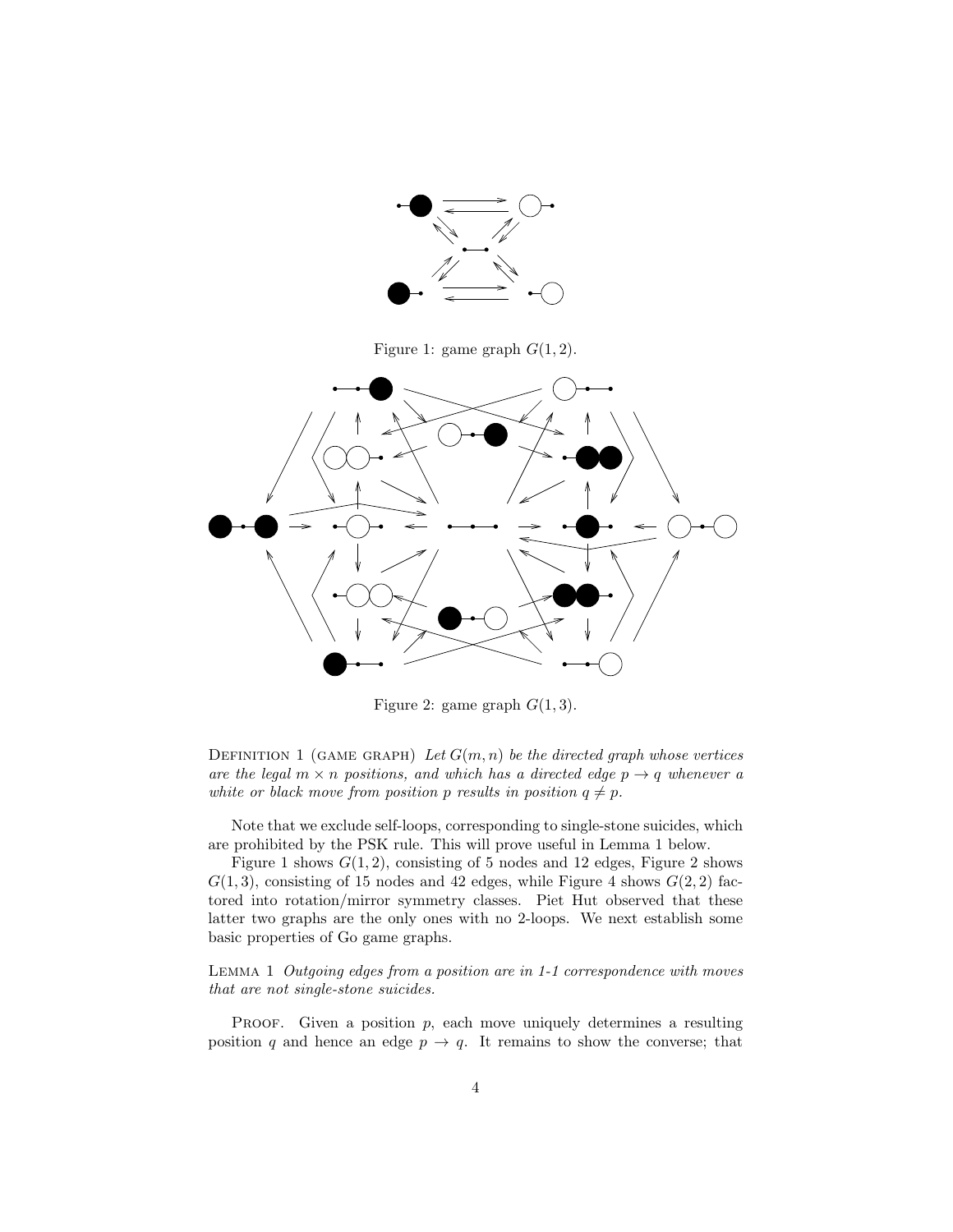

Figure 1: game graph  $G(1, 2)$ .



Figure 2: game graph  $G(1,3)$ .

DEFINITION 1 (GAME GRAPH) Let  $G(m, n)$  be the directed graph whose vertices are the legal  $m \times n$  positions, and which has a directed edge  $p \rightarrow q$  whenever a white or black move from position p results in position  $q \neq p$ .

Note that we exclude self-loops, corresponding to single-stone suicides, which are prohibited by the PSK rule. This will prove useful in Lemma 1 below.

Figure 1 shows  $G(1, 2)$ , consisting of 5 nodes and 12 edges, Figure 2 shows  $G(1,3)$ , consisting of 15 nodes and 42 edges, while Figure 4 shows  $G(2,2)$  factored into rotation/mirror symmetry classes. Piet Hut observed that these latter two graphs are the only ones with no 2-loops. We next establish some basic properties of Go game graphs.

Lemma 1 Outgoing edges from a position are in 1-1 correspondence with moves that are not single-stone suicides.

**PROOF.** Given a position  $p$ , each move uniquely determines a resulting position q and hence an edge  $p \to q$ . It remains to show the converse; that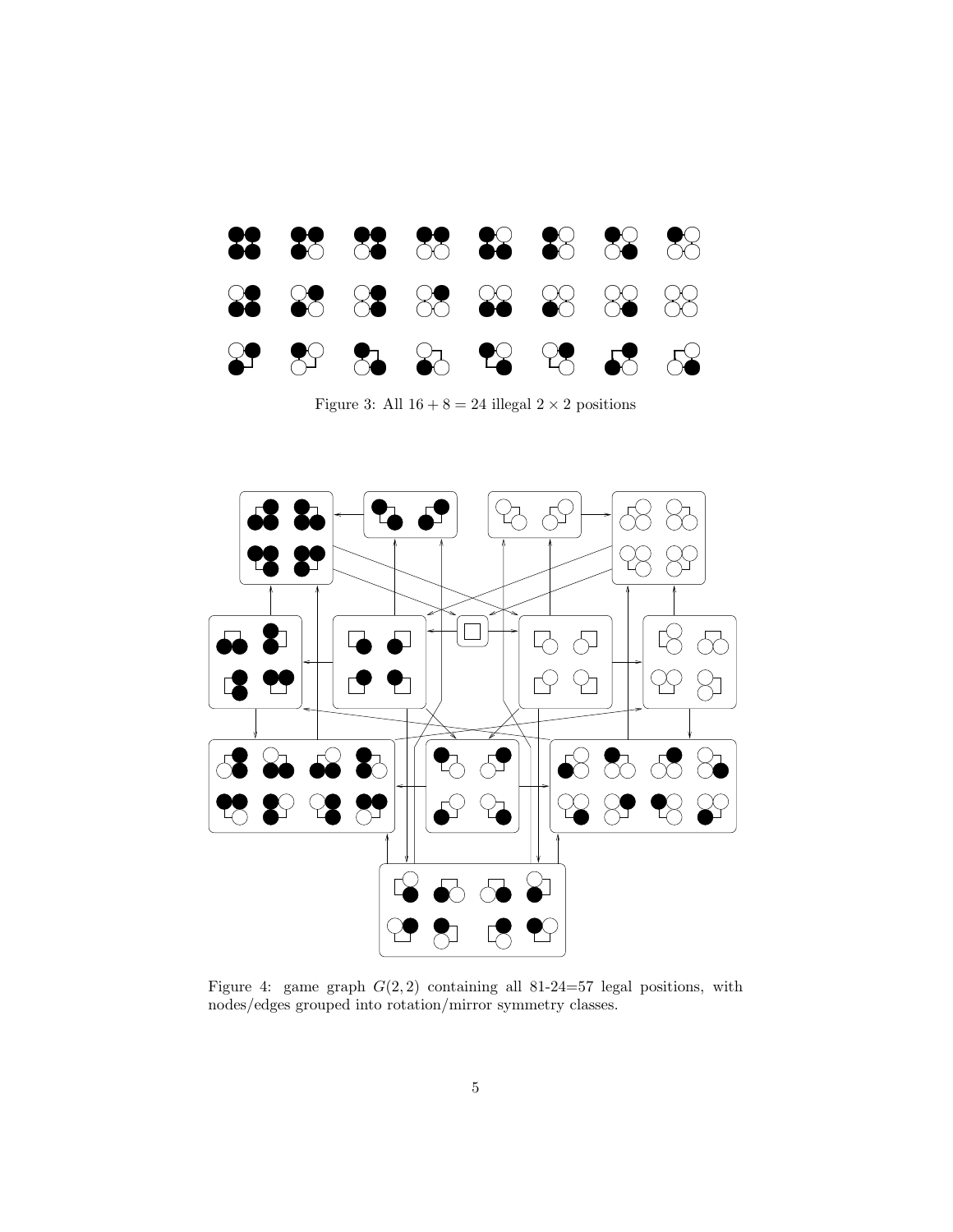

Figure 3: All  $16 + 8 = 24$  illegal  $2 \times 2$  positions



Figure 4: game graph  $G(2,2)$  containing all 81-24=57 legal positions, with nodes/edges grouped into rotation/mirror symmetry classes.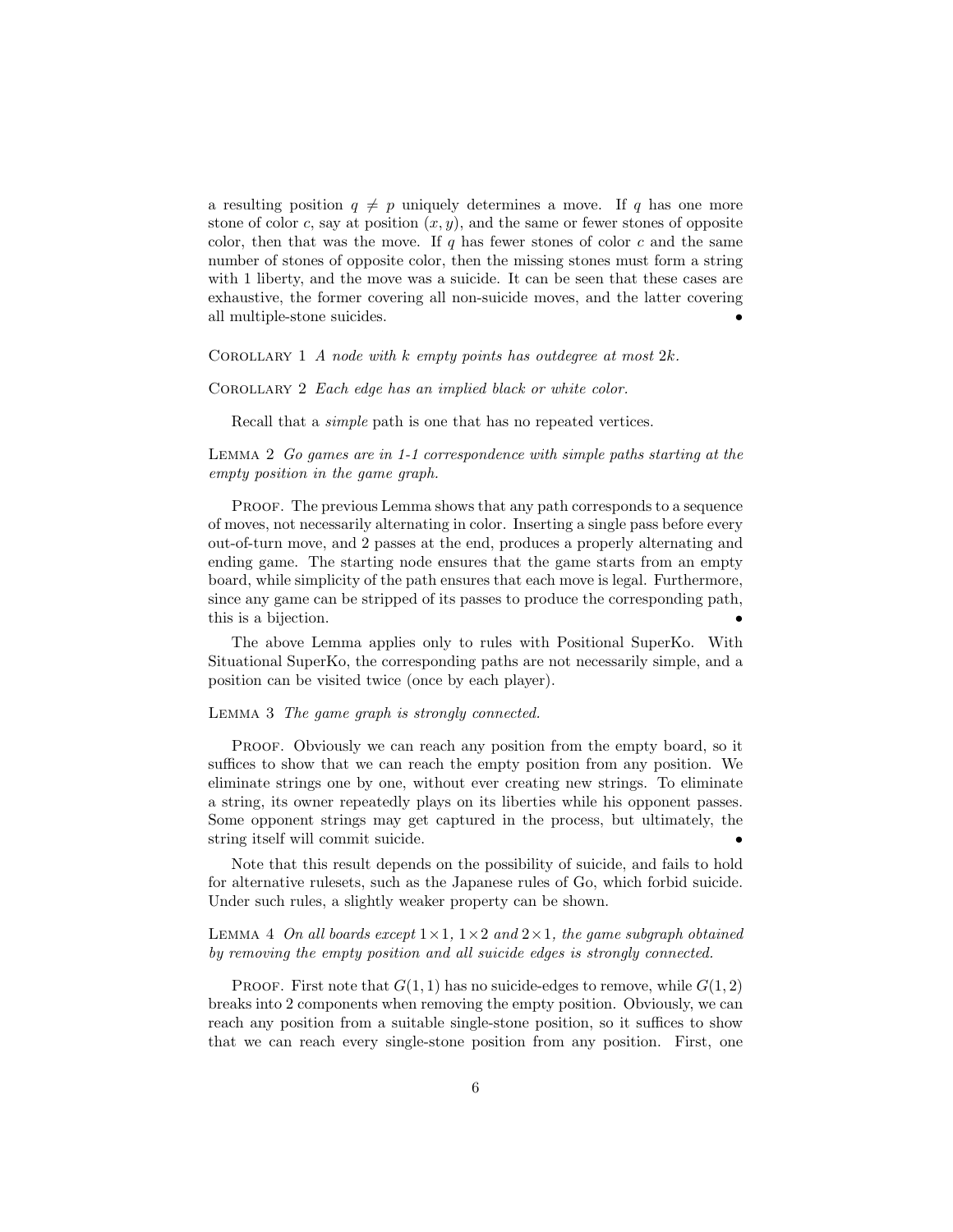a resulting position  $q \neq p$  uniquely determines a move. If q has one more stone of color c, say at position  $(x, y)$ , and the same or fewer stones of opposite color, then that was the move. If q has fewer stones of color c and the same number of stones of opposite color, then the missing stones must form a string with 1 liberty, and the move was a suicide. It can be seen that these cases are exhaustive, the former covering all non-suicide moves, and the latter covering all multiple-stone suicides. •

COROLLARY 1 A node with k empty points has outdegree at most  $2k$ .

COROLLARY 2 Each edge has an implied black or white color.

Recall that a *simple* path is one that has no repeated vertices.

Lemma 2 Go games are in 1-1 correspondence with simple paths starting at the empty position in the game graph.

PROOF. The previous Lemma shows that any path corresponds to a sequence of moves, not necessarily alternating in color. Inserting a single pass before every out-of-turn move, and 2 passes at the end, produces a properly alternating and ending game. The starting node ensures that the game starts from an empty board, while simplicity of the path ensures that each move is legal. Furthermore, since any game can be stripped of its passes to produce the corresponding path, this is a bijection.

The above Lemma applies only to rules with Positional SuperKo. With Situational SuperKo, the corresponding paths are not necessarily simple, and a position can be visited twice (once by each player).

#### LEMMA 3 The game graph is strongly connected.

PROOF. Obviously we can reach any position from the empty board, so it suffices to show that we can reach the empty position from any position. We eliminate strings one by one, without ever creating new strings. To eliminate a string, its owner repeatedly plays on its liberties while his opponent passes. Some opponent strings may get captured in the process, but ultimately, the string itself will commit suicide. •

Note that this result depends on the possibility of suicide, and fails to hold for alternative rulesets, such as the Japanese rules of Go, which forbid suicide. Under such rules, a slightly weaker property can be shown.

LEMMA 4 On all boards except  $1 \times 1$ ,  $1 \times 2$  and  $2 \times 1$ , the game subgraph obtained by removing the empty position and all suicide edges is strongly connected.

PROOF. First note that  $G(1,1)$  has no suicide-edges to remove, while  $G(1,2)$ breaks into 2 components when removing the empty position. Obviously, we can reach any position from a suitable single-stone position, so it suffices to show that we can reach every single-stone position from any position. First, one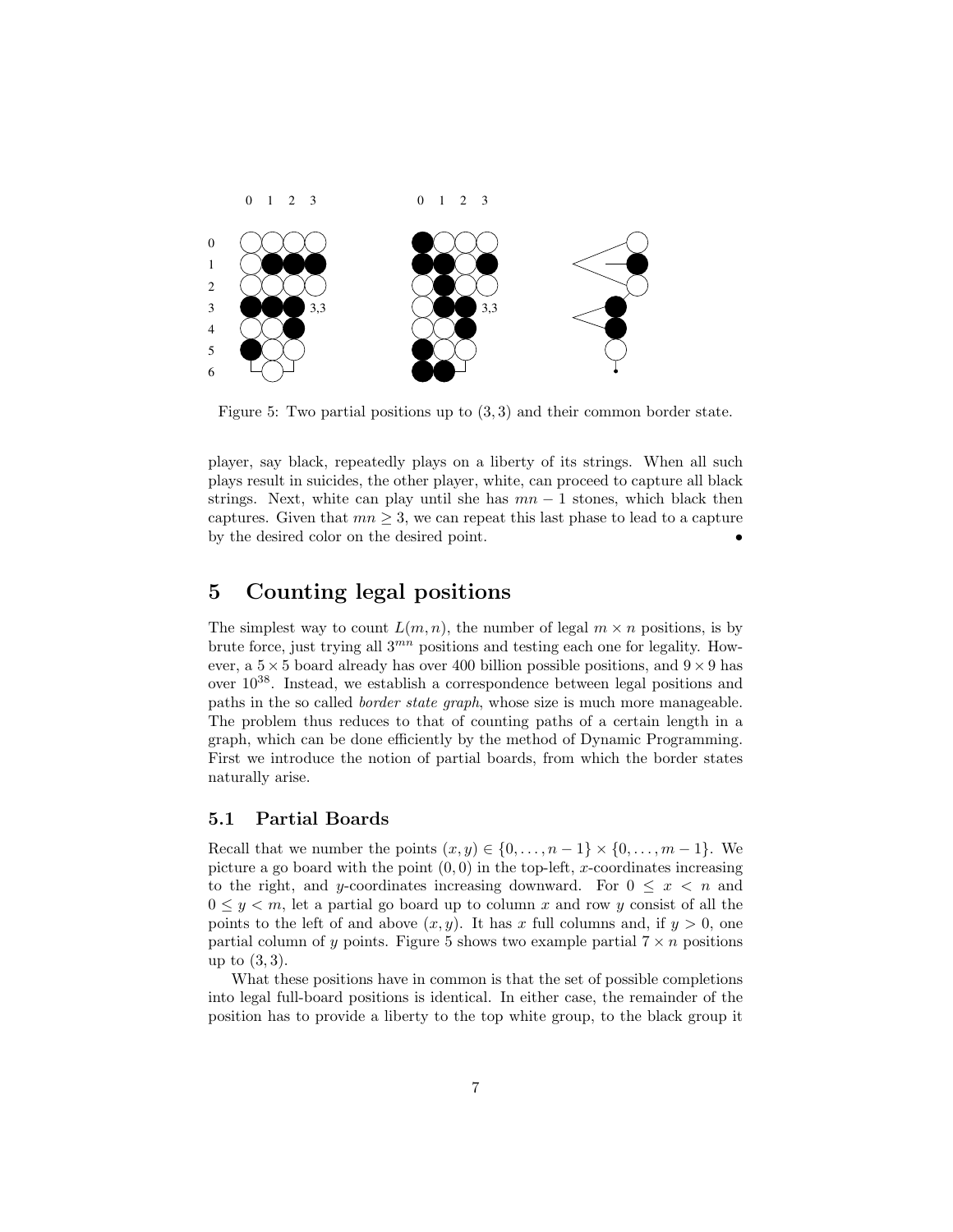

Figure 5: Two partial positions up to (3, 3) and their common border state.

player, say black, repeatedly plays on a liberty of its strings. When all such plays result in suicides, the other player, white, can proceed to capture all black strings. Next, white can play until she has  $mn - 1$  stones, which black then captures. Given that  $mn \geq 3$ , we can repeat this last phase to lead to a capture by the desired color on the desired point. •

# 5 Counting legal positions

The simplest way to count  $L(m, n)$ , the number of legal  $m \times n$  positions, is by brute force, just trying all  $3^{mn}$  positions and testing each one for legality. However, a  $5 \times 5$  board already has over 400 billion possible positions, and  $9 \times 9$  has over 1038. Instead, we establish a correspondence between legal positions and paths in the so called border state graph, whose size is much more manageable. The problem thus reduces to that of counting paths of a certain length in a graph, which can be done efficiently by the method of Dynamic Programming. First we introduce the notion of partial boards, from which the border states naturally arise.

### 5.1 Partial Boards

Recall that we number the points  $(x, y) \in \{0, \ldots, n-1\} \times \{0, \ldots, m-1\}$ . We picture a go board with the point  $(0, 0)$  in the top-left, x-coordinates increasing to the right, and y-coordinates increasing downward. For  $0 \leq x \leq n$  and  $0 \leq y \leq m$ , let a partial go board up to column x and row y consist of all the points to the left of and above  $(x, y)$ . It has x full columns and, if  $y > 0$ , one partial column of y points. Figure 5 shows two example partial  $7 \times n$  positions up to (3, 3).

What these positions have in common is that the set of possible completions into legal full-board positions is identical. In either case, the remainder of the position has to provide a liberty to the top white group, to the black group it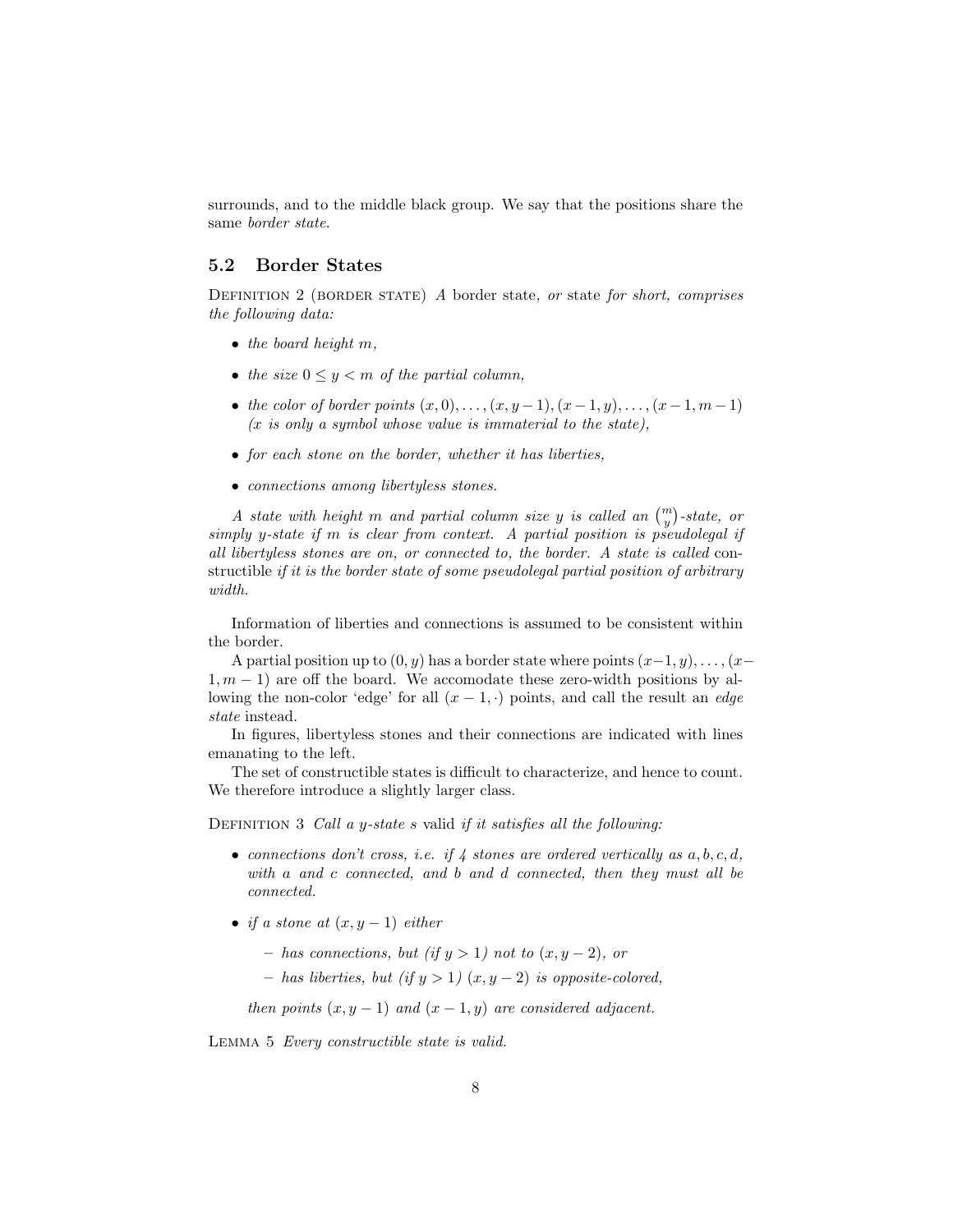surrounds, and to the middle black group. We say that the positions share the same border state.

### 5.2 Border States

DEFINITION 2 (BORDER STATE) A border state, or state for short, comprises the following data:

- $\bullet$  the board height m,
- the size  $0 \leq y \leq m$  of the partial column,
- the color of border points  $(x, 0), \ldots, (x, y 1), (x 1, y), \ldots, (x 1, m 1)$  $(x \text{ is only a symbol whose value is immaterial to the state}),$
- for each stone on the border, whether it has liberties,
- connections among libertyless stones.

A state with height m and partial column size y is called an  $\binom{m}{y}$ -state, or simply y-state if m is clear from context. A partial position is pseudolegal if all libertyless stones are on, or connected to, the border. A state is called constructible if it is the border state of some pseudolegal partial position of arbitrary width.

Information of liberties and connections is assumed to be consistent within the border.

A partial position up to  $(0, y)$  has a border state where points  $(x-1, y), \ldots, (x-1, y)$  $1, m - 1$ ) are off the board. We accomodate these zero-width positions by allowing the non-color 'edge' for all  $(x - 1, \cdot)$  points, and call the result an *edge* state instead.

In figures, libertyless stones and their connections are indicated with lines emanating to the left.

The set of constructible states is difficult to characterize, and hence to count. We therefore introduce a slightly larger class.

DEFINITION 3 Call a y-state s valid if it satisfies all the following:

- connections don't cross, i.e. if  $\lambda$  stones are ordered vertically as  $a, b, c, d$ , with a and c connected, and b and d connected, then they must all be connected.
- if a stone at  $(x, y 1)$  either
	- $-$  has connections, but (if  $y > 1$ ) not to  $(x, y 2)$ , or
	- $-$  has liberties, but (if  $y > 1$ )  $(x, y 2)$  is opposite-colored,

then points  $(x, y - 1)$  and  $(x - 1, y)$  are considered adjacent.

Lemma 5 Every constructible state is valid.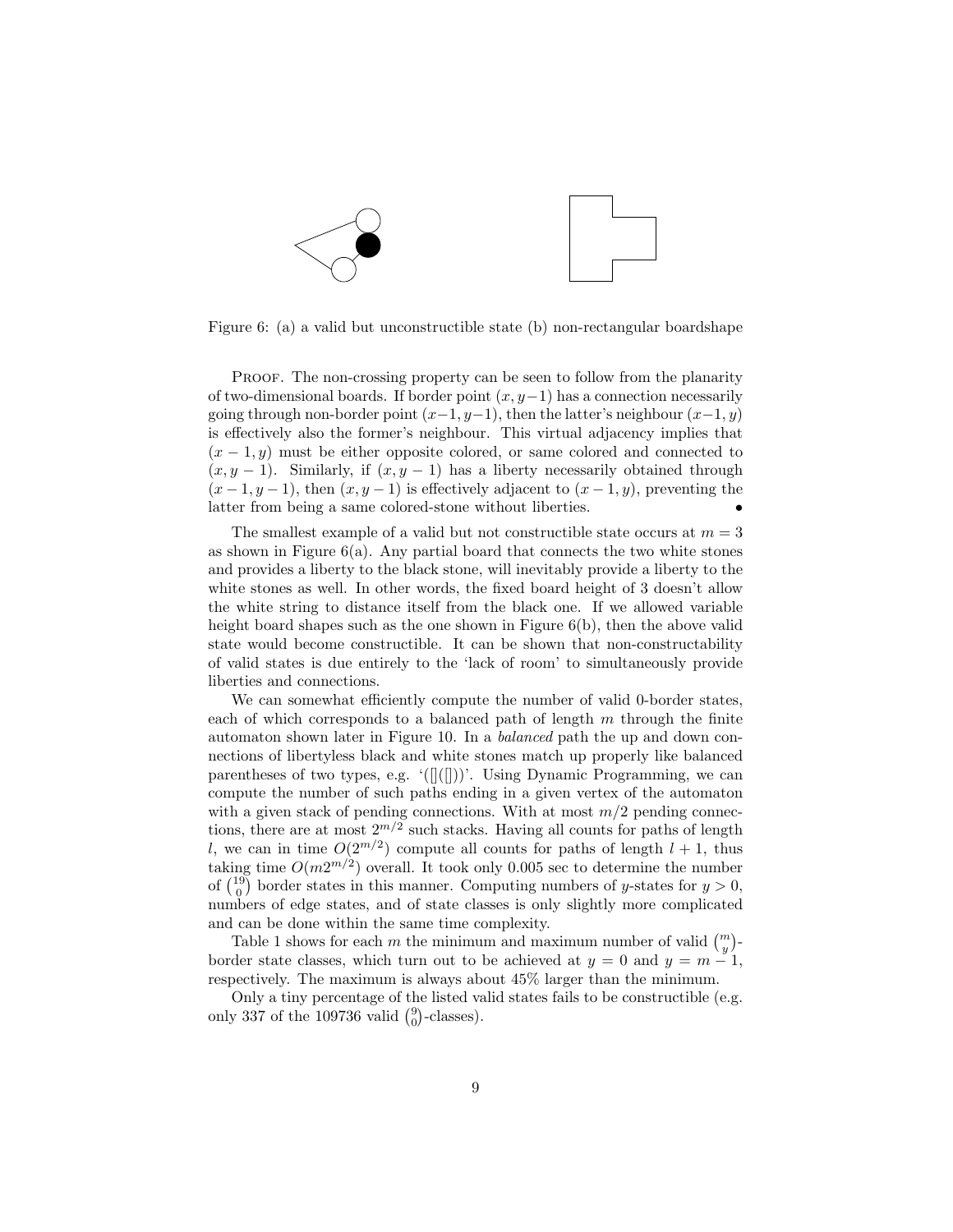

Figure 6: (a) a valid but unconstructible state (b) non-rectangular boardshape

PROOF. The non-crossing property can be seen to follow from the planarity of two-dimensional boards. If border point  $(x, y-1)$  has a connection necessarily going through non-border point  $(x-1, y-1)$ , then the latter's neighbour  $(x-1, y)$ is effectively also the former's neighbour. This virtual adjacency implies that  $(x - 1, y)$  must be either opposite colored, or same colored and connected to  $(x, y - 1)$ . Similarly, if  $(x, y - 1)$  has a liberty necessarily obtained through  $(x-1, y-1)$ , then  $(x, y-1)$  is effectively adjacent to  $(x-1, y)$ , preventing the latter from being a same colored-stone without liberties. •

The smallest example of a valid but not constructible state occurs at  $m = 3$ as shown in Figure  $6(a)$ . Any partial board that connects the two white stones and provides a liberty to the black stone, will inevitably provide a liberty to the white stones as well. In other words, the fixed board height of 3 doesn't allow the white string to distance itself from the black one. If we allowed variable height board shapes such as the one shown in Figure  $6(b)$ , then the above valid state would become constructible. It can be shown that non-constructability of valid states is due entirely to the 'lack of room' to simultaneously provide liberties and connections.

We can somewhat efficiently compute the number of valid 0-border states, each of which corresponds to a balanced path of length  $m$  through the finite automaton shown later in Figure 10. In a balanced path the up and down connections of libertyless black and white stones match up properly like balanced parentheses of two types, e.g.  $(\|(\|))'$ . Using Dynamic Programming, we can compute the number of such paths ending in a given vertex of the automaton with a given stack of pending connections. With at most  $m/2$  pending connections, there are at most  $2^{m/2}$  such stacks. Having all counts for paths of length l, we can in time  $O(2^{m/2})$  compute all counts for paths of length  $l + 1$ , thus taking time  $O(m2^{m/2})$  overall. It took only 0.005 sec to determine the number of  $\binom{19}{0}$  border states in this manner. Computing numbers of y-states for  $y > 0$ , numbers of edge states, and of state classes is only slightly more complicated and can be done within the same time complexity.

Table 1 shows for each m the minimum and maximum number of valid  $\binom{m}{y}$ border state classes, which turn out to be achieved at  $y = 0$  and  $y = m - 1$ , respectively. The maximum is always about 45% larger than the minimum.

Only a tiny percentage of the listed valid states fails to be constructible (e.g. only 337 of the 109736 valid  $\binom{9}{0}$ -classes).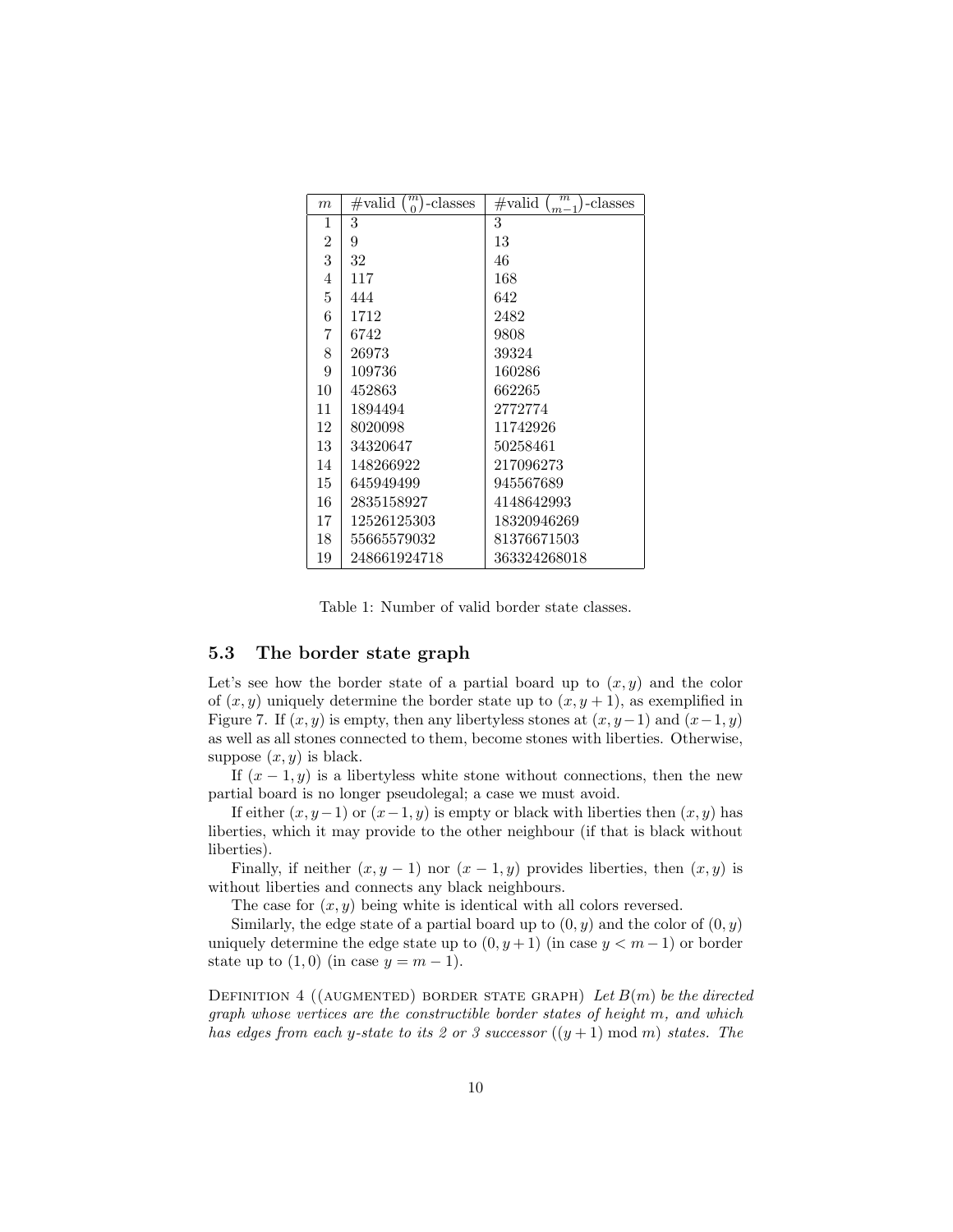| m              | m<br>$\#\text{valid}$<br>-classes | $_{m}$<br>$\#\text{valid}$<br>-classes<br>$m-1$ |
|----------------|-----------------------------------|-------------------------------------------------|
| 1              | 3                                 | 3                                               |
| $\overline{2}$ | 9                                 | 13                                              |
| 3              | 32                                | 46                                              |
| 4              | 117                               | 168                                             |
| 5              | 444                               | 642                                             |
| 6              | 1712                              | 2482                                            |
| 7              | 6742                              | 9808                                            |
| 8              | 26973                             | 39324                                           |
| 9              | 109736                            | 160286                                          |
| 10             | 452863                            | 662265                                          |
| 11             | 1894494                           | 2772774                                         |
| 12             | 8020098                           | 11742926                                        |
| 13             | 34320647                          | 50258461                                        |
| 14             | 148266922                         | 217096273                                       |
| 15             | 645949499                         | 945567689                                       |
| 16             | 2835158927                        | 4148642993                                      |
| 17             | 12526125303                       | 18320946269                                     |
| 18             | 55665579032                       | 81376671503                                     |
| 19             | 248661924718                      | 363324268018                                    |

Table 1: Number of valid border state classes.

### 5.3 The border state graph

Let's see how the border state of a partial board up to  $(x, y)$  and the color of  $(x, y)$  uniquely determine the border state up to  $(x, y + 1)$ , as exemplified in Figure 7. If  $(x, y)$  is empty, then any libertyless stones at  $(x, y-1)$  and  $(x-1, y)$ as well as all stones connected to them, become stones with liberties. Otherwise, suppose  $(x, y)$  is black.

If  $(x - 1, y)$  is a libertyless white stone without connections, then the new partial board is no longer pseudolegal; a case we must avoid.

If either  $(x, y-1)$  or  $(x-1, y)$  is empty or black with liberties then  $(x, y)$  has liberties, which it may provide to the other neighbour (if that is black without liberties).

Finally, if neither  $(x, y - 1)$  nor  $(x - 1, y)$  provides liberties, then  $(x, y)$  is without liberties and connects any black neighbours.

The case for  $(x, y)$  being white is identical with all colors reversed.

Similarly, the edge state of a partial board up to  $(0, y)$  and the color of  $(0, y)$ uniquely determine the edge state up to  $(0, y+1)$  (in case  $y < m-1$ ) or border state up to  $(1,0)$  (in case  $y = m - 1$ ).

DEFINITION 4 ((AUGMENTED) BORDER STATE GRAPH) Let  $B(m)$  be the directed graph whose vertices are the constructible border states of height m, and which has edges from each y-state to its 2 or 3 successor  $((y + 1) \text{ mod } m)$  states. The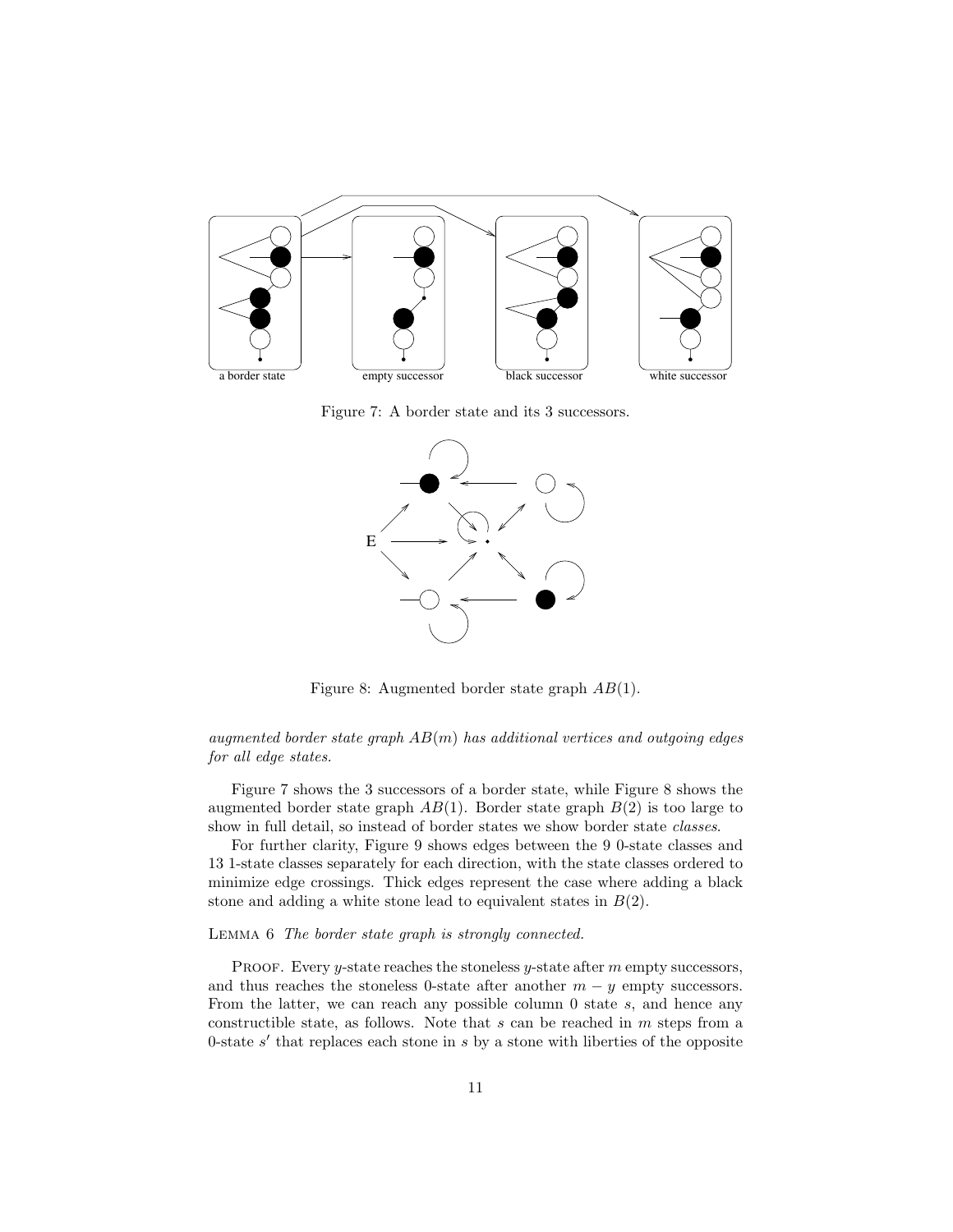

Figure 7: A border state and its 3 successors.



Figure 8: Augmented border state graph AB(1).

augmented border state graph  $AB(m)$  has additional vertices and outgoing edges for all edge states.

Figure 7 shows the 3 successors of a border state, while Figure 8 shows the augmented border state graph  $AB(1)$ . Border state graph  $B(2)$  is too large to show in full detail, so instead of border states we show border state *classes*.

For further clarity, Figure 9 shows edges between the 9 0-state classes and 13 1-state classes separately for each direction, with the state classes ordered to minimize edge crossings. Thick edges represent the case where adding a black stone and adding a white stone lead to equivalent states in  $B(2)$ .

#### Lemma 6 The border state graph is strongly connected.

PROOF. Every  $y$ -state reaches the stoneless  $y$ -state after  $m$  empty successors, and thus reaches the stoneless 0-state after another  $m - y$  empty successors. From the latter, we can reach any possible column  $0$  state  $s$ , and hence any constructible state, as follows. Note that  $s$  can be reached in  $m$  steps from a 0-state  $s'$  that replaces each stone in  $s$  by a stone with liberties of the opposite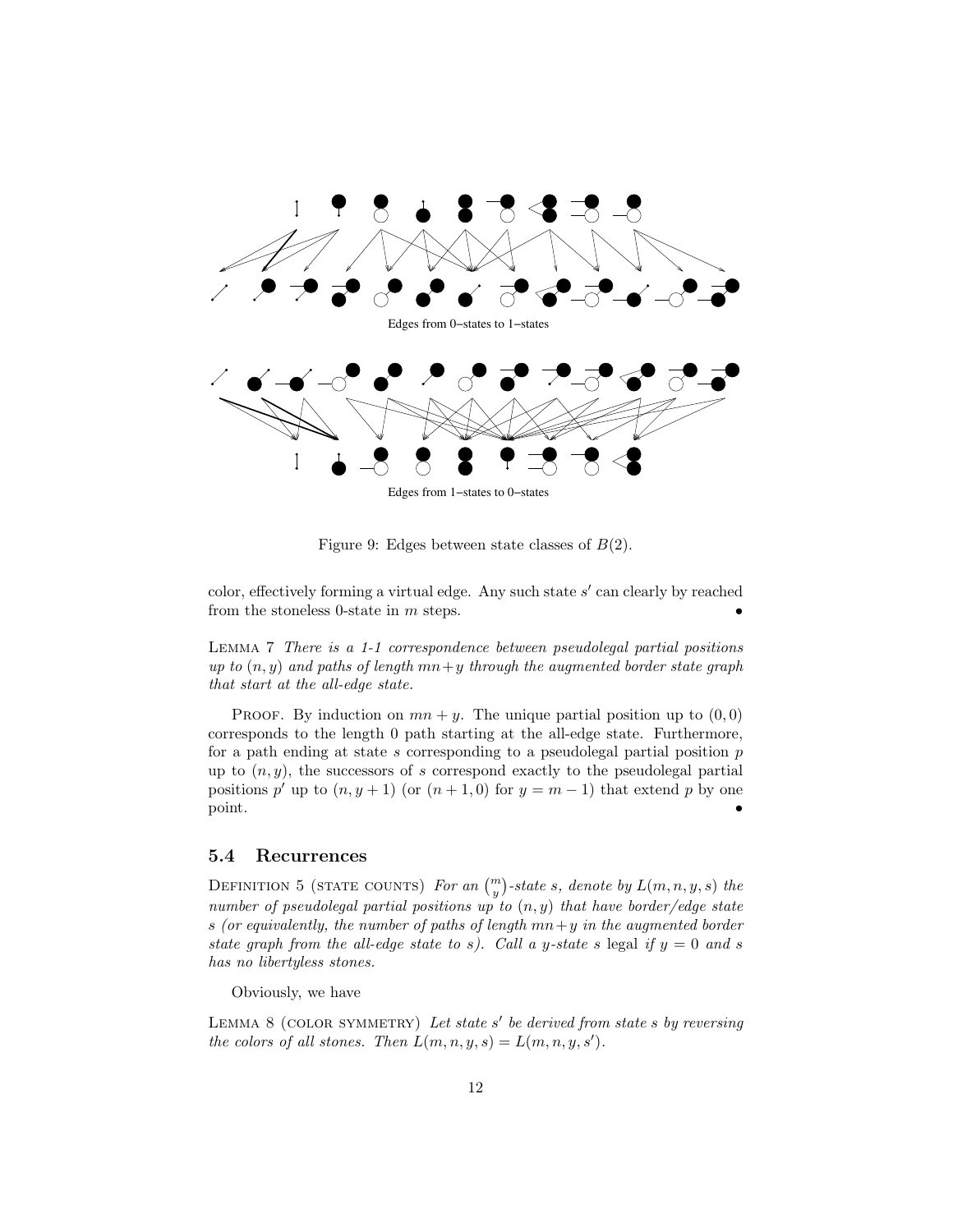

Figure 9: Edges between state classes of  $B(2)$ .

color, effectively forming a virtual edge. Any such state  $s'$  can clearly by reached from the stoneless 0-state in  $m$  steps.

Lemma 7 There is a 1-1 correspondence between pseudolegal partial positions up to  $(n, y)$  and paths of length  $mn + y$  through the augmented border state graph that start at the all-edge state.

PROOF. By induction on  $mn + y$ . The unique partial position up to  $(0, 0)$ corresponds to the length 0 path starting at the all-edge state. Furthermore, for a path ending at state  $s$  corresponding to a pseudolegal partial position  $p$ up to  $(n, y)$ , the successors of s correspond exactly to the pseudolegal partial positions p' up to  $(n, y+1)$  (or  $(n+1, 0)$  for  $y = m-1$ ) that extend p by one point.

### 5.4 Recurrences

DEFINITION 5 (STATE COUNTS) For an  $\binom{m}{y}$ -state s, denote by  $L(m, n, y, s)$  the number of pseudolegal partial positions up to  $(n, y)$  that have border/edge state s (or equivalently, the number of paths of length  $mn+y$  in the augmented border state graph from the all-edge state to s). Call a y-state s legal if  $y = 0$  and s has no libertyless stones.

Obviously, we have

LEMMA  $8$  (COLOR SYMMETRY) Let state s' be derived from state s by reversing the colors of all stones. Then  $L(m, n, y, s) = L(m, n, y, s')$ .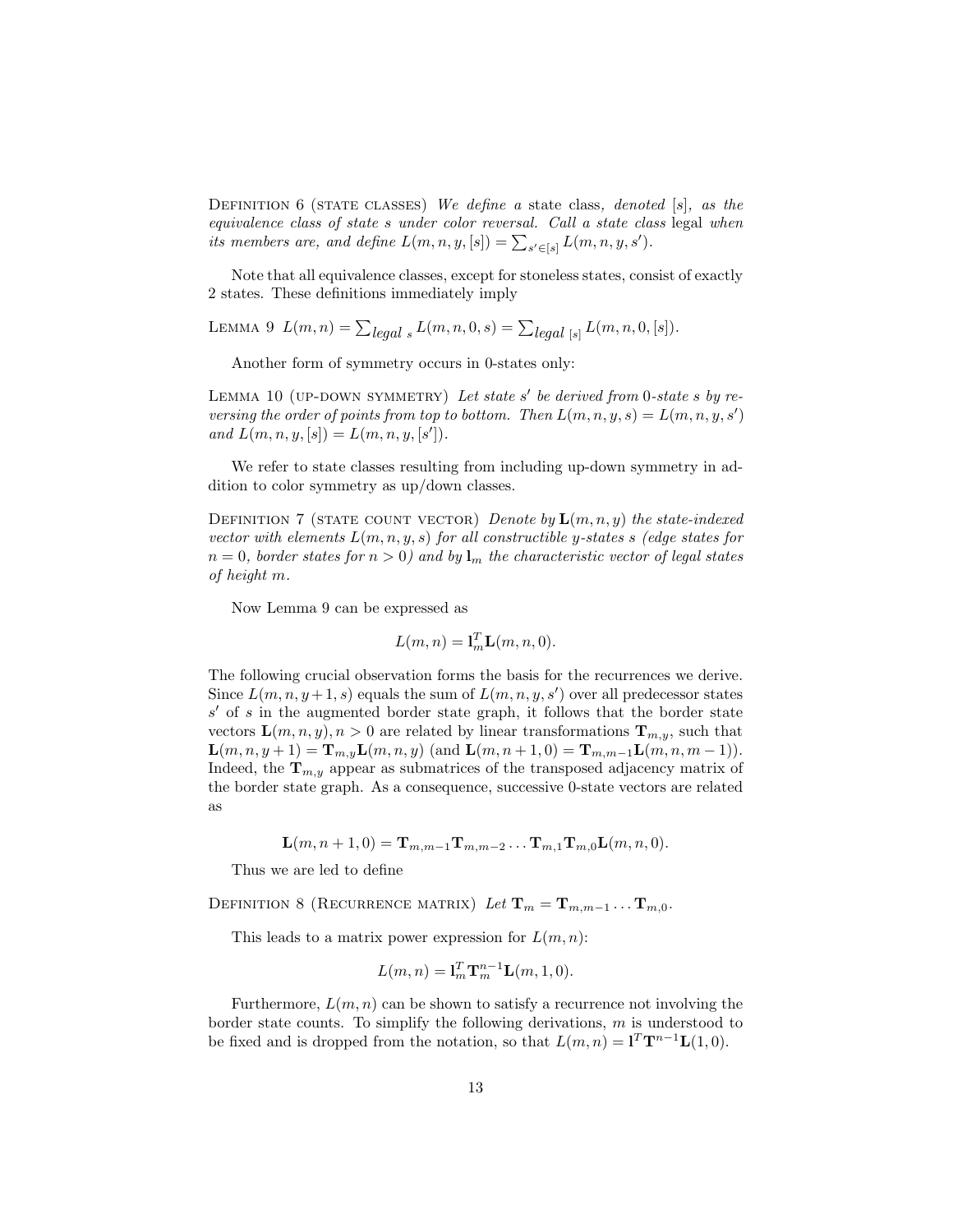DEFINITION 6 (STATE CLASSES) We define a state class, denoted  $[s]$ , as the equivalence class of state s under color reversal. Call a state class legal when its members are, and define  $L(m, n, y, [s]) = \sum_{s' \in [s]} L(m, n, y, s')$ .

Note that all equivalence classes, except for stoneless states, consist of exactly 2 states. These definitions immediately imply

LEMMA 9  $L(m, n) = \sum_{\text{legal } s} L(m, n, 0, s) = \sum_{\text{legal } [s]} L(m, n, 0, [s])$ .

Another form of symmetry occurs in 0-states only:

LEMMA 10 (UP-DOWN SYMMETRY) Let state s' be derived from 0-state s by reversing the order of points from top to bottom. Then  $L(m, n, y, s) = L(m, n, y, s')$ and  $L(m, n, y, [s]) = L(m, n, y, [s'])$ .

We refer to state classes resulting from including up-down symmetry in addition to color symmetry as up/down classes.

DEFINITION 7 (STATE COUNT VECTOR) Denote by  $\mathbf{L}(m,n,y)$  the state-indexed vector with elements  $L(m, n, y, s)$  for all constructible y-states s (edge states for  $n = 0$ , border states for  $n > 0$ ) and by  $\mathbf{l}_m$  the characteristic vector of legal states of height m.

Now Lemma 9 can be expressed as

$$
L(m, n) = \mathbf{l}_m^T \mathbf{L}(m, n, 0).
$$

The following crucial observation forms the basis for the recurrences we derive. Since  $L(m, n, y+1, s)$  equals the sum of  $L(m, n, y, s')$  over all predecessor states  $s'$  of s in the augmented border state graph, it follows that the border state vectors  $\mathbf{L}(m, n, y), n > 0$  are related by linear transformations  $\mathbf{T}_{m, y}$ , such that  $\mathbf{L}(m, n, y+1) = \mathbf{T}_{m, y} \mathbf{L}(m, n, y)$  (and  $\mathbf{L}(m, n+1, 0) = \mathbf{T}_{m, m-1} \mathbf{L}(m, n, m-1)$ ). Indeed, the  $T_{m,y}$  appear as submatrices of the transposed adjacency matrix of the border state graph. As a consequence, successive 0-state vectors are related as

$$
\mathbf{L}(m,n+1,0)=\mathbf{T}_{m,m-1}\mathbf{T}_{m,m-2}\ldots\mathbf{T}_{m,1}\mathbf{T}_{m,0}\mathbf{L}(m,n,0).
$$

Thus we are led to define

DEFINITION 8 (RECURRENCE MATRIX) Let  $\mathbf{T}_m = \mathbf{T}_{m,m-1} \dots \mathbf{T}_{m,0}$ .

This leads to a matrix power expression for  $L(m, n)$ :

$$
L(m, n) = \mathbf{l}_m^T \mathbf{T}_m^{n-1} \mathbf{L}(m, 1, 0).
$$

Furthermore,  $L(m, n)$  can be shown to satisfy a recurrence not involving the border state counts. To simplify the following derivations,  $m$  is understood to be fixed and is dropped from the notation, so that  $L(m, n) = \mathbf{1}^T \mathbf{T}^{n-1} \mathbf{L}(1, 0)$ .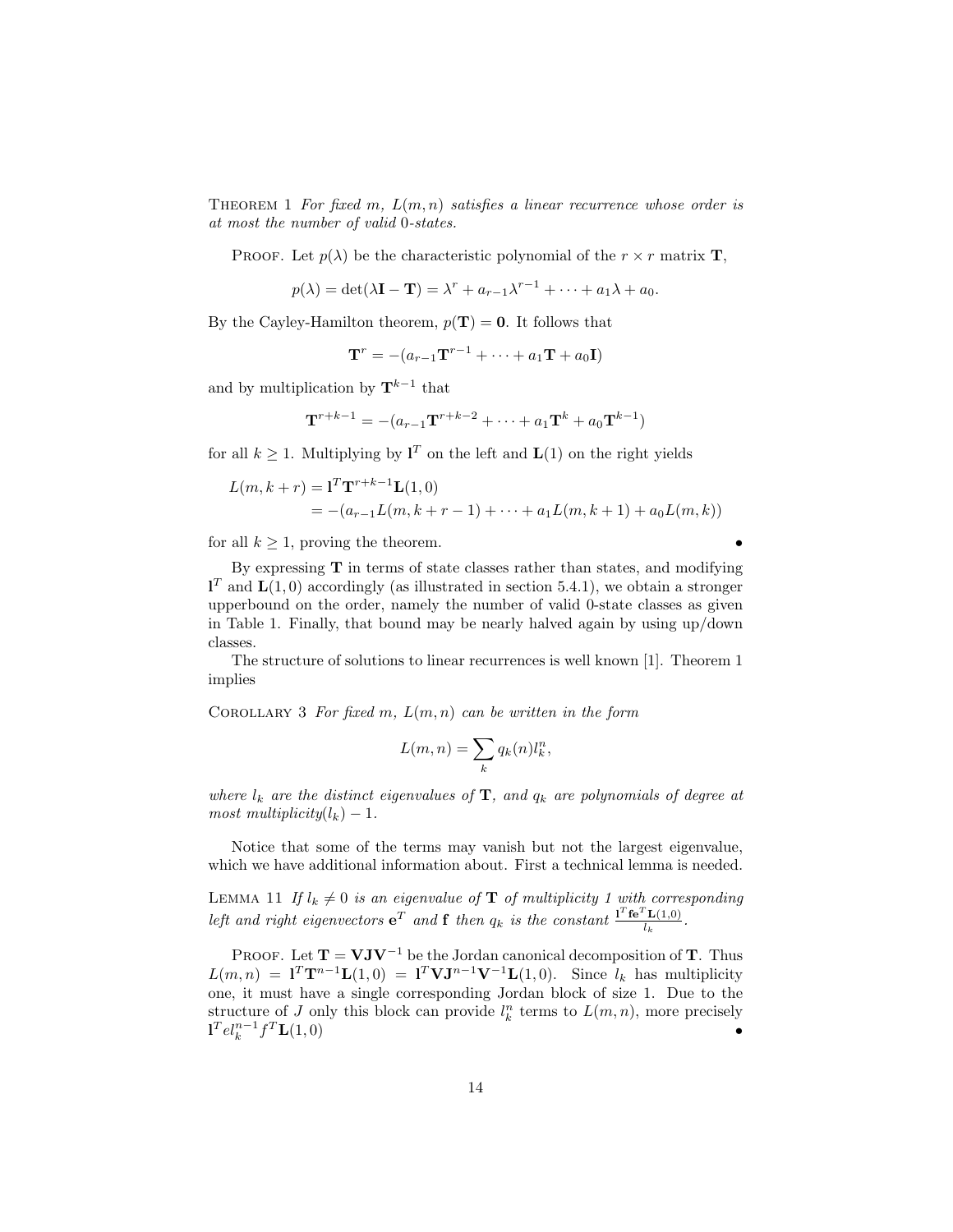THEOREM 1 For fixed m,  $L(m, n)$  satisfies a linear recurrence whose order is at most the number of valid 0-states.

PROOF. Let  $p(\lambda)$  be the characteristic polynomial of the  $r \times r$  matrix **T**,

$$
p(\lambda) = \det(\lambda \mathbf{I} - \mathbf{T}) = \lambda^r + a_{r-1}\lambda^{r-1} + \dots + a_1\lambda + a_0.
$$

By the Cayley-Hamilton theorem,  $p(\mathbf{T}) = \mathbf{0}$ . It follows that

$$
\mathbf{T}^r = -(a_{r-1}\mathbf{T}^{r-1} + \dots + a_1\mathbf{T} + a_0\mathbf{I})
$$

and by multiplication by  $\mathbf{T}^{k-1}$  that

$$
\mathbf{T}^{r+k-1} = -(a_{r-1}\mathbf{T}^{r+k-2} + \dots + a_1\mathbf{T}^k + a_0\mathbf{T}^{k-1})
$$

for all  $k \geq 1$ . Multiplying by  $\mathbf{l}^T$  on the left and  $\mathbf{L}(1)$  on the right yields

$$
L(m, k + r) = \mathbf{1}^T \mathbf{T}^{r+k-1} \mathbf{L}(1, 0)
$$
  
= -(a<sub>r-1</sub>L(m, k + r - 1) + \dots + a<sub>1</sub>L(m, k + 1) + a<sub>0</sub>L(m, k))

for all  $k \geq 1$ , proving the theorem.

By expressing  $T$  in terms of state classes rather than states, and modifying  $\mathbf{1}^T$  and  $\mathbf{L}(1,0)$  accordingly (as illustrated in section 5.4.1), we obtain a stronger upperbound on the order, namely the number of valid 0-state classes as given in Table 1. Finally, that bound may be nearly halved again by using up/down classes.

The structure of solutions to linear recurrences is well known [1]. Theorem 1 implies

COROLLARY 3 For fixed m,  $L(m, n)$  can be written in the form

$$
L(m, n) = \sum_{k} q_k(n) l_k^n,
$$

where  $l_k$  are the distinct eigenvalues of  $\mathbf{T}$ , and  $q_k$  are polynomials of degree at most multiplicity $(l_k) - 1$ .

Notice that some of the terms may vanish but not the largest eigenvalue, which we have additional information about. First a technical lemma is needed.

LEMMA 11 If  $l_k \neq 0$  is an eigenvalue of **T** of multiplicity 1 with corresponding left and right eigenvectors  $e^T$  and **f** then  $q_k$  is the constant  $\frac{1^T \mathbf{f} e^T \mathbf{L}(1,0)}{l_k}$  $\frac{\mathbf{L}(1,0)}{l_k}$ .

PROOF. Let  $T = VJV^{-1}$  be the Jordan canonical decomposition of T. Thus  $L(m, n) = \mathbf{1}^T \mathbf{T}^{n-1} \mathbf{L}(1, 0) = \mathbf{1}^T \mathbf{V} \mathbf{J}^{n-1} \mathbf{V}^{-1} \mathbf{L}(1, 0)$ . Since  $l_k$  has multiplicity one, it must have a single corresponding Jordan block of size 1. Due to the structure of J only this block can provide  $l_k^n$  terms to  $L(m, n)$ , more precisely  $\mathbf{1}^T e l_k^{n-1} f^T \mathbf{L}(1,0)$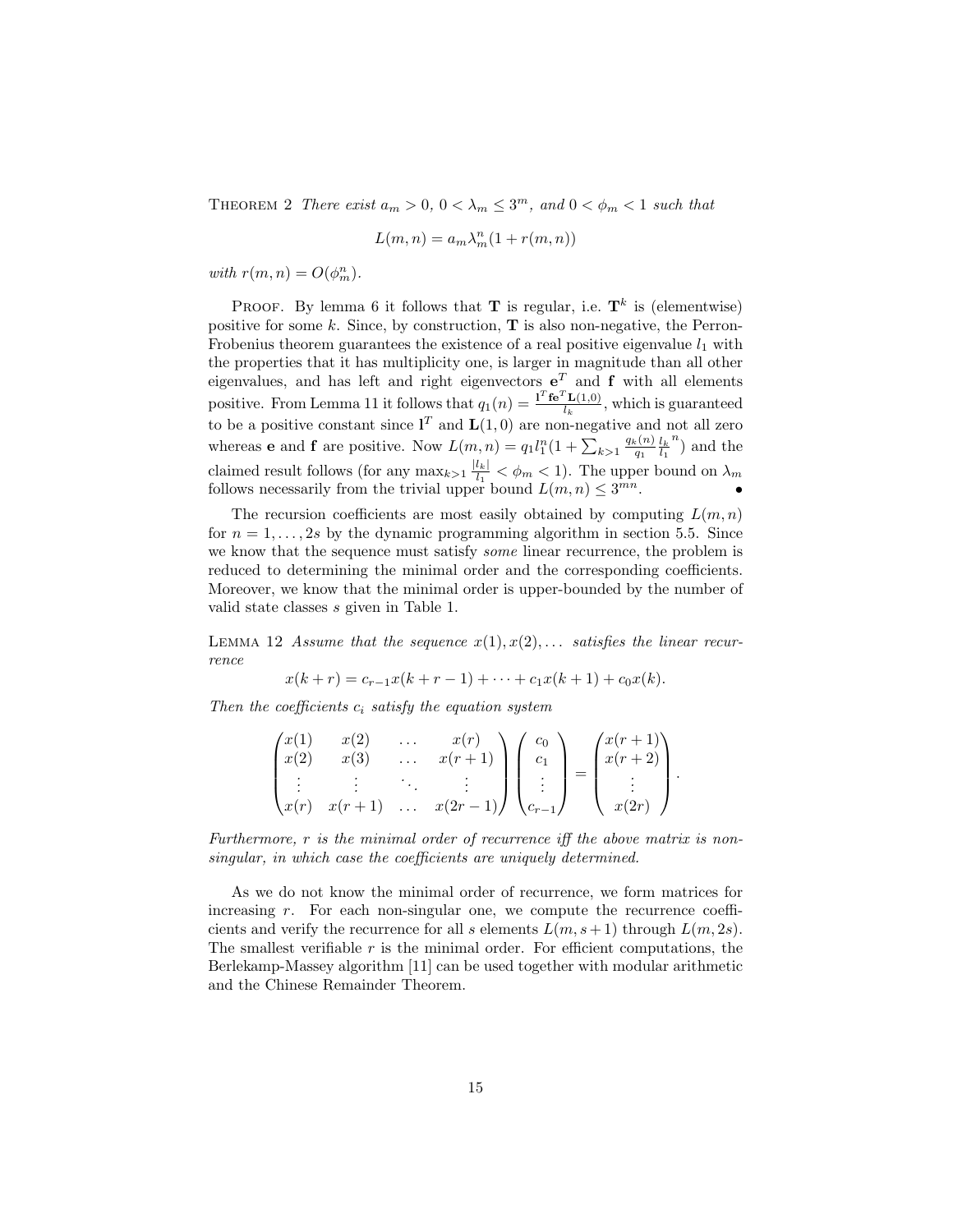THEOREM 2 There exist  $a_m > 0$ ,  $0 < \lambda_m \leq 3^m$ , and  $0 < \phi_m < 1$  such that

$$
L(m, n) = a_m \lambda_m^n (1 + r(m, n))
$$

with  $r(m, n) = O(\phi_m^n)$ .

PROOF. By lemma 6 it follows that **T** is regular, i.e.  $\mathbf{T}^k$  is (elementwise) positive for some  $k$ . Since, by construction,  $\mathbf T$  is also non-negative, the Perron-Frobenius theorem guarantees the existence of a real positive eigenvalue  $l_1$  with the properties that it has multiplicity one, is larger in magnitude than all other eigenvalues, and has left and right eigenvectors  $e^T$  and f with all elements positive. From Lemma 11 it follows that  $q_1(n) = \frac{\mathbf{1}^T \mathbf{f} \mathbf{e}^T \mathbf{L}(1,0)}{l_h}$  $\frac{\mathbf{L}(1,0)}{l_k}$ , which is guaranteed to be a positive constant since  $I<sup>T</sup>$  and  $\mathbf{L}(1,0)$  are non-negative and not all zero whereas **e** and **f** are positive. Now  $L(m, n) = q_1 l_1^n (1 + \sum_{k>1} \frac{q_k(n)}{q_1})$  $\frac{l_{k}}{q_{1}}\frac{l_{k}}{l_{1}}$  $\binom{n}{1}$  and the claimed result follows (for any  $\max_{k>1} \frac{|l_k|}{l_1}$  $\frac{d|l_k|}{l_1} < \phi_m < 1$ . The upper bound on  $\lambda_m$ follows necessarily from the trivial upper bound  $L(m, n) \leq 3^{mn}$ .

The recursion coefficients are most easily obtained by computing  $L(m, n)$ for  $n = 1, \ldots, 2s$  by the dynamic programming algorithm in section 5.5. Since we know that the sequence must satisfy some linear recurrence, the problem is reduced to determining the minimal order and the corresponding coefficients. Moreover, we know that the minimal order is upper-bounded by the number of valid state classes s given in Table 1.

LEMMA 12 Assume that the sequence  $x(1), x(2), \ldots$  satisfies the linear recurrence

$$
x(k + r) = c_{r-1}x(k + r - 1) + \dots + c_1x(k + 1) + c_0x(k).
$$

Then the coefficients  $c_i$  satisfy the equation system

$$
\begin{pmatrix} x(1) & x(2) & \dots & x(r) \\ x(2) & x(3) & \dots & x(r+1) \\ \vdots & \vdots & \ddots & \vdots \\ x(r) & x(r+1) & \dots & x(2r-1) \end{pmatrix} \begin{pmatrix} c_0 \\ c_1 \\ \vdots \\ c_{r-1} \end{pmatrix} = \begin{pmatrix} x(r+1) \\ x(r+2) \\ \vdots \\ x(2r) \end{pmatrix}.
$$

Furthermore, r is the minimal order of recurrence iff the above matrix is nonsingular, in which case the coefficients are uniquely determined.

As we do not know the minimal order of recurrence, we form matrices for increasing  $r$ . For each non-singular one, we compute the recurrence coefficients and verify the recurrence for all s elements  $L(m, s+1)$  through  $L(m, 2s)$ . The smallest verifiable  $r$  is the minimal order. For efficient computations, the Berlekamp-Massey algorithm [11] can be used together with modular arithmetic and the Chinese Remainder Theorem.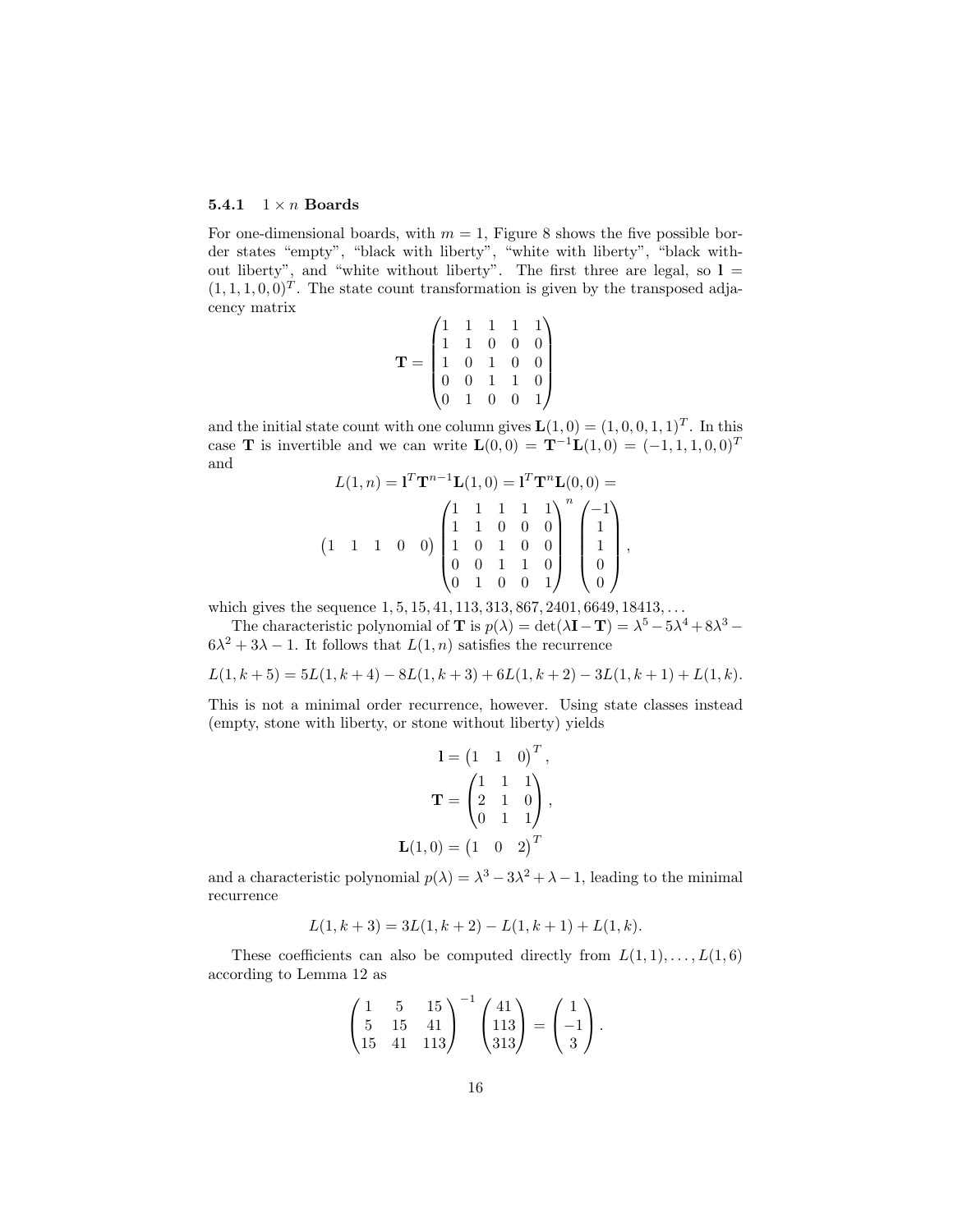#### 5.4.1  $1 \times n$  Boards

For one-dimensional boards, with  $m = 1$ , Figure 8 shows the five possible border states "empty", "black with liberty", "white with liberty", "black without liberty", and "white without liberty". The first three are legal, so  $l =$  $(1, 1, 1, 0, 0)^T$ . The state count transformation is given by the transposed adjacency matrix

$$
\mathbf{T} = \begin{pmatrix} 1 & 1 & 1 & 1 & 1 \\ 1 & 1 & 0 & 0 & 0 \\ 1 & 0 & 1 & 0 & 0 \\ 0 & 0 & 1 & 1 & 0 \\ 0 & 1 & 0 & 0 & 1 \end{pmatrix}
$$

and the initial state count with one column gives  $\mathbf{L}(1,0) = (1,0,0,1,1)^T$ . In this case **T** is invertible and we can write  $L(0,0) = T^{-1}L(1,0) = (-1,1,1,0,0)^T$ and

$$
L(1, n) = \mathbf{1}^T \mathbf{T}^{n-1} \mathbf{L}(1, 0) = \mathbf{1}^T \mathbf{T}^n \mathbf{L}(0, 0) =
$$
  

$$
(1 \quad 1 \quad 1 \quad 0 \quad 0) \begin{pmatrix} 1 & 1 & 1 & 1 \\ 1 & 1 & 0 & 0 & 0 \\ 1 & 0 & 1 & 0 & 0 \\ 0 & 0 & 1 & 1 & 0 \\ 0 & 1 & 0 & 0 & 1 \end{pmatrix}^n \begin{pmatrix} -1 \\ 1 \\ 1 \\ 0 \\ 0 \end{pmatrix},
$$

which gives the sequence 1, 5, 15, 41, 113, 313, 867, 2401, 6649, 18413, ...

The characteristic polynomial of **T** is  $p(\lambda) = \det(\lambda \mathbf{I} - \mathbf{T}) = \lambda^5 - 5\lambda^4 + 8\lambda^3 - 5\lambda^4$  $6\lambda^2 + 3\lambda - 1$ . It follows that  $L(1, n)$  satisfies the recurrence

$$
L(1, k+5) = 5L(1, k+4) - 8L(1, k+3) + 6L(1, k+2) - 3L(1, k+1) + L(1, k).
$$

This is not a minimal order recurrence, however. Using state classes instead (empty, stone with liberty, or stone without liberty) yields

$$
\mathbf{l} = \begin{pmatrix} 1 & 1 & 0 \end{pmatrix}^T,
$$

$$
\mathbf{T} = \begin{pmatrix} 1 & 1 & 1 \\ 2 & 1 & 0 \\ 0 & 1 & 1 \end{pmatrix},
$$

$$
\mathbf{L}(1,0) = \begin{pmatrix} 1 & 0 & 2 \end{pmatrix}^T
$$

and a characteristic polynomial  $p(\lambda) = \lambda^3 - 3\lambda^2 + \lambda - 1$ , leading to the minimal recurrence

$$
L(1, k+3) = 3L(1, k+2) - L(1, k+1) + L(1, k).
$$

These coefficients can also be computed directly from  $L(1,1), \ldots, L(1,6)$ according to Lemma 12 as

$$
\begin{pmatrix} 1 & 5 & 15 \ 5 & 15 & 41 \ 15 & 41 & 113 \end{pmatrix}^{-1} \begin{pmatrix} 41 \ 113 \ 313 \end{pmatrix} = \begin{pmatrix} 1 \ -1 \ 3 \end{pmatrix}.
$$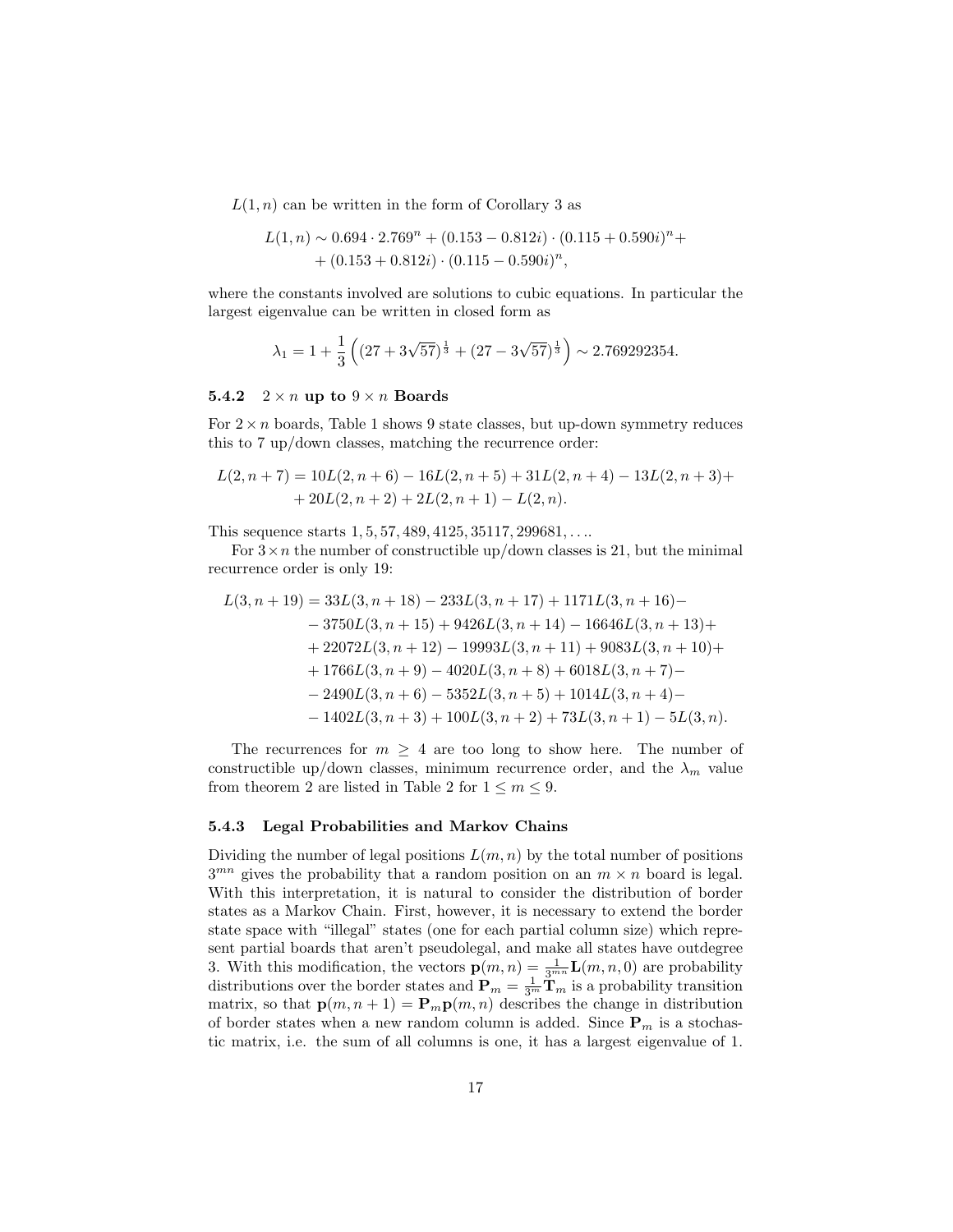$L(1, n)$  can be written in the form of Corollary 3 as

$$
L(1, n) \sim 0.694 \cdot 2.769^{n} + (0.153 - 0.812i) \cdot (0.115 + 0.590i)^{n} + (0.153 + 0.812i) \cdot (0.115 - 0.590i)^{n},
$$

where the constants involved are solutions to cubic equations. In particular the largest eigenvalue can be written in closed form as

$$
\lambda_1 = 1 + \frac{1}{3} \left( \left( 27 + 3\sqrt{57} \right)^{\frac{1}{3}} + \left( 27 - 3\sqrt{57} \right)^{\frac{1}{3}} \right) \sim 2.769292354.
$$

#### 5.4.2  $2 \times n$  up to  $9 \times n$  Boards

For  $2 \times n$  boards, Table 1 shows 9 state classes, but up-down symmetry reduces this to 7 up/down classes, matching the recurrence order:

$$
L(2, n+7) = 10L(2, n+6) - 16L(2, n+5) + 31L(2, n+4) - 13L(2, n+3) +
$$
  
+ 20L(2, n+2) + 2L(2, n+1) - L(2, n).

This sequence starts  $1, 5, 57, 489, 4125, 35117, 299681, \ldots$ 

For  $3 \times n$  the number of constructible up/down classes is 21, but the minimal recurrence order is only 19:

$$
L(3, n + 19) = 33L(3, n + 18) - 233L(3, n + 17) + 1171L(3, n + 16) -
$$
  
\n
$$
- 3750L(3, n + 15) + 9426L(3, n + 14) - 16646L(3, n + 13) +
$$
  
\n
$$
+ 22072L(3, n + 12) - 19993L(3, n + 11) + 9083L(3, n + 10) +
$$
  
\n
$$
+ 1766L(3, n + 9) - 4020L(3, n + 8) + 6018L(3, n + 7) -
$$
  
\n
$$
- 2490L(3, n + 6) - 5352L(3, n + 5) + 1014L(3, n + 4) -
$$
  
\n
$$
- 1402L(3, n + 3) + 100L(3, n + 2) + 73L(3, n + 1) - 5L(3, n).
$$

The recurrences for  $m \geq 4$  are too long to show here. The number of constructible up/down classes, minimum recurrence order, and the  $\lambda_m$  value from theorem 2 are listed in Table 2 for  $1 \le m \le 9$ .

#### 5.4.3 Legal Probabilities and Markov Chains

Dividing the number of legal positions  $L(m, n)$  by the total number of positions  $3^{mn}$  gives the probability that a random position on an  $m \times n$  board is legal. With this interpretation, it is natural to consider the distribution of border states as a Markov Chain. First, however, it is necessary to extend the border state space with "illegal" states (one for each partial column size) which represent partial boards that aren't pseudolegal, and make all states have outdegree 3. With this modification, the vectors  $\mathbf{p}(m,n) = \frac{1}{3^{mn}} \mathbf{L}(m,n,0)$  are probability distributions over the border states and  $\mathbf{P}_m = \frac{1}{3^m} \mathbf{\tilde{T}}_m$  is a probability transition matrix, so that  $\mathbf{p}(m, n+1) = \mathbf{P}_m \mathbf{p}(m, n)$  describes the change in distribution of border states when a new random column is added. Since  $P_m$  is a stochastic matrix, i.e. the sum of all columns is one, it has a largest eigenvalue of 1.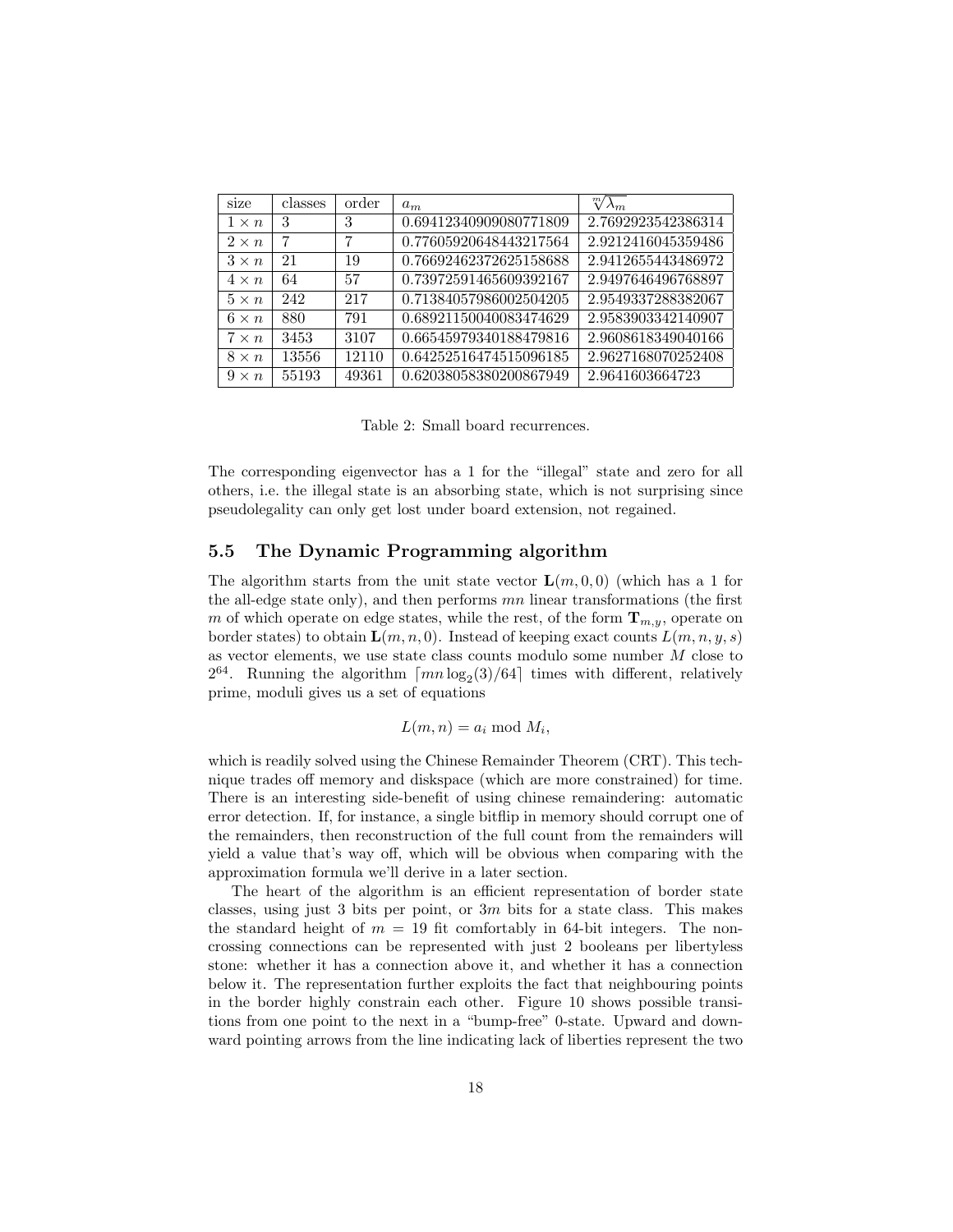| ٠<br><b>S1Ze</b> | classes | order | $a_m$                  | $\sqrt[m]{\lambda_m}$ |
|------------------|---------|-------|------------------------|-----------------------|
| $1 \times n$     | 3       | 3     | 0.69412340909080771809 | 2.7692923542386314    |
| $2 \times n$     | 7       | 7     | 0.77605920648443217564 | 2.9212416045359486    |
| $3 \times n$     | 21      | 19    | 0.76692462372625158688 | 2.9412655443486972    |
| $4 \times n$     | 64      | 57    | 0.73972591465609392167 | 2.9497646496768897    |
| $5 \times n$     | 242     | 217   | 0.71384057986002504205 | 2.9549337288382067    |
| $6 \times n$     | 880     | 791   | 0.68921150040083474629 | 2.9583903342140907    |
| $7 \times n$     | 3453    | 3107  | 0.66545979340188479816 | 2.9608618349040166    |
| $8 \times n$     | 13556   | 12110 | 0.64252516474515096185 | 2.9627168070252408    |
| $9 \times n$     | 55193   | 49361 | 0.62038058380200867949 | 2.9641603664723       |

Table 2: Small board recurrences.

The corresponding eigenvector has a 1 for the "illegal" state and zero for all others, i.e. the illegal state is an absorbing state, which is not surprising since pseudolegality can only get lost under board extension, not regained.

### 5.5 The Dynamic Programming algorithm

The algorithm starts from the unit state vector  $\mathbf{L}(m, 0, 0)$  (which has a 1 for the all-edge state only), and then performs  $mn$  linear transformations (the first m of which operate on edge states, while the rest, of the form  $\mathbf{T}_{m,n}$ , operate on border states) to obtain  $\mathbf{L}(m, n, 0)$ . Instead of keeping exact counts  $L(m, n, y, s)$ as vector elements, we use state class counts modulo some number  $M$  close to  $2^{64}$ . Running the algorithm  $\lceil mn \log_2(3)/64 \rceil$  times with different, relatively prime, moduli gives us a set of equations

$$
L(m, n) = a_i \bmod M_i,
$$

which is readily solved using the Chinese Remainder Theorem (CRT). This technique trades off memory and diskspace (which are more constrained) for time. There is an interesting side-benefit of using chinese remaindering: automatic error detection. If, for instance, a single bitflip in memory should corrupt one of the remainders, then reconstruction of the full count from the remainders will yield a value that's way off, which will be obvious when comparing with the approximation formula we'll derive in a later section.

The heart of the algorithm is an efficient representation of border state classes, using just 3 bits per point, or 3m bits for a state class. This makes the standard height of  $m = 19$  fit comfortably in 64-bit integers. The noncrossing connections can be represented with just 2 booleans per libertyless stone: whether it has a connection above it, and whether it has a connection below it. The representation further exploits the fact that neighbouring points in the border highly constrain each other. Figure 10 shows possible transitions from one point to the next in a "bump-free" 0-state. Upward and downward pointing arrows from the line indicating lack of liberties represent the two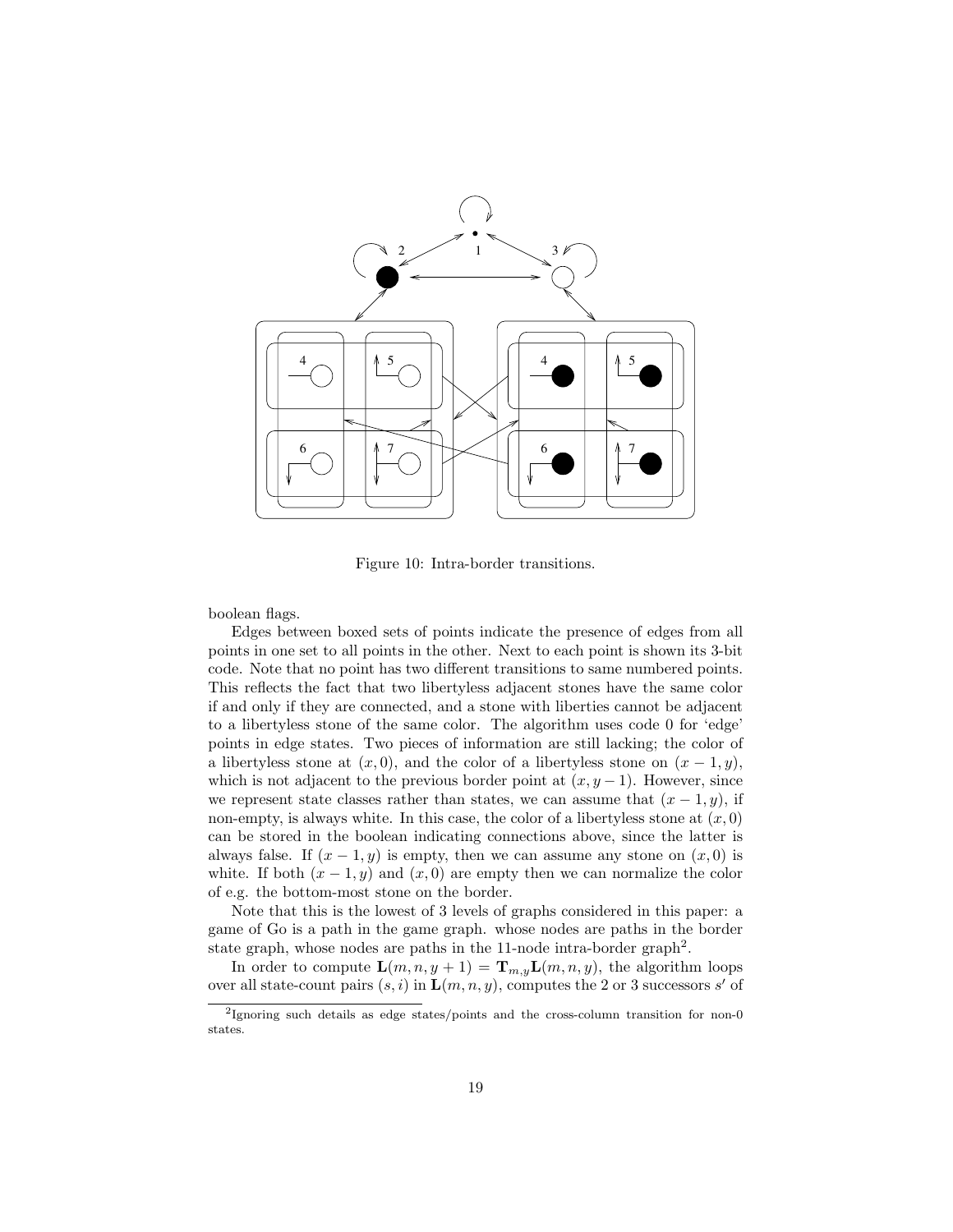

Figure 10: Intra-border transitions.

boolean flags.

Edges between boxed sets of points indicate the presence of edges from all points in one set to all points in the other. Next to each point is shown its 3-bit code. Note that no point has two different transitions to same numbered points. This reflects the fact that two libertyless adjacent stones have the same color if and only if they are connected, and a stone with liberties cannot be adjacent to a libertyless stone of the same color. The algorithm uses code 0 for 'edge' points in edge states. Two pieces of information are still lacking; the color of a libertyless stone at  $(x, 0)$ , and the color of a libertyless stone on  $(x - 1, y)$ , which is not adjacent to the previous border point at  $(x, y - 1)$ . However, since we represent state classes rather than states, we can assume that  $(x - 1, y)$ , if non-empty, is always white. In this case, the color of a libertyless stone at  $(x, 0)$ can be stored in the boolean indicating connections above, since the latter is always false. If  $(x - 1, y)$  is empty, then we can assume any stone on  $(x, 0)$  is white. If both  $(x - 1, y)$  and  $(x, 0)$  are empty then we can normalize the color of e.g. the bottom-most stone on the border.

Note that this is the lowest of 3 levels of graphs considered in this paper: a game of Go is a path in the game graph. whose nodes are paths in the border state graph, whose nodes are paths in the 11-node intra-border graph<sup>2</sup>.

In order to compute  $\mathbf{L}(m, n, y + 1) = \mathbf{T}_{m, y}\mathbf{L}(m, n, y)$ , the algorithm loops over all state-count pairs  $(s, i)$  in  $\mathbf{L}(m, n, y)$ , computes the 2 or 3 successors s' of

<sup>&</sup>lt;sup>2</sup>Ignoring such details as edge states/points and the cross-column transition for non-0 states.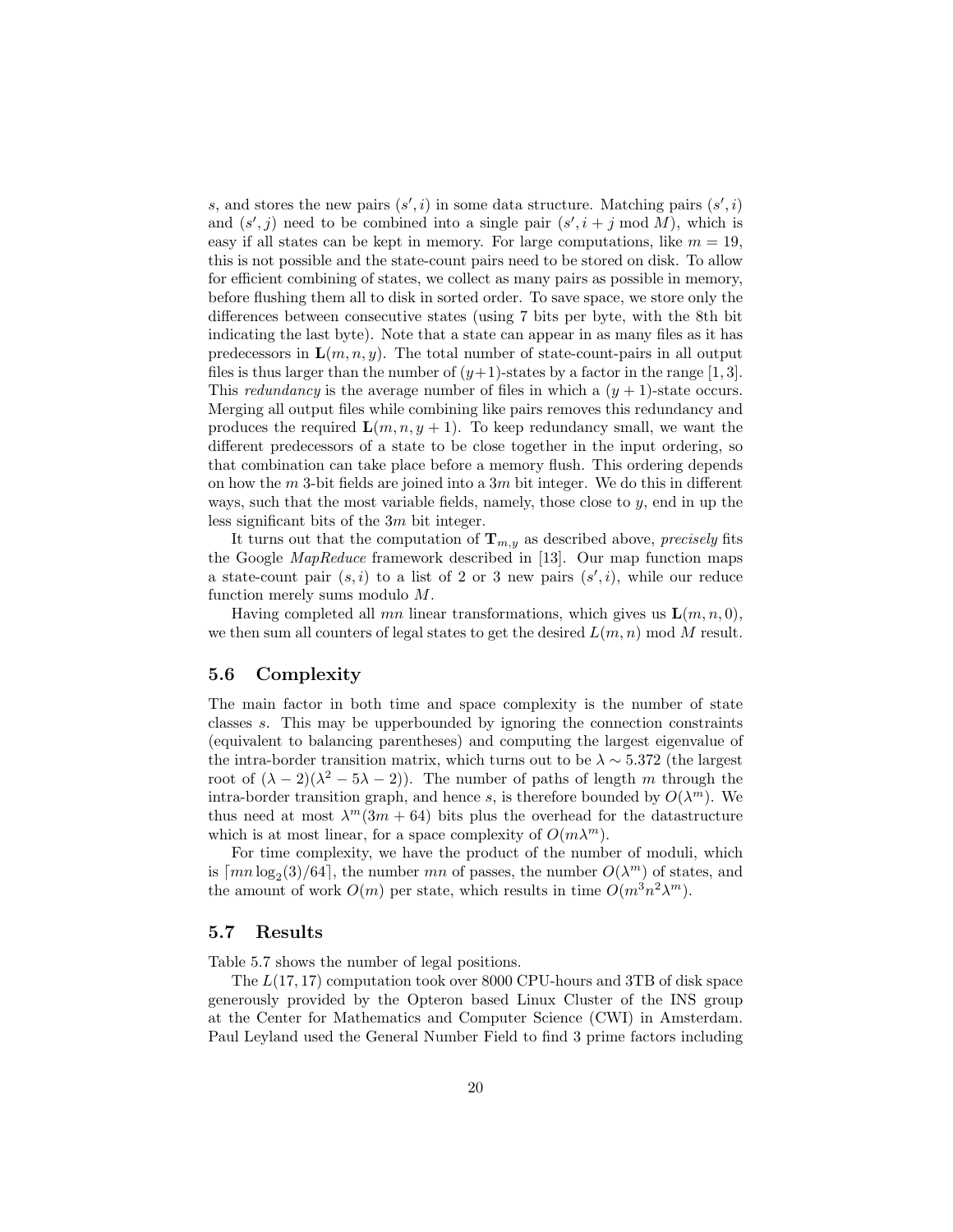s, and stores the new pairs  $(s', i)$  in some data structure. Matching pairs  $(s', i)$ and  $(s', j)$  need to be combined into a single pair  $(s', i + j \mod M)$ , which is easy if all states can be kept in memory. For large computations, like  $m = 19$ , this is not possible and the state-count pairs need to be stored on disk. To allow for efficient combining of states, we collect as many pairs as possible in memory, before flushing them all to disk in sorted order. To save space, we store only the differences between consecutive states (using 7 bits per byte, with the 8th bit indicating the last byte). Note that a state can appear in as many files as it has predecessors in  $\mathbf{L}(m, n, y)$ . The total number of state-count-pairs in all output files is thus larger than the number of  $(y+1)$ -states by a factor in the range [1, 3]. This redundancy is the average number of files in which a  $(y + 1)$ -state occurs. Merging all output files while combining like pairs removes this redundancy and produces the required  $\mathbf{L}(m, n, y + 1)$ . To keep redundancy small, we want the different predecessors of a state to be close together in the input ordering, so that combination can take place before a memory flush. This ordering depends on how the m 3-bit fields are joined into a  $3m$  bit integer. We do this in different ways, such that the most variable fields, namely, those close to  $y$ , end in up the less significant bits of the 3m bit integer.

It turns out that the computation of  $\mathbf{T}_{m,y}$  as described above, precisely fits the Google MapReduce framework described in [13]. Our map function maps a state-count pair  $(s, i)$  to a list of 2 or 3 new pairs  $(s', i)$ , while our reduce function merely sums modulo M.

Having completed all mn linear transformations, which gives us  $\mathbf{L}(m, n, 0)$ , we then sum all counters of legal states to get the desired  $L(m, n) \mod M$  result.

### 5.6 Complexity

The main factor in both time and space complexity is the number of state classes s. This may be upperbounded by ignoring the connection constraints (equivalent to balancing parentheses) and computing the largest eigenvalue of the intra-border transition matrix, which turns out to be  $\lambda \sim 5.372$  (the largest root of  $(\lambda - 2)(\lambda^2 - 5\lambda - 2)$ . The number of paths of length m through the intra-border transition graph, and hence s, is therefore bounded by  $O(\lambda^m)$ . We thus need at most  $\lambda^m(3m + 64)$  bits plus the overhead for the datastructure which is at most linear, for a space complexity of  $O(m\lambda^m)$ .

For time complexity, we have the product of the number of moduli, which is  $\lceil mn \log_2(3)/64 \rceil$ , the number mn of passes, the number  $O(\lambda^m)$  of states, and the amount of work  $O(m)$  per state, which results in time  $O(m^3n^2\lambda^m)$ .

#### 5.7 Results

Table 5.7 shows the number of legal positions.

The L(17, 17) computation took over 8000 CPU-hours and 3TB of disk space generously provided by the Opteron based Linux Cluster of the INS group at the Center for Mathematics and Computer Science (CWI) in Amsterdam. Paul Leyland used the General Number Field to find 3 prime factors including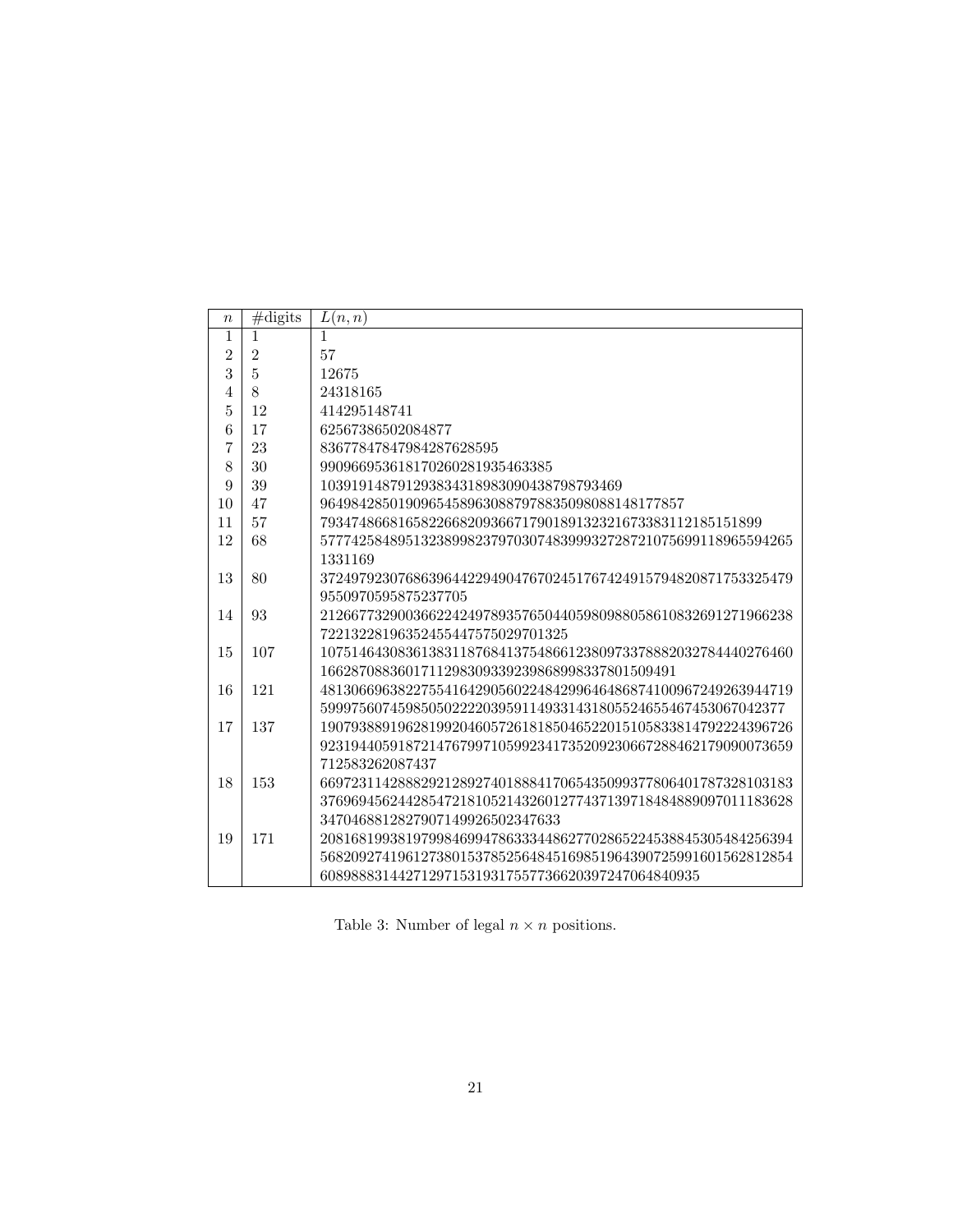| $\boldsymbol{n}$ | $\#\text{digits}$ | L(n,n)                                                        |
|------------------|-------------------|---------------------------------------------------------------|
| $\mathbf{1}$     | 1                 | $\mathbf{1}$                                                  |
| $\overline{2}$   | $\overline{2}$    | 57                                                            |
| 3                | $\overline{5}$    | 12675                                                         |
| 4                | 8                 | 24318165                                                      |
| 5                | 12                | 414295148741                                                  |
| 6                | 17                | 62567386502084877                                             |
| $\overline{7}$   | 23                | 83677847847984287628595                                       |
| 8                | 30                | 990966953618170260281935463385                                |
| 9                | 39                | 103919148791293834318983090438798793469                       |
| 10               | 47                | 96498428501909654589630887978835098088148177857               |
| 11               | 57                | 793474866816582266820936671790189132321673383112185151899     |
| 12               | 68                | 5777425848951323899823797030748399932728721075699118965594265 |
|                  |                   | 1331169                                                       |
| 13               | 80                | 3724979230768639644229490476702451767424915794820871753325479 |
|                  |                   | 9550970595875237705                                           |
| 14               | 93                | 2126677329003662242497893576504405980988058610832691271966238 |
|                  |                   | 72213228196352455447575029701325                              |
| 15               | 107               | 1075146430836138311876841375486612380973378882032784440276460 |
|                  |                   | 1662870883601711298309339239868998337801509491                |
| 16               | 121               | 4813066963822755416429056022484299646486874100967249263944719 |
|                  |                   | 599975607459850502222039591149331431805524655467453067042377  |
| 17               | 137               | 1907938891962819920460572618185046522015105833814792224396726 |
|                  |                   | 9231944059187214767997105992341735209230667288462179090073659 |
|                  |                   | 712583262087437                                               |
| 18               | 153               | 6697231142888292128927401888417065435099377806401787328103183 |
|                  |                   | 3769694562442854721810521432601277437139718484889097011183628 |
|                  |                   | 3470468812827907149926502347633                               |
| 19               | 171               | 2081681993819799846994786333448627702865224538845305484256394 |
|                  |                   | 5682092741961273801537852564845169851964390725991601562812854 |
|                  |                   | 6089888314427129715319317557736620397247064840935             |

Table 3: Number of legal  $n \times n$  positions.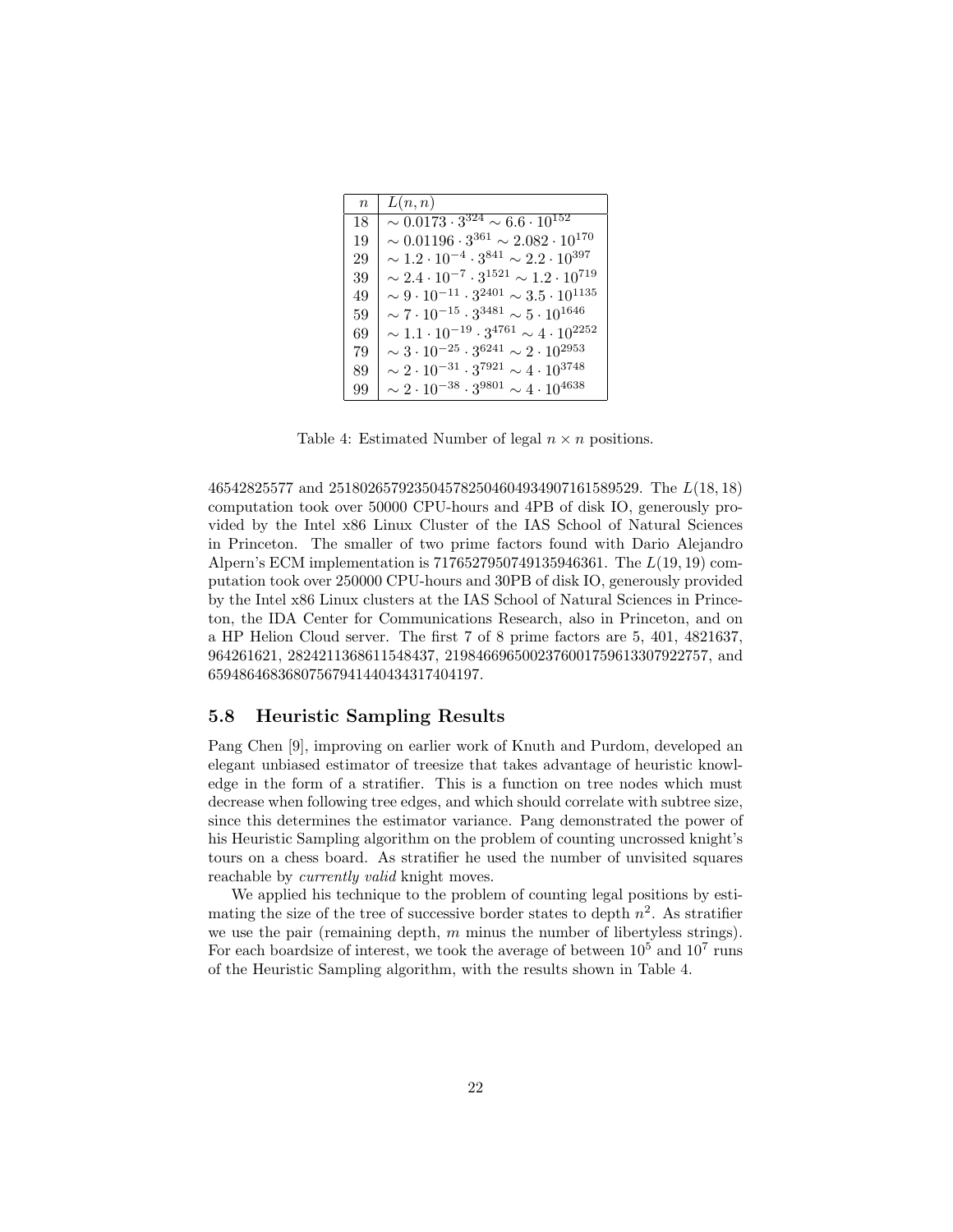| $\boldsymbol{n}$ | L(n,n)                                                          |
|------------------|-----------------------------------------------------------------|
| 18               | $\sim 0.0173 \cdot 3^{324} \sim 6.6 \cdot 10^{152}$             |
| 19               | $\sim 0.01196 \cdot 3^{361} \sim 2.082 \cdot 10^{170}$          |
| 29               | $\sim 1.2 \cdot 10^{-4} \cdot 3^{841} \sim 2.2 \cdot 10^{397}$  |
| 39               | $\sim 2.4 \cdot 10^{-7} \cdot 3^{1521} \sim 1.2 \cdot 10^{719}$ |
| 49               | $\sim 9 \cdot 10^{-11} \cdot 3^{2401} \sim 3.5 \cdot 10^{1135}$ |
| 59               | $\sim 7 \cdot 10^{-15} \cdot 3^{3481} \sim 5 \cdot 10^{1646}$   |
| 69               | $\sim 1.1 \cdot 10^{-19} \cdot 3^{4761} \sim 4 \cdot 10^{2252}$ |
| 79               | $\sim 3\cdot 10^{-25}\cdot 3^{6241}\sim 2\cdot 10^{2953}$       |
| 89               | $\sim 2 \cdot 10^{-31} \cdot 3^{7921} \sim 4 \cdot 10^{3748}$   |
| 99               | $\sim 2\cdot 10^{-38}\cdot 3^{9801}\sim 4\cdot 10^{4638}$       |

Table 4: Estimated Number of legal  $n \times n$  positions.

46542825577 and 2518026579235045782504604934907161589529. The L(18, 18) computation took over 50000 CPU-hours and 4PB of disk IO, generously provided by the Intel x86 Linux Cluster of the IAS School of Natural Sciences in Princeton. The smaller of two prime factors found with Dario Alejandro Alpern's ECM implementation is 7176527950749135946361. The L(19, 19) computation took over 250000 CPU-hours and 30PB of disk IO, generously provided by the Intel x86 Linux clusters at the IAS School of Natural Sciences in Princeton, the IDA Center for Communications Research, also in Princeton, and on a HP Helion Cloud server. The first 7 of 8 prime factors are 5, 401, 4821637, 964261621, 2824211368611548437, 2198466965002376001759613307922757, and 65948646836807567941440434317404197.

### 5.8 Heuristic Sampling Results

Pang Chen [9], improving on earlier work of Knuth and Purdom, developed an elegant unbiased estimator of treesize that takes advantage of heuristic knowledge in the form of a stratifier. This is a function on tree nodes which must decrease when following tree edges, and which should correlate with subtree size, since this determines the estimator variance. Pang demonstrated the power of his Heuristic Sampling algorithm on the problem of counting uncrossed knight's tours on a chess board. As stratifier he used the number of unvisited squares reachable by currently valid knight moves.

We applied his technique to the problem of counting legal positions by estimating the size of the tree of successive border states to depth  $n^2$ . As stratifier we use the pair (remaining depth,  $m$  minus the number of libertyless strings). For each boardsize of interest, we took the average of between  $10^5$  and  $10^7$  runs of the Heuristic Sampling algorithm, with the results shown in Table 4.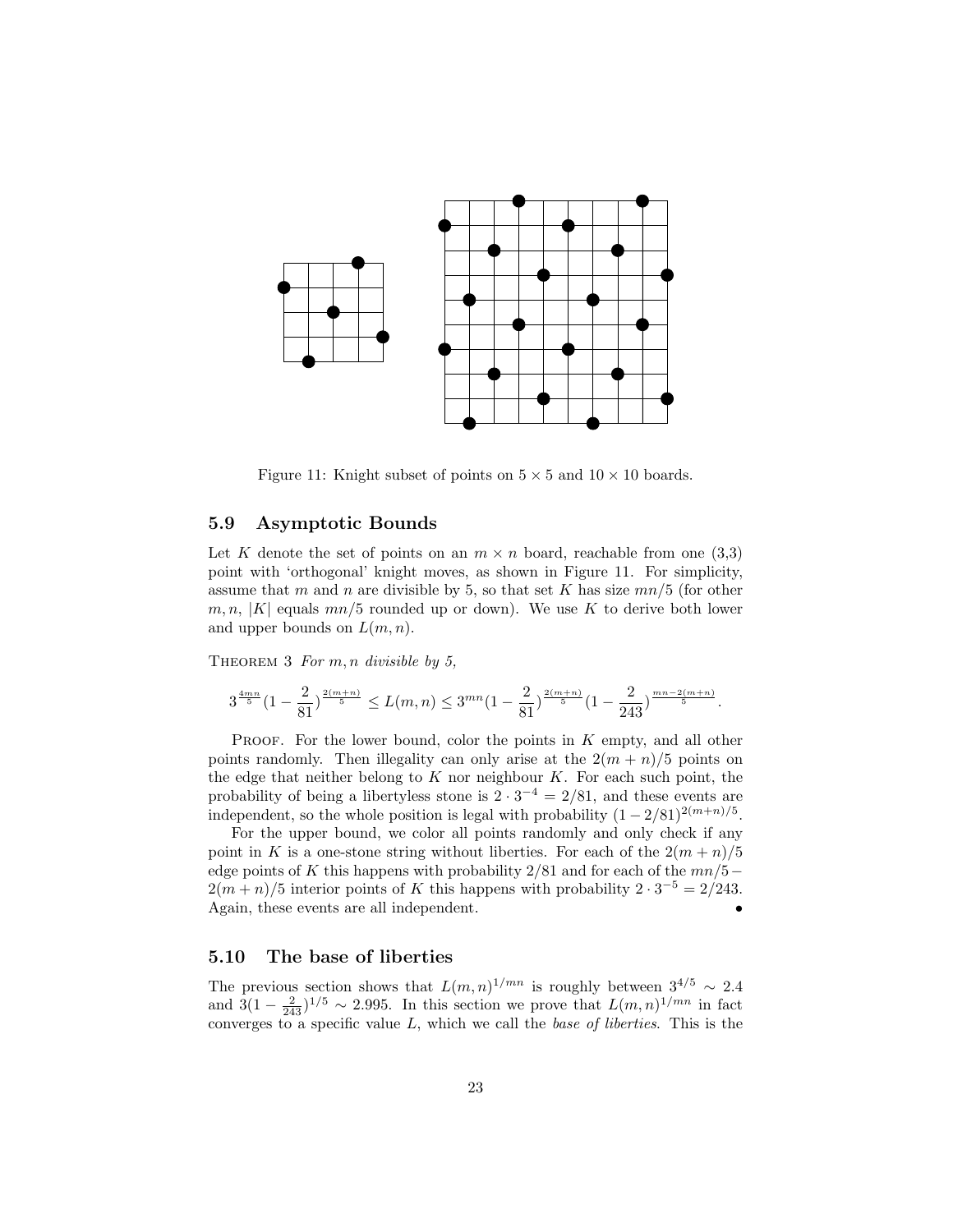

Figure 11: Knight subset of points on  $5 \times 5$  and  $10 \times 10$  boards.

### 5.9 Asymptotic Bounds

Let K denote the set of points on an  $m \times n$  board, reachable from one (3,3) point with 'orthogonal' knight moves, as shown in Figure 11. For simplicity, assume that m and n are divisible by 5, so that set K has size  $mn/5$  (for other  $m, n, |K|$  equals  $mn/5$  rounded up or down). We use K to derive both lower and upper bounds on  $L(m, n)$ .

THEOREM 3 For  $m, n$  divisible by 5,

$$
3^{\frac{4mn}{5}}(1-\frac{2}{81})^{\frac{2(m+n)}{5}} \leq L(m,n) \leq 3^{mn}(1-\frac{2}{81})^{\frac{2(m+n)}{5}}(1-\frac{2}{243})^{\frac{mn-2(m+n)}{5}}.
$$

PROOF. For the lower bound, color the points in  $K$  empty, and all other points randomly. Then illegality can only arise at the  $2(m+n)/5$  points on the edge that neither belong to  $K$  nor neighbour  $K$ . For each such point, the probability of being a libertyless stone is  $2 \cdot 3^{-4} = 2/81$ , and these events are independent, so the whole position is legal with probability  $(1 - 2/81)^{2(m+n)/5}$ .

For the upper bound, we color all points randomly and only check if any point in K is a one-stone string without liberties. For each of the  $2(m+n)/5$ edge points of K this happens with probability  $2/81$  and for each of the  $mn/5 2(m+n)/5$  interior points of K this happens with probability  $2 \cdot 3^{-5} = 2/243$ . Again, these events are all independent.

### 5.10 The base of liberties

The previous section shows that  $L(m, n)^{1/mn}$  is roughly between  $3^{4/5} \sim 2.4$ and  $3(1 - \frac{2}{243})^{1/5} \sim 2.995$ . In this section we prove that  $L(m, n)^{1/mn}$  in fact converges to a specific value  $L$ , which we call the *base of liberties*. This is the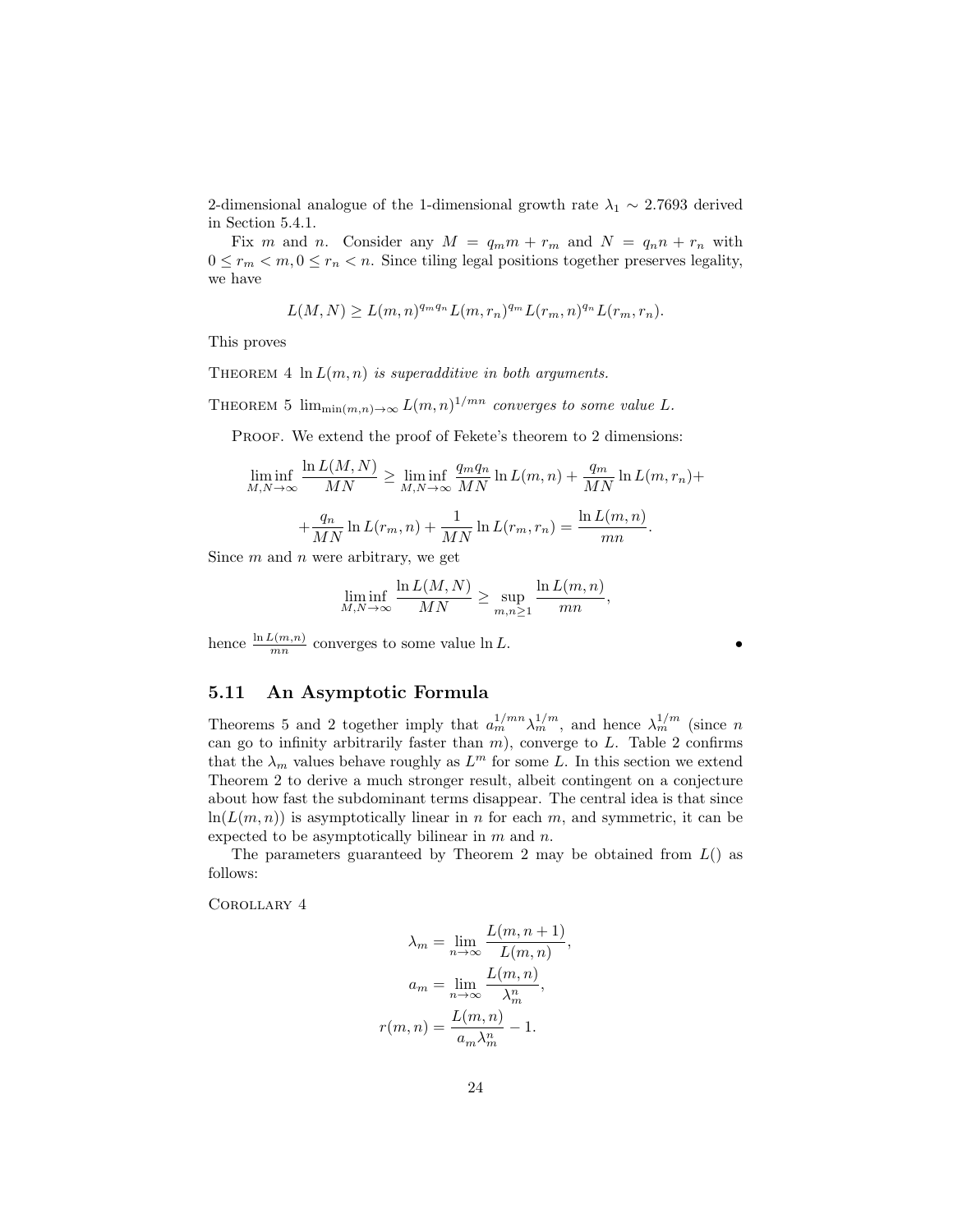2-dimensional analogue of the 1-dimensional growth rate  $\lambda_1 \sim 2.7693$  derived in Section 5.4.1.

Fix m and n. Consider any  $M = q_m m + r_m$  and  $N = q_n n + r_n$  with  $0 \leq r_m < m, 0 \leq r_n < n$ . Since tiling legal positions together preserves legality, we have

$$
L(M, N) \ge L(m, n)^{q_m q_n} L(m, r_n)^{q_m} L(r_m, n)^{q_n} L(r_m, r_n).
$$

This proves

THEOREM 4  $\ln L(m, n)$  is superadditive in both arguments.

THEOREM 5  $\lim_{\min(m,n)\to\infty} L(m,n)^{1/mn}$  converges to some value L.

PROOF. We extend the proof of Fekete's theorem to 2 dimensions:

$$
\liminf_{M,N \to \infty} \frac{\ln L(M,N)}{MN} \ge \liminf_{M,N \to \infty} \frac{q_m q_n}{MN} \ln L(m,n) + \frac{q_m}{MN} \ln L(m,r_n) +
$$

$$
+ \frac{q_n}{MN} \ln L(r_m,n) + \frac{1}{MN} \ln L(r_m,r_n) = \frac{\ln L(m,n)}{mn}.
$$

Since  $m$  and  $n$  were arbitrary, we get

$$
\liminf_{M,N \to \infty} \frac{\ln L(M,N)}{MN} \ge \sup_{m,n \ge 1} \frac{\ln L(m,n)}{mn},
$$

hence  $\frac{\ln L(m,n)}{mn}$  converges to some value  $\ln L$ .

# 5.11 An Asymptotic Formula

Theorems 5 and 2 together imply that  $a_m^{1/mn} \lambda_m^{1/m}$ , and hence  $\lambda_m^{1/m}$  (since n can go to infinity arbitrarily faster than  $m$ ), converge to  $L$ . Table 2 confirms that the  $\lambda_m$  values behave roughly as  $L^m$  for some L. In this section we extend Theorem 2 to derive a much stronger result, albeit contingent on a conjecture about how fast the subdominant terms disappear. The central idea is that since  $ln(L(m, n))$  is asymptotically linear in n for each m, and symmetric, it can be expected to be asymptotically bilinear in  $m$  and  $n$ .

The parameters guaranteed by Theorem 2 may be obtained from  $L()$  as follows:

Corollary 4

$$
\lambda_m = \lim_{n \to \infty} \frac{L(m, n + 1)}{L(m, n)}
$$

$$
a_m = \lim_{n \to \infty} \frac{L(m, n)}{\lambda_n^n},
$$

$$
r(m, n) = \frac{L(m, n)}{a_m \lambda_m^n} - 1.
$$

,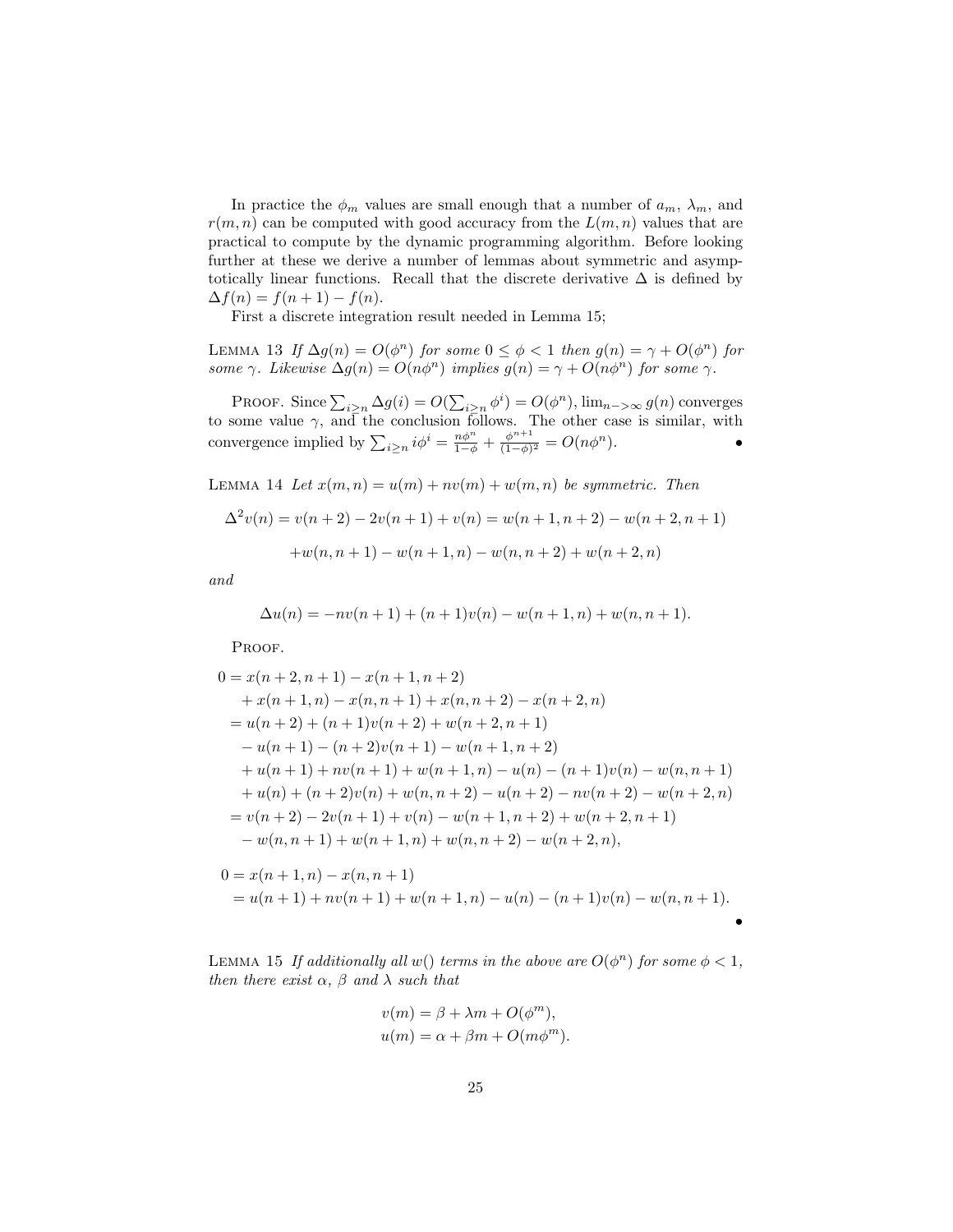In practice the  $\phi_m$  values are small enough that a number of  $a_m$ ,  $\lambda_m$ , and  $r(m, n)$  can be computed with good accuracy from the  $L(m, n)$  values that are practical to compute by the dynamic programming algorithm. Before looking further at these we derive a number of lemmas about symmetric and asymptotically linear functions. Recall that the discrete derivative  $\Delta$  is defined by  $\Delta f(n) = f(n+1) - f(n).$ 

First a discrete integration result needed in Lemma 15;

LEMMA 13 If  $\Delta g(n) = O(\phi^n)$  for some  $0 \le \phi < 1$  then  $g(n) = \gamma + O(\phi^n)$  for some  $\gamma$ . Likewise  $\Delta g(n) = O(n\phi^n)$  implies  $g(n) = \gamma + O(n\phi^n)$  for some  $\gamma$ .

PROOF. Since  $\sum_{i\geq n}\Delta g(i) = O(\sum_{i\geq n}\phi^i) = O(\phi^n)$ ,  $\lim_{n\to\infty} g(n)$  converges to some value  $\gamma$ , and the conclusion follows. The other case is similar, with convergence implied by  $\sum_{i \geq n} i \phi^i = \frac{n \phi^n}{1 - \phi} + \frac{\phi^{n+1}}{(1 - \phi)^n}$  $\frac{\phi^{n+1}}{(1-\phi)^2} = O(n\phi^n).$ 

LEMMA 14 Let  $x(m, n) = u(m) + nv(m) + w(m, n)$  be symmetric. Then

$$
\Delta^2 v(n) = v(n+2) - 2v(n+1) + v(n) = w(n+1, n+2) - w(n+2, n+1)
$$

$$
+ w(n, n+1) - w(n+1, n) - w(n, n+2) + w(n+2, n)
$$

and

$$
\Delta u(n) = -nv(n+1) + (n+1)v(n) - w(n+1, n) + w(n, n+1).
$$

PROOF.

$$
0 = x(n+2, n+1) - x(n+1, n+2)
$$
  
+  $x(n+1, n) - x(n, n+1) + x(n, n+2) - x(n+2, n)$   
=  $u(n+2) + (n+1)v(n+2) + w(n+2, n+1)$   
 $-u(n+1) - (n+2)v(n+1) - w(n+1, n+2)$   
+  $u(n+1) + nv(n+1) + w(n+1, n) - u(n) - (n+1)v(n) - w(n, n+1)$   
+  $u(n) + (n+2)v(n) + w(n, n+2) - u(n+2) - nv(n+2) - w(n+2, n)$   
=  $v(n+2) - 2v(n+1) + v(n) - w(n+1, n+2) + w(n+2, n+1)$   
-  $w(n, n+1) + w(n+1, n) + w(n, n+2) - w(n+2, n),$ 

$$
0 = x(n + 1, n) - x(n, n + 1)
$$
  
=  $u(n + 1) + nv(n + 1) + w(n + 1, n) - u(n) - (n + 1)v(n) - w(n, n + 1).$ 

•

LEMMA 15 If additionally all w() terms in the above are  $O(\phi^n)$  for some  $\phi < 1$ , then there exist  $\alpha$ ,  $\beta$  and  $\lambda$  such that

$$
v(m) = \beta + \lambda m + O(\phi^m),
$$
  

$$
u(m) = \alpha + \beta m + O(m\phi^m).
$$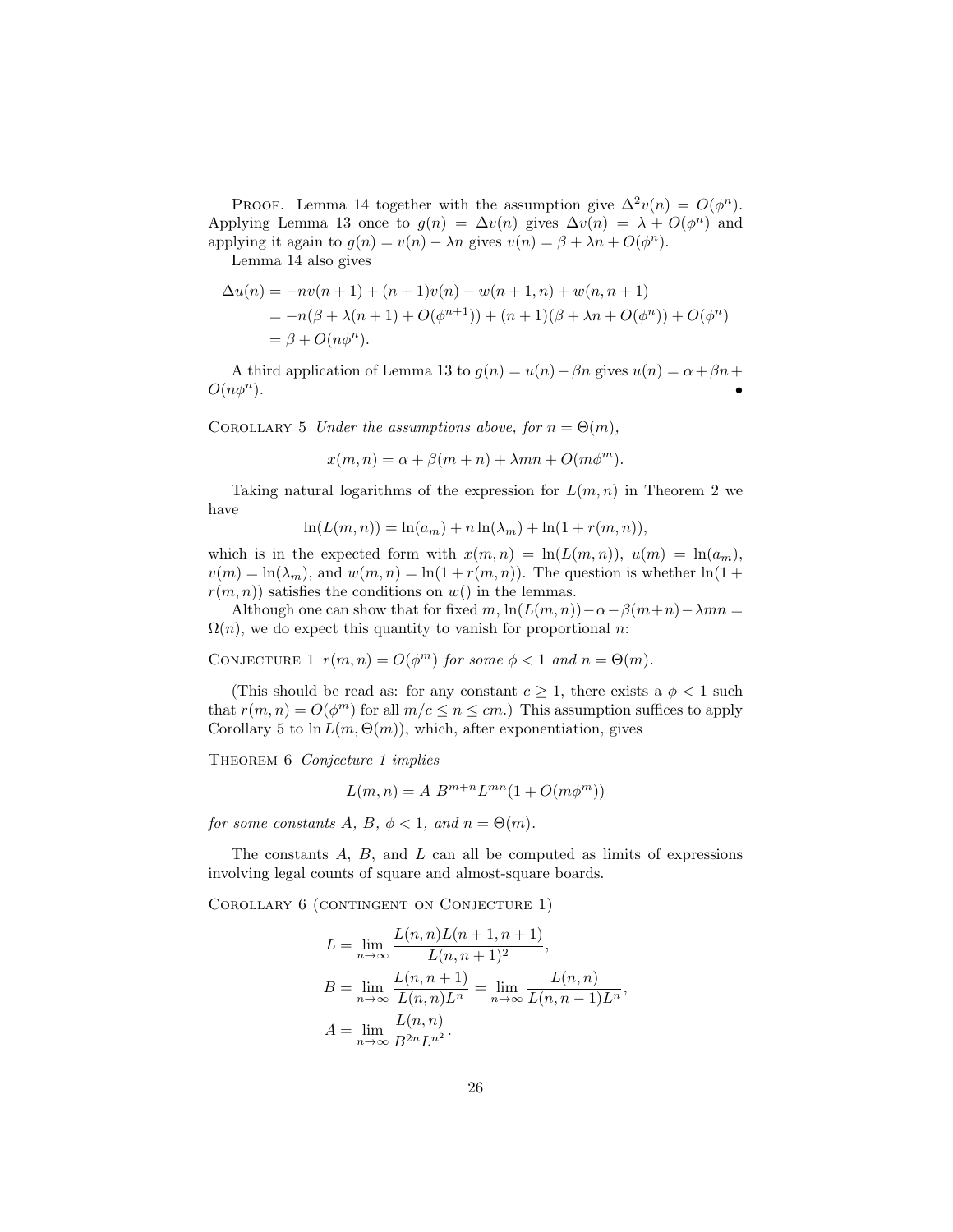PROOF. Lemma 14 together with the assumption give  $\Delta^2 v(n) = O(\phi^n)$ . Applying Lemma 13 once to  $g(n) = \Delta v(n)$  gives  $\Delta v(n) = \lambda + O(\phi^n)$  and applying it again to  $g(n) = v(n) - \lambda n$  gives  $v(n) = \beta + \lambda n + O(\phi^n)$ .

Lemma 14 also gives

$$
\Delta u(n) = -nv(n+1) + (n+1)v(n) - w(n+1, n) + w(n, n+1)
$$
  
=  $-n(\beta + \lambda(n+1) + O(\phi^{n+1})) + (n+1)(\beta + \lambda n + O(\phi^n)) + O(\phi^n)$   
=  $\beta + O(n\phi^n)$ .

A third application of Lemma 13 to  $g(n) = u(n) - \beta n$  gives  $u(n) = \alpha + \beta n + \beta n$  $O(n\phi^n)$ .

COROLLARY 5 Under the assumptions above, for  $n = \Theta(m)$ ,

$$
x(m, n) = \alpha + \beta(m+n) + \lambda mn + O(m\phi^m).
$$

Taking natural logarithms of the expression for  $L(m, n)$  in Theorem 2 we have

$$
\ln(L(m, n)) = \ln(a_m) + n \ln(\lambda_m) + \ln(1 + r(m, n)),
$$

which is in the expected form with  $x(m, n) = \ln(L(m, n)), u(m) = \ln(a_m),$  $v(m) = \ln(\lambda_m)$ , and  $w(m, n) = \ln(1 + r(m, n))$ . The question is whether  $\ln(1 +$  $r(m, n)$  satisfies the conditions on  $w()$  in the lemmas.

Although one can show that for fixed m,  $\ln(L(m, n)) - \alpha - \beta(m+n) - \lambda mn =$  $\Omega(n)$ , we do expect this quantity to vanish for proportional n:

CONJECTURE 1  $r(m, n) = O(\phi^m)$  for some  $\phi < 1$  and  $n = \Theta(m)$ .

(This should be read as: for any constant  $c \geq 1$ , there exists a  $\phi < 1$  such that  $r(m, n) = O(\phi^m)$  for all  $m/c \le n \le cm$ .) This assumption suffices to apply Corollary 5 to  $\ln L(m, \Theta(m))$ , which, after exponentiation, gives

THEOREM 6 Conjecture 1 implies

$$
L(m,n) = A B^{m+n} L^{mn} (1 + O(m\phi^m))
$$

for some constants A, B,  $\phi < 1$ , and  $n = \Theta(m)$ .

The constants  $A, B$ , and  $L$  can all be computed as limits of expressions involving legal counts of square and almost-square boards.

COROLLARY 6 (CONTINGENT ON CONJECTURE 1)

$$
L = \lim_{n \to \infty} \frac{L(n, n)L(n+1, n+1)}{L(n, n+1)^2},
$$
  
\n
$$
B = \lim_{n \to \infty} \frac{L(n, n+1)}{L(n, n)L^n} = \lim_{n \to \infty} \frac{L(n, n)}{L(n, n-1)L^n},
$$
  
\n
$$
A = \lim_{n \to \infty} \frac{L(n, n)}{B^{2n}L^{n^2}}.
$$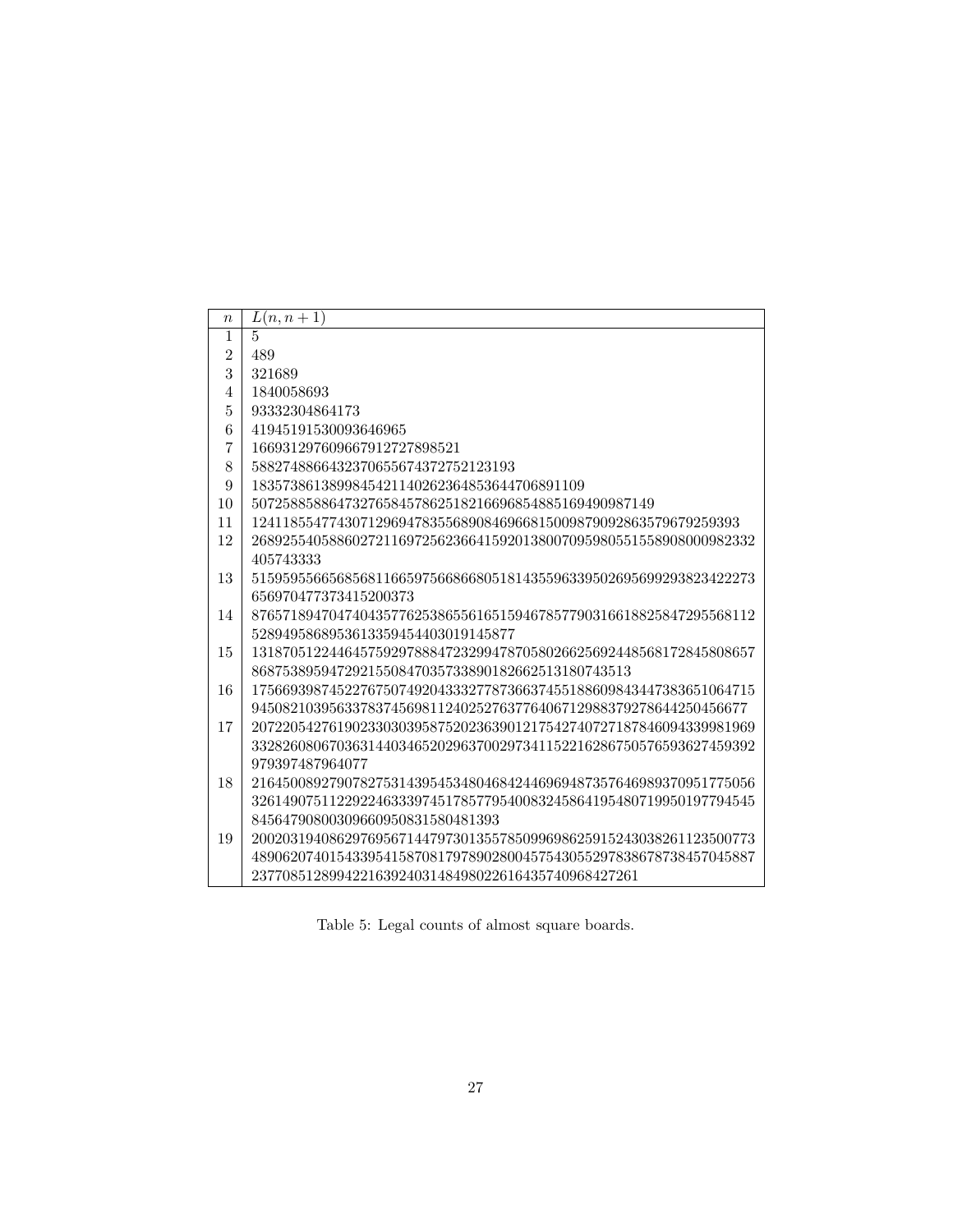| $\, n$         | $L(n, n+1)$                                                       |
|----------------|-------------------------------------------------------------------|
| 1              | $\overline{5}$                                                    |
| $\overline{2}$ | 489                                                               |
| 3              | 321689                                                            |
| 4              | 1840058693                                                        |
| 5              | 93332304864173                                                    |
| 6              | 41945191530093646965                                              |
| $\overline{7}$ | 166931297609667912727898521                                       |
| 8              | 5882748866432370655674372752123193                                |
| 9              | 1835738613899845421140262364853644706891109                       |
| 10             | 5072588588647327658457862518216696854885169490987149              |
| 11             | 124118554774307129694783556890846966815009879092863579679259393   |
| 12             | 26892554058860272116972562366415920138007095980551558908000982332 |
|                | 405743333                                                         |
| 13             | 51595955665685681166597566866805181435596339502695699293823422273 |
|                | 656970477373415200373                                             |
| 14             | 87657189470474043577625386556165159467857790316618825847295568112 |
|                | 5289495868953613359454403019145877                                |
| 15             | 13187051224464575929788847232994787058026625692448568172845808657 |
|                | 8687538959472921550847035733890182662513180743513                 |
| 16             | 17566939874522767507492043332778736637455188609843447383651064715 |
|                | 9450821039563378374569811240252763776406712988379278644250456677  |
| 17             | 20722054276190233030395875202363901217542740727187846094339981969 |
|                | 33282608067036314403465202963700297341152216286750576593627459392 |
|                | 979397487964077                                                   |
| 18             | 21645008927907827531439545348046842446969487357646989370951775056 |
|                | 32614907511229224633397451785779540083245864195480719950197794545 |
|                | 84564790800309660950831580481393                                  |
| 19             | 20020319408629769567144797301355785099698625915243038261123500773 |
|                | 48906207401543395415870817978902800457543055297838678738457045887 |
|                | 23770851289942216392403148498022616435740968427261                |

Table 5: Legal counts of almost square boards.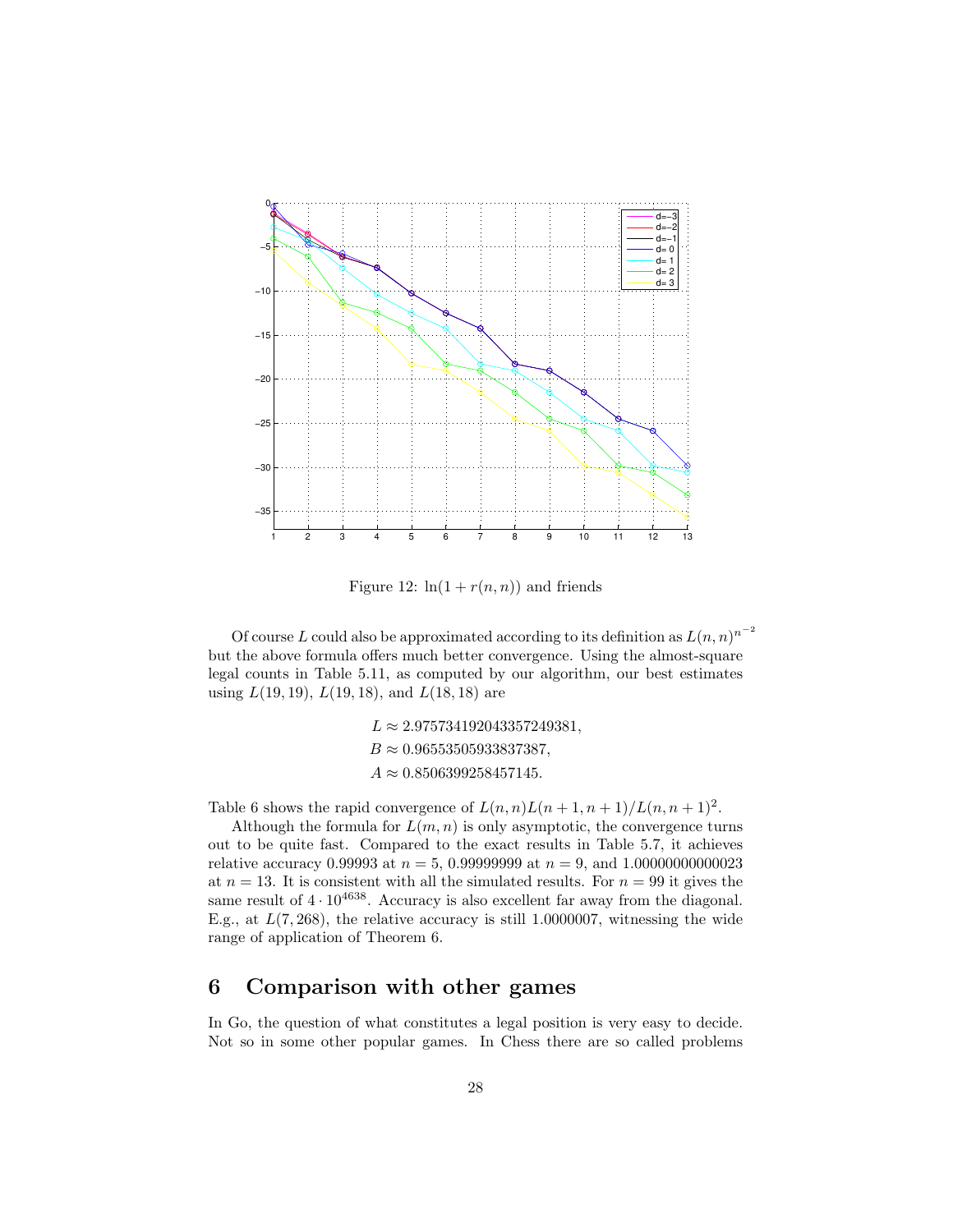

Figure 12:  $\ln(1 + r(n, n))$  and friends

Of course L could also be approximated according to its definition as  $L(n, n)^{n^{-2}}$ but the above formula offers much better convergence. Using the almost-square legal counts in Table 5.11, as computed by our algorithm, our best estimates using  $L(19, 19)$ ,  $L(19, 18)$ , and  $L(18, 18)$  are

> $L \approx 2.975734192043357249381,$  $B \approx 0.96553505933837387,$  $A \approx 0.8506399258457145.$

Table 6 shows the rapid convergence of  $L(n, n)L(n+1, n+1)/L(n, n+1)^2$ .

Although the formula for  $L(m, n)$  is only asymptotic, the convergence turns out to be quite fast. Compared to the exact results in Table 5.7, it achieves relative accuracy 0.99993 at  $n = 5$ , 0.99999999 at  $n = 9$ , and 1.00000000000023 at  $n = 13$ . It is consistent with all the simulated results. For  $n = 99$  it gives the same result of  $4 \cdot 10^{4638}$ . Accuracy is also excellent far away from the diagonal. E.g., at  $L(7, 268)$ , the relative accuracy is still 1.0000007, witnessing the wide range of application of Theorem 6.

# 6 Comparison with other games

In Go, the question of what constitutes a legal position is very easy to decide. Not so in some other popular games. In Chess there are so called problems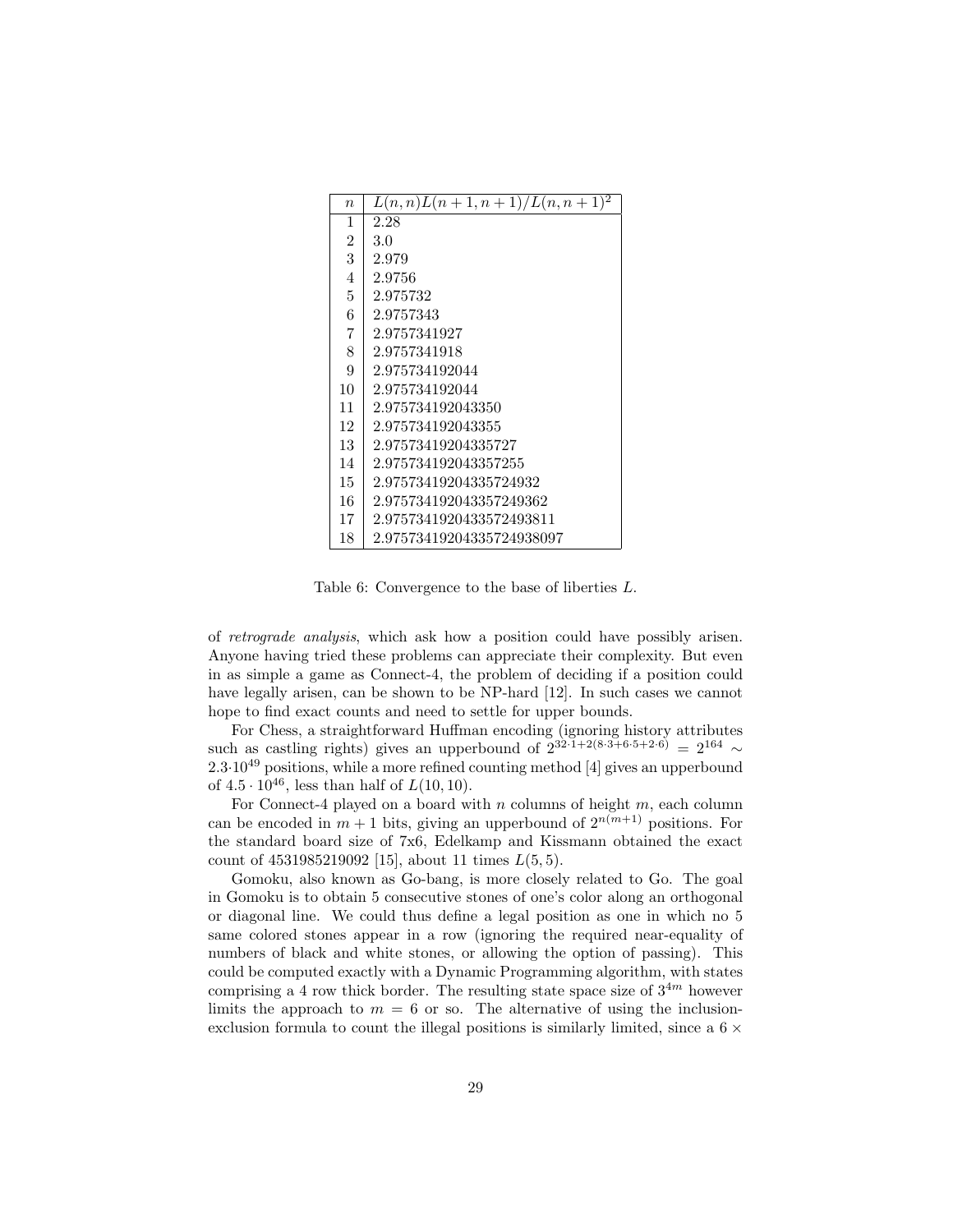| $\eta$         | $L(n,n)L(n+1,n+1)/L(n,n+1)^2$ |
|----------------|-------------------------------|
| 1              | 2.28                          |
| $\overline{2}$ | 3.0                           |
| 3              | 2.979                         |
| 4              | 2.9756                        |
| 5              | 2.975732                      |
| 6              | 2.9757343                     |
| 7              | 2.9757341927                  |
| 8              | 2.9757341918                  |
| 9              | 2.975734192044                |
| 10             | 2.975734192044                |
| 11             | 2.975734192043350             |
| 12             | 2.975734192043355             |
| 13             | 2.97573419204335727           |
| 14             | 2.975734192043357255          |
| 15             | 2.97573419204335724932        |
| 16             | 2.975734192043357249362       |
| 17             | 2.9757341920433572493811      |
| 18             | 2.97573419204335724938097     |

Table 6: Convergence to the base of liberties L.

of retrograde analysis, which ask how a position could have possibly arisen. Anyone having tried these problems can appreciate their complexity. But even in as simple a game as Connect-4, the problem of deciding if a position could have legally arisen, can be shown to be NP-hard [12]. In such cases we cannot hope to find exact counts and need to settle for upper bounds.

For Chess, a straightforward Huffman encoding (ignoring history attributes such as castling rights) gives an upperbound of  $2^{32 \cdot 1+2(8 \cdot 3+6 \cdot 5+2 \cdot 6)} = 2^{164} \sim$  $2.3 \cdot 10^{49}$  positions, while a more refined counting method [4] gives an upperbound of  $4.5 \cdot 10^{46}$ , less than half of  $L(10, 10)$ .

For Connect-4 played on a board with  $n$  columns of height  $m$ , each column can be encoded in  $m + 1$  bits, giving an upperbound of  $2^{n(m+1)}$  positions. For the standard board size of 7x6, Edelkamp and Kissmann obtained the exact count of  $4531985219092$  [15], about 11 times  $L(5,5)$ .

Gomoku, also known as Go-bang, is more closely related to Go. The goal in Gomoku is to obtain 5 consecutive stones of one's color along an orthogonal or diagonal line. We could thus define a legal position as one in which no 5 same colored stones appear in a row (ignoring the required near-equality of numbers of black and white stones, or allowing the option of passing). This could be computed exactly with a Dynamic Programming algorithm, with states comprising a 4 row thick border. The resulting state space size of  $3^{4m}$  however limits the approach to  $m = 6$  or so. The alternative of using the inclusionexclusion formula to count the illegal positions is similarly limited, since a  $6 \times$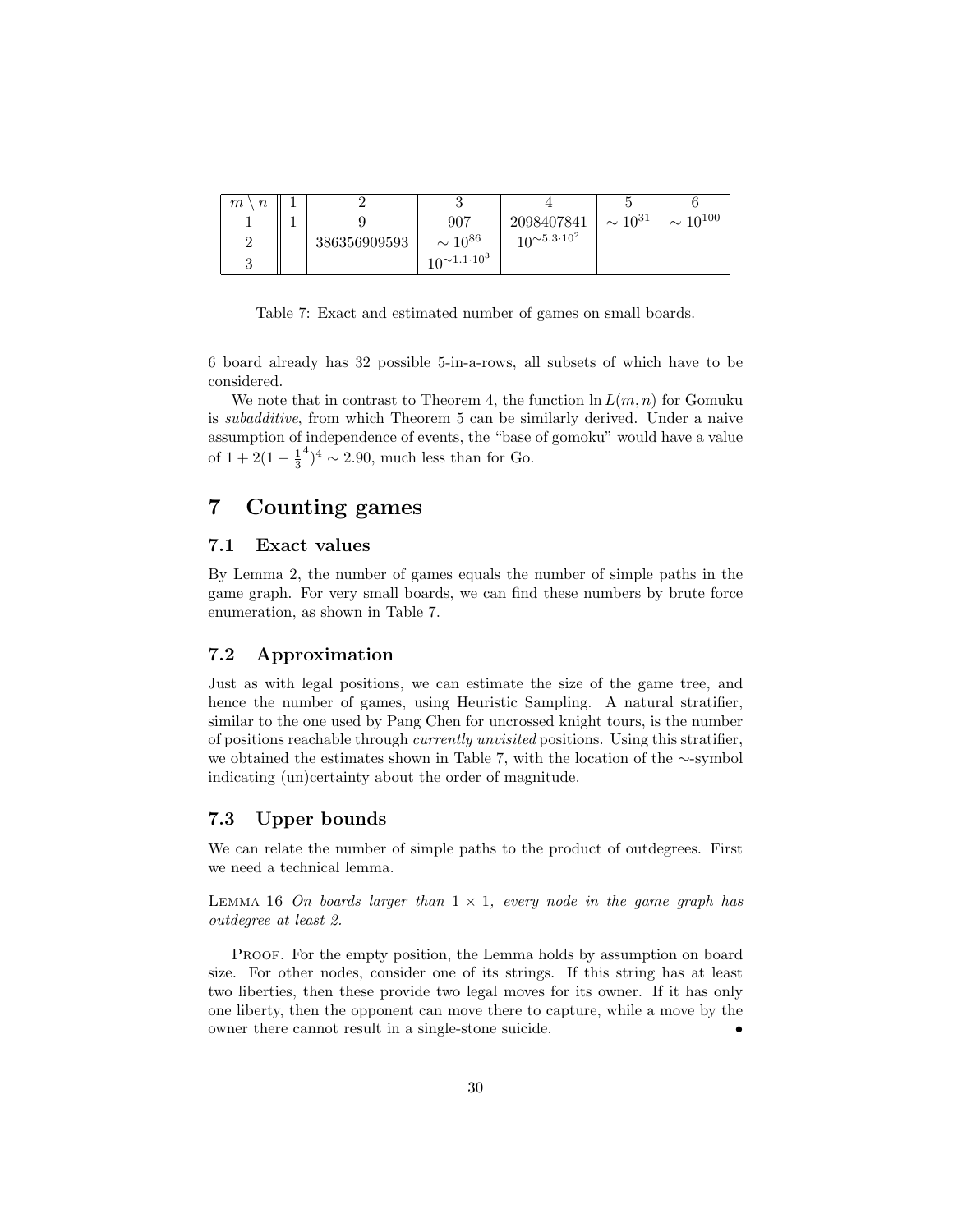| $\eta$<br>m |              |                            |                            |                           |                            |
|-------------|--------------|----------------------------|----------------------------|---------------------------|----------------------------|
|             |              | 907                        | 2098407841                 | $\sim \overline{10^{31}}$ | $\sim \overline{10^{100}}$ |
|             | 386356909593 | $\sim 10^{86}$             | $10^{\sim 5.3 \cdot 10^2}$ |                           |                            |
|             |              | $10^{\sim 1.1 \cdot 10^3}$ |                            |                           |                            |

Table 7: Exact and estimated number of games on small boards.

6 board already has 32 possible 5-in-a-rows, all subsets of which have to be considered.

We note that in contrast to Theorem 4, the function  $\ln L(m, n)$  for Gomuku is subadditive, from which Theorem 5 can be similarly derived. Under a naive assumption of independence of events, the "base of gomoku" would have a value of  $1 + 2(1 - \frac{1}{3})$  $^{4})^{4} \sim 2.90$ , much less than for Go.

# 7 Counting games

### 7.1 Exact values

By Lemma 2, the number of games equals the number of simple paths in the game graph. For very small boards, we can find these numbers by brute force enumeration, as shown in Table 7.

# 7.2 Approximation

Just as with legal positions, we can estimate the size of the game tree, and hence the number of games, using Heuristic Sampling. A natural stratifier, similar to the one used by Pang Chen for uncrossed knight tours, is the number of positions reachable through currently unvisited positions. Using this stratifier, we obtained the estimates shown in Table 7, with the location of the ∼-symbol indicating (un)certainty about the order of magnitude.

### 7.3 Upper bounds

We can relate the number of simple paths to the product of outdegrees. First we need a technical lemma.

LEMMA 16 On boards larger than  $1 \times 1$ , every node in the game graph has outdegree at least 2.

PROOF. For the empty position, the Lemma holds by assumption on board size. For other nodes, consider one of its strings. If this string has at least two liberties, then these provide two legal moves for its owner. If it has only one liberty, then the opponent can move there to capture, while a move by the owner there cannot result in a single-stone suicide. •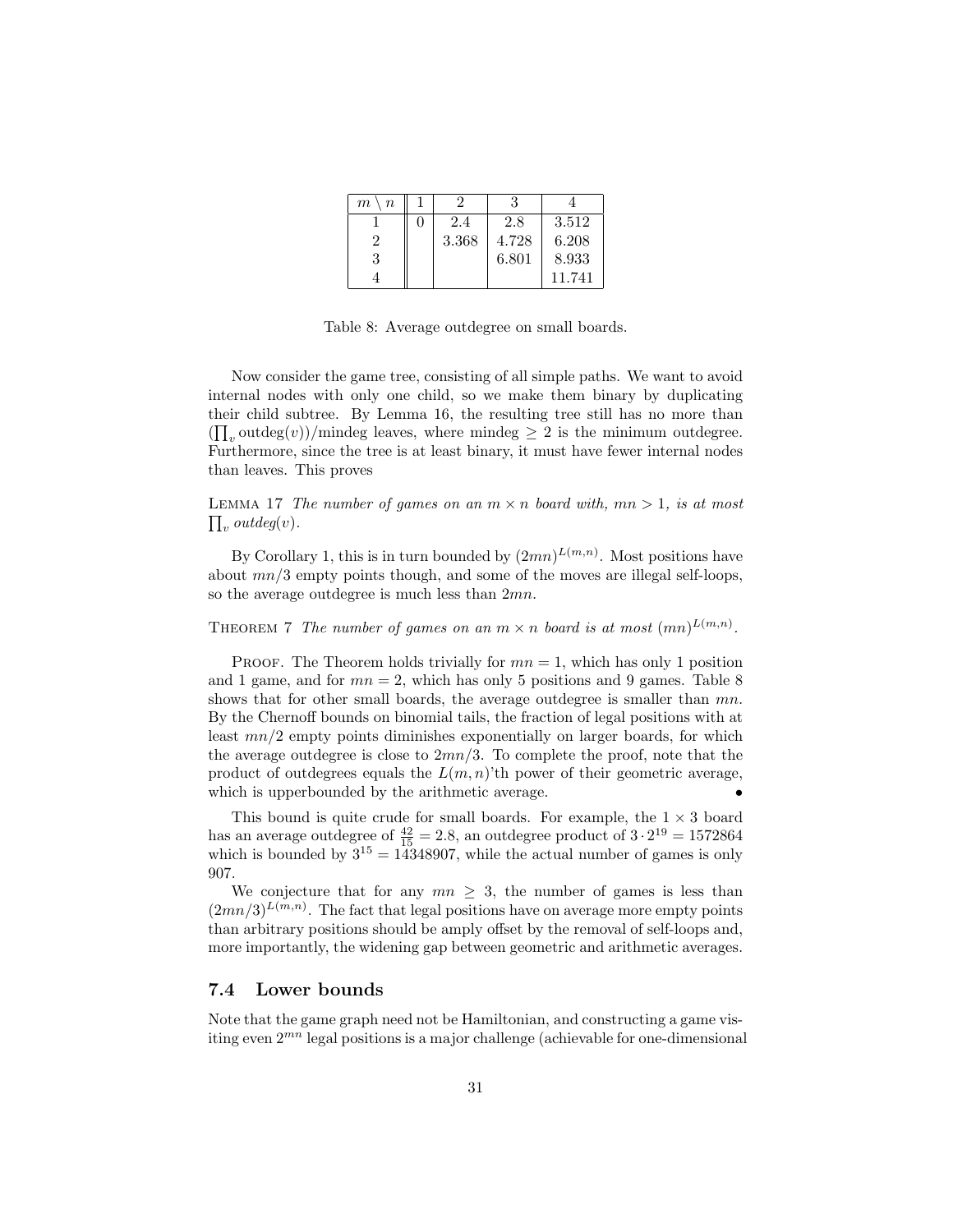| m<br>$\it{n}$ |   |       |       |        |
|---------------|---|-------|-------|--------|
|               | 0 | 2.4   | 2.8   | 3.512  |
|               |   | 3.368 | 4.728 | 6.208  |
| 3             |   |       | 6.801 | 8.933  |
|               |   |       |       | 11.741 |

Table 8: Average outdegree on small boards.

Now consider the game tree, consisting of all simple paths. We want to avoid internal nodes with only one child, so we make them binary by duplicating their child subtree. By Lemma 16, the resulting tree still has no more than  $(\prod_{v} outdeg(v))/$ mindeg leaves, where mindeg  $\geq 2$  is the minimum outdegree. Furthermore, since the tree is at least binary, it must have fewer internal nodes than leaves. This proves

 $\prod_v outdeg(v)$ . LEMMA 17 The number of games on an  $m \times n$  board with,  $mn > 1$ , is at most

By Corollary 1, this is in turn bounded by  $(2mn)^{L(m,n)}$ . Most positions have about  $mn/3$  empty points though, and some of the moves are illegal self-loops, so the average outdegree is much less than 2mn.

THEOREM 7 The number of games on an  $m \times n$  board is at most  $(mn)^{L(m,n)}$ .

PROOF. The Theorem holds trivially for  $mn = 1$ , which has only 1 position and 1 game, and for  $mn = 2$ , which has only 5 positions and 9 games. Table 8 shows that for other small boards, the average outdegree is smaller than  $mn$ . By the Chernoff bounds on binomial tails, the fraction of legal positions with at least mn/2 empty points diminishes exponentially on larger boards, for which the average outdegree is close to  $2mn/3$ . To complete the proof, note that the product of outdegrees equals the  $L(m, n)$ 'th power of their geometric average, which is upperbounded by the arithmetic average.

This bound is quite crude for small boards. For example, the  $1 \times 3$  board has an average outdegree of  $\frac{42}{15} = 2.8$ , an outdegree product of  $3 \cdot 2^{19} = 1572864$ which is bounded by  $3^{15} = 14348907$ , while the actual number of games is only 907.

We conjecture that for any  $mn \geq 3$ , the number of games is less than  $(2mn/3)^{L(m,n)}$ . The fact that legal positions have on average more empty points than arbitrary positions should be amply offset by the removal of self-loops and, more importantly, the widening gap between geometric and arithmetic averages.

#### 7.4 Lower bounds

Note that the game graph need not be Hamiltonian, and constructing a game visiting even  $2^{mn}$  legal positions is a major challenge (achievable for one-dimensional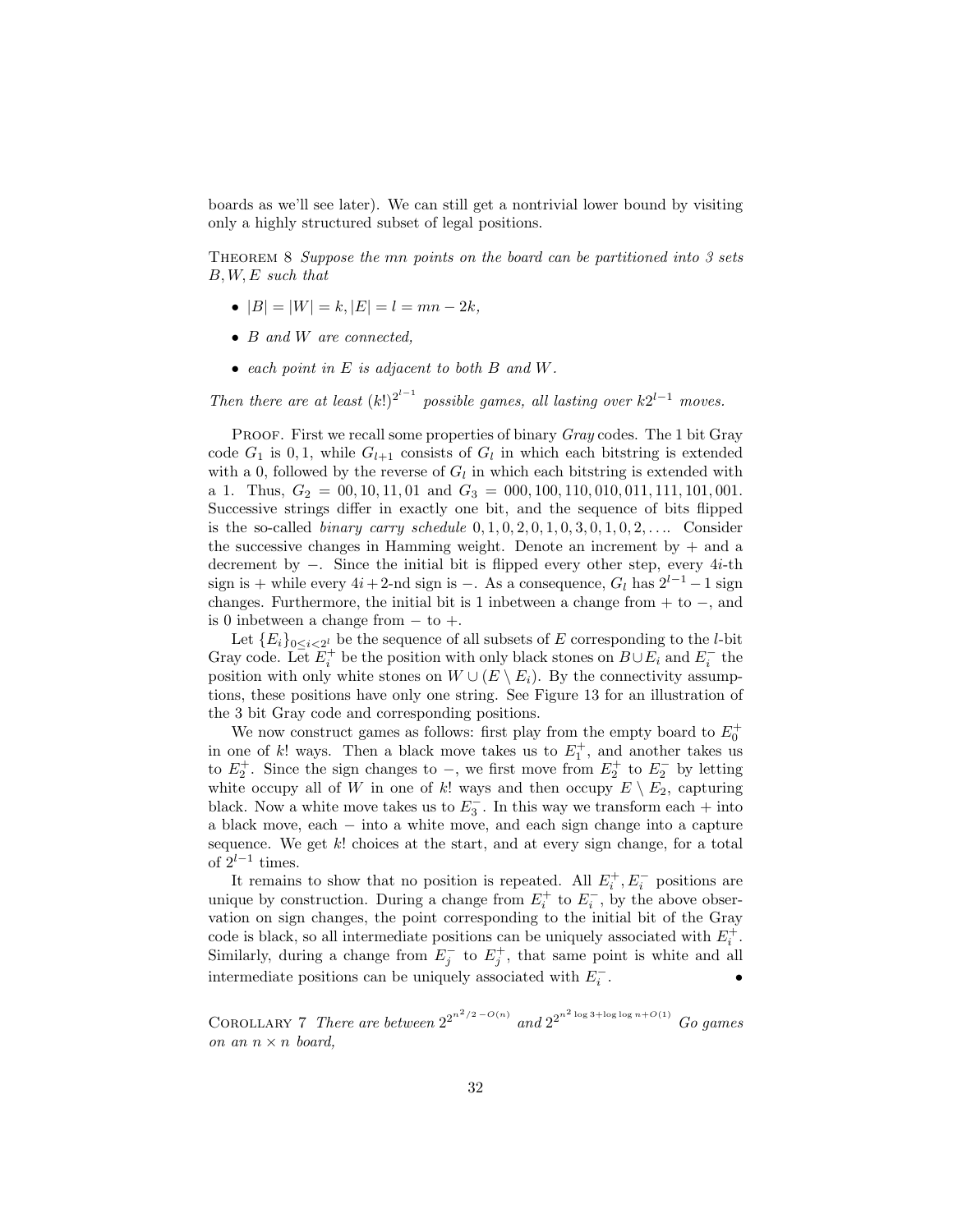boards as we'll see later). We can still get a nontrivial lower bound by visiting only a highly structured subset of legal positions.

THEOREM 8 Suppose the mn points on the board can be partitioned into 3 sets B, W, E such that

- $|B| = |W| = k$ ,  $|E| = l = mn 2k$ .
- B and W are connected.
- each point in E is adjacent to both B and W.

Then there are at least  $(k!)^{2^{l-1}}$  possible games, all lasting over  $k2^{l-1}$  moves.

PROOF. First we recall some properties of binary Gray codes. The 1 bit Gray code  $G_1$  is 0, 1, while  $G_{l+1}$  consists of  $G_l$  in which each bitstring is extended with a 0, followed by the reverse of  $G_l$  in which each bitstring is extended with a 1. Thus,  $G_2 = 00, 10, 11, 01$  and  $G_3 = 000, 100, 110, 010, 011, 111, 101, 001$ . Successive strings differ in exactly one bit, and the sequence of bits flipped is the so-called *binary carry schedule*  $0, 1, 0, 2, 0, 1, 0, 3, 0, 1, 0, 2, \ldots$  Consider the successive changes in Hamming weight. Denote an increment by  $+$  and a decrement by −. Since the initial bit is flipped every other step, every 4i-th sign is + while every  $4i+2$ -nd sign is −. As a consequence,  $G_l$  has  $2^{l-1}-1$  sign changes. Furthermore, the initial bit is 1 inbetween a change from + to −, and is 0 inbetween a change from  $-$  to  $+$ .

Let  ${E_i}_{0 \leq i \leq 2^l}$  be the sequence of all subsets of E corresponding to the *l*-bit Gray code. Let  $E_i^+$  be the position with only black stones on  $B \cup E_i$  and  $E_i^-$  the position with only white stones on  $W \cup (E \setminus E_i)$ . By the connectivity assumptions, these positions have only one string. See Figure 13 for an illustration of the 3 bit Gray code and corresponding positions.

We now construct games as follows: first play from the empty board to  $E_0^+$ in one of k! ways. Then a black move takes us to  $E_1^+$ , and another takes us to  $E_2^+$ . Since the sign changes to –, we first move from  $E_2^+$  to  $E_2^-$  by letting white occupy all of W in one of k! ways and then occupy  $E \setminus E_2$ , capturing black. Now a white move takes us to  $E_3^-$ . In this way we transform each + into a black move, each − into a white move, and each sign change into a capture sequence. We get  $k!$  choices at the start, and at every sign change, for a total of  $2^{l-1}$  times.

It remains to show that no position is repeated. All  $E_i^+, E_i^-$  positions are unique by construction. During a change from  $E_i^+$  to  $E_i^-$ , by the above observation on sign changes, the point corresponding to the initial bit of the Gray code is black, so all intermediate positions can be uniquely associated with  $E_i^+$ . Similarly, during a change from  $E_j^-$  to  $E_j^+$ , that same point is white and all intermediate positions can be uniquely associated with  $E_i^{\mathrm{-}}$  $\mathbf{r}$   $\mathbf{r}$   $\mathbf{r}$   $\mathbf{r}$   $\mathbf{r}$ 

COROLLARY 7 There are between  $2^{2^{n^2/2 - O(n)}}$  and  $2^{2^{n^2 \log 3 + \log \log n + O(1)}}$  Go games on an  $n \times n$  board,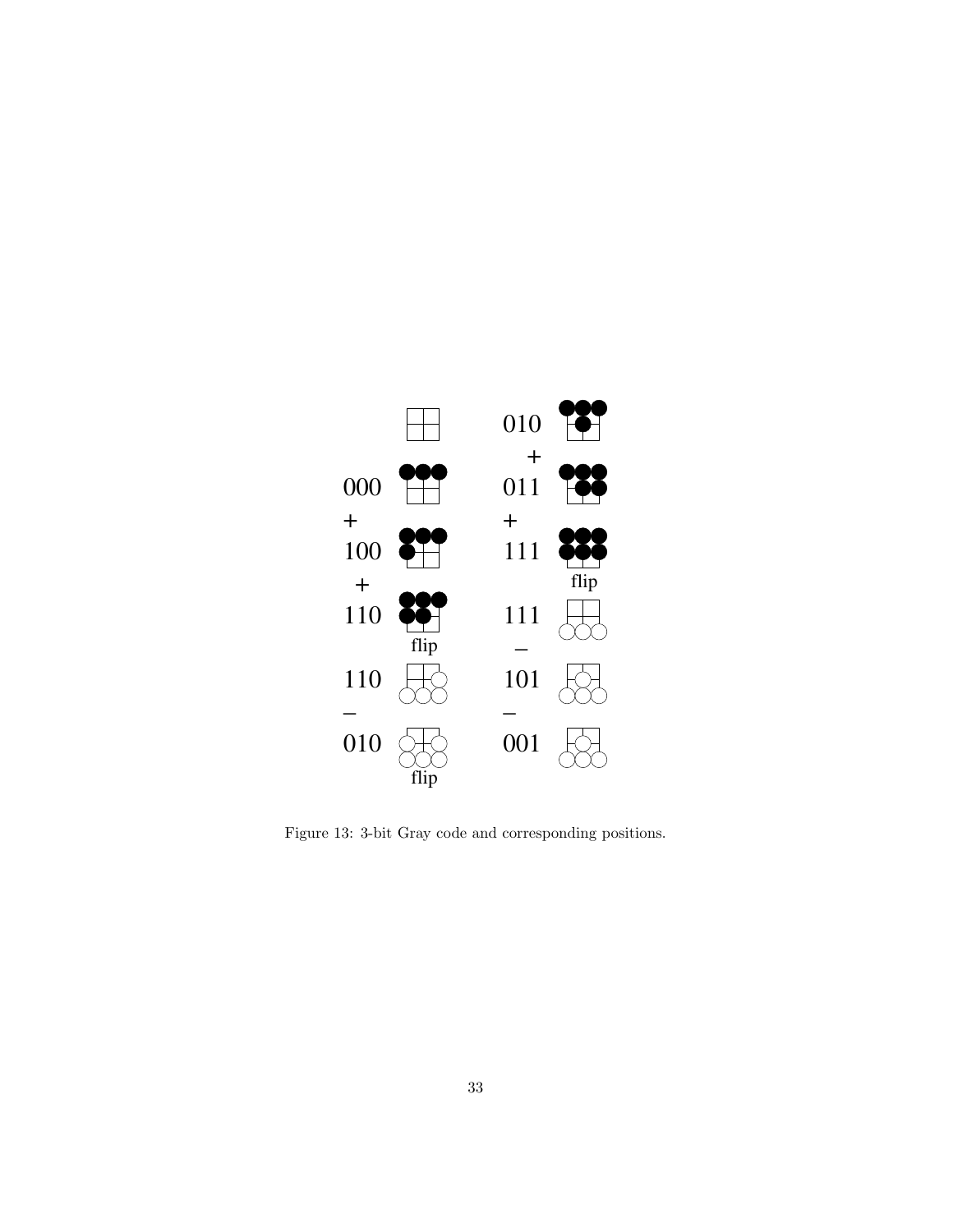

Figure 13: 3-bit Gray code and corresponding positions.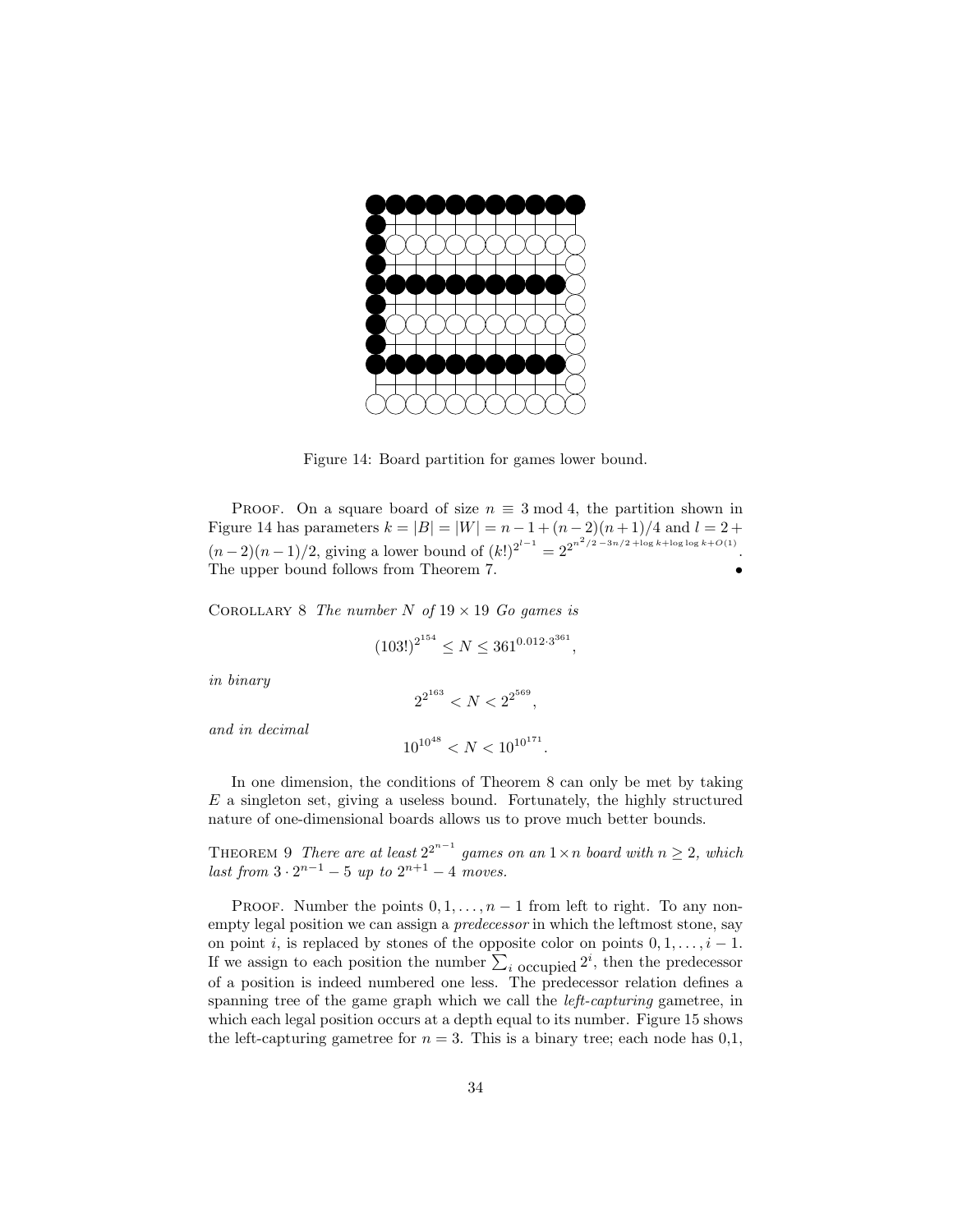

Figure 14: Board partition for games lower bound.

PROOF. On a square board of size  $n \equiv 3 \mod 4$ , the partition shown in Figure 14 has parameters  $k = |B| = |W| = n - 1 + (n - 2)(n + 1)/4$  and  $l = 2 +$  $(n-2)(n-1)/2$ , giving a lower bound of  $(k!)^{2^{l-1}} = 2^{2^{n^2/2 - 3n/2 + \log k + \log \log k + O(1)}}$ . The upper bound follows from Theorem 7.

COROLLARY 8 The number N of  $19 \times 19$  Go games is

$$
(103!)^{2^{154}} \le N \le 361^{0.012 \cdot 3^{361}},
$$

in binary

$$
2^{2^{163}} < N < 2^{2^{569}},
$$

and in decimal

$$
10^{10^{48}} < N < 10^{10^{171}}.
$$

In one dimension, the conditions of Theorem 8 can only be met by taking  $E$  a singleton set, giving a useless bound. Fortunately, the highly structured nature of one-dimensional boards allows us to prove much better bounds.

THEOREM 9 There are at least  $2^{2^{n-1}}$  games on an  $1 \times n$  board with  $n \geq 2$ , which last from  $3 \cdot 2^{n-1} - 5$  up to  $2^{n+1} - 4$  moves.

PROOF. Number the points  $0, 1, \ldots, n-1$  from left to right. To any nonempty legal position we can assign a predecessor in which the leftmost stone, say on point i, is replaced by stones of the opposite color on points  $0, 1, \ldots, i - 1$ . If we assign to each position the number  $\sum_i$  occupied  $2^i$ , then the predecessor of a position is indeed numbered one less. The predecessor relation defines a spanning tree of the game graph which we call the left-capturing gametree, in which each legal position occurs at a depth equal to its number. Figure 15 shows the left-capturing gametree for  $n = 3$ . This is a binary tree; each node has 0,1,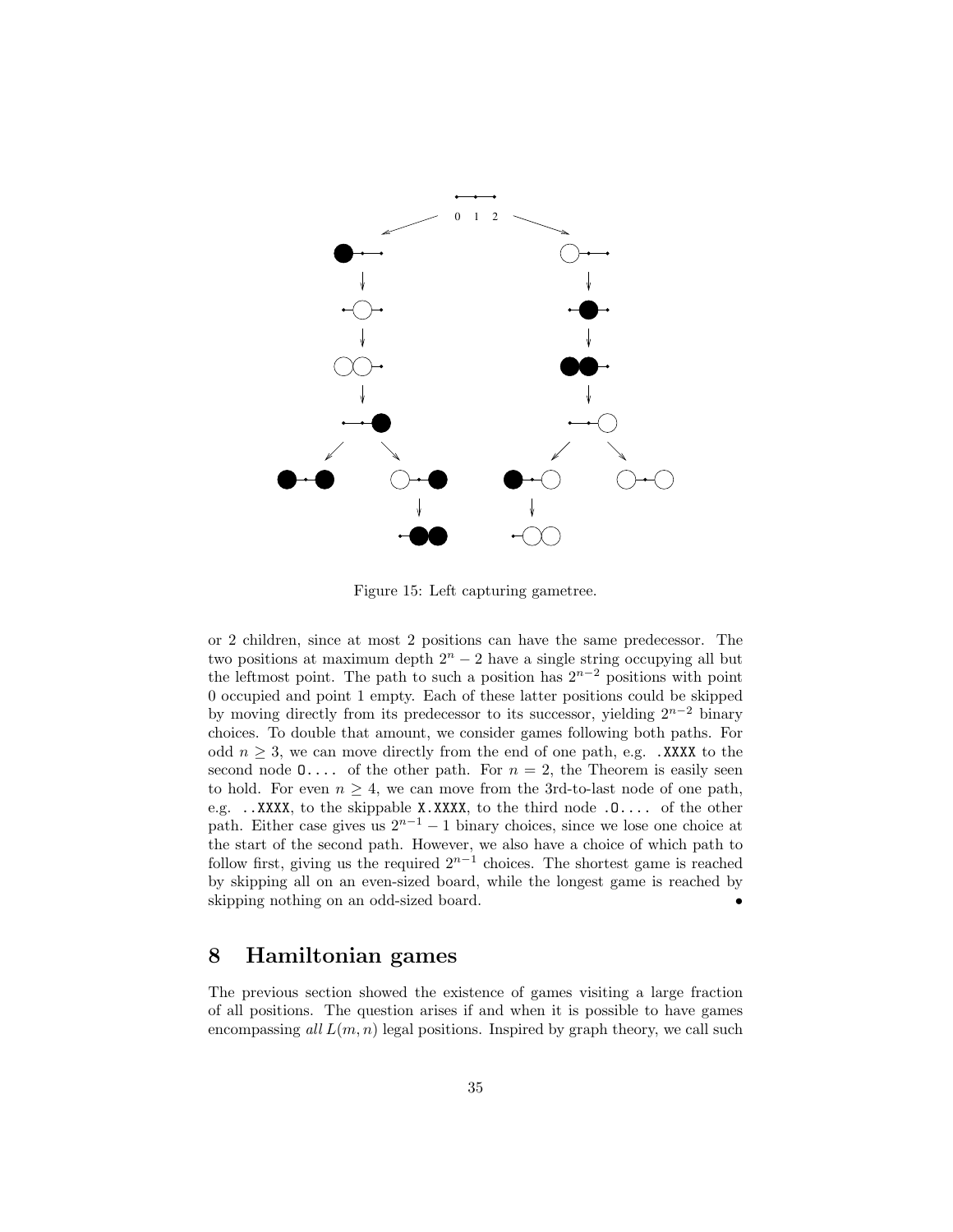

Figure 15: Left capturing gametree.

or 2 children, since at most 2 positions can have the same predecessor. The two positions at maximum depth  $2<sup>n</sup> - 2$  have a single string occupying all but the leftmost point. The path to such a position has  $2^{n-2}$  positions with point 0 occupied and point 1 empty. Each of these latter positions could be skipped by moving directly from its predecessor to its successor, yielding  $2^{n-2}$  binary choices. To double that amount, we consider games following both paths. For odd  $n \geq 3$ , we can move directly from the end of one path, e.g. .XXXX to the second node  $0 \ldots$  of the other path. For  $n = 2$ , the Theorem is easily seen to hold. For even  $n \geq 4$ , we can move from the 3rd-to-last node of one path, e.g. ..XXXX, to the skippable X.XXXX, to the third node .O.... of the other path. Either case gives us  $2^{n-1} - 1$  binary choices, since we lose one choice at the start of the second path. However, we also have a choice of which path to follow first, giving us the required  $2^{n-1}$  choices. The shortest game is reached by skipping all on an even-sized board, while the longest game is reached by skipping nothing on an odd-sized board. •

# 8 Hamiltonian games

The previous section showed the existence of games visiting a large fraction of all positions. The question arises if and when it is possible to have games encompassing all  $L(m, n)$  legal positions. Inspired by graph theory, we call such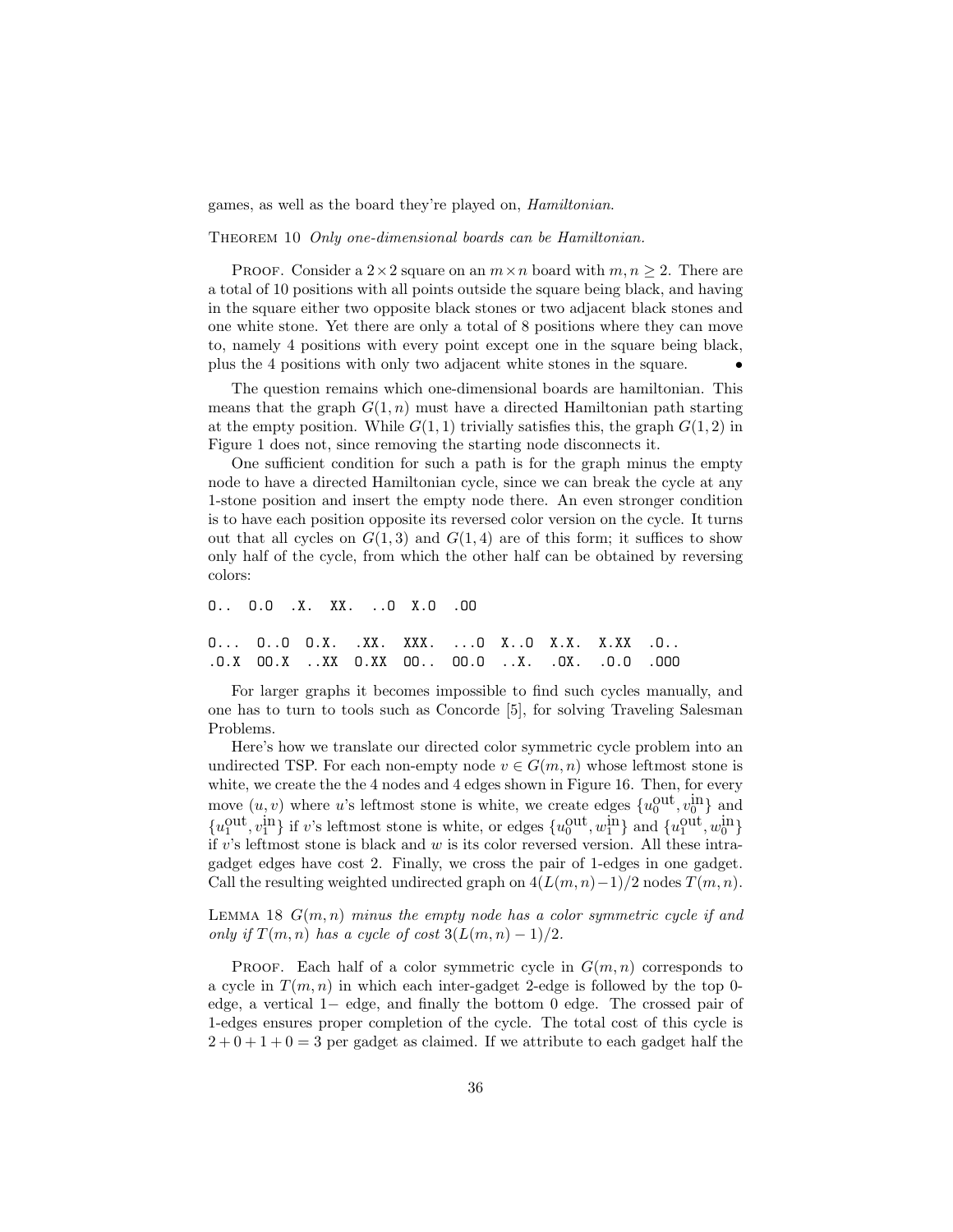games, as well as the board they're played on, Hamiltonian.

THEOREM 10 Only one-dimensional boards can be Hamiltonian.

**PROOF.** Consider a  $2 \times 2$  square on an  $m \times n$  board with  $m, n \geq 2$ . There are a total of 10 positions with all points outside the square being black, and having in the square either two opposite black stones or two adjacent black stones and one white stone. Yet there are only a total of 8 positions where they can move to, namely 4 positions with every point except one in the square being black, plus the 4 positions with only two adjacent white stones in the square.  $\bullet$ 

The question remains which one-dimensional boards are hamiltonian. This means that the graph  $G(1, n)$  must have a directed Hamiltonian path starting at the empty position. While  $G(1, 1)$  trivially satisfies this, the graph  $G(1, 2)$  in Figure 1 does not, since removing the starting node disconnects it.

One sufficient condition for such a path is for the graph minus the empty node to have a directed Hamiltonian cycle, since we can break the cycle at any 1-stone position and insert the empty node there. An even stronger condition is to have each position opposite its reversed color version on the cycle. It turns out that all cycles on  $G(1,3)$  and  $G(1,4)$  are of this form; it suffices to show only half of the cycle, from which the other half can be obtained by reversing colors:

```
O.. O.O .X. XX. ..O X.O .OO
O... O..O O.X. .XX. XXX. ...O X..O X.X. X.XX .O..
.O.X OO.X ..XX O.XX OO.. OO.O ..X. .OX. .O.O .OOO
```
For larger graphs it becomes impossible to find such cycles manually, and one has to turn to tools such as Concorde [5], for solving Traveling Salesman Problems.

Here's how we translate our directed color symmetric cycle problem into an undirected TSP. For each non-empty node  $v \in G(m, n)$  whose leftmost stone is white, we create the the 4 nodes and 4 edges shown in Figure 16. Then, for every move  $(u, v)$  where u's leftmost stone is white, we create edges  $\{u_0^{\text{out}}, v_0^{\text{in}}\}$  and  ${u_1^{\text{out}}}, v_1^{\text{in}}$  if v's leftmost stone is white, or edges  ${u_0^{\text{out}}}, w_1^{\text{in}}$  and  ${u_1^{\text{out}}}, w_0^{\text{in}}$ if  $v$ 's leftmost stone is black and  $w$  is its color reversed version. All these intragadget edges have cost 2. Finally, we cross the pair of 1-edges in one gadget. Call the resulting weighted undirected graph on  $4(L(m, n)-1)/2$  nodes  $T(m, n)$ .

LEMMA 18  $G(m, n)$  minus the empty node has a color symmetric cycle if and only if  $T(m, n)$  has a cycle of cost  $3(L(m, n) - 1)/2$ .

**PROOF.** Each half of a color symmetric cycle in  $G(m, n)$  corresponds to a cycle in  $T(m, n)$  in which each inter-gadget 2-edge is followed by the top 0edge, a vertical 1− edge, and finally the bottom 0 edge. The crossed pair of 1-edges ensures proper completion of the cycle. The total cost of this cycle is  $2+0+1+0=3$  per gadget as claimed. If we attribute to each gadget half the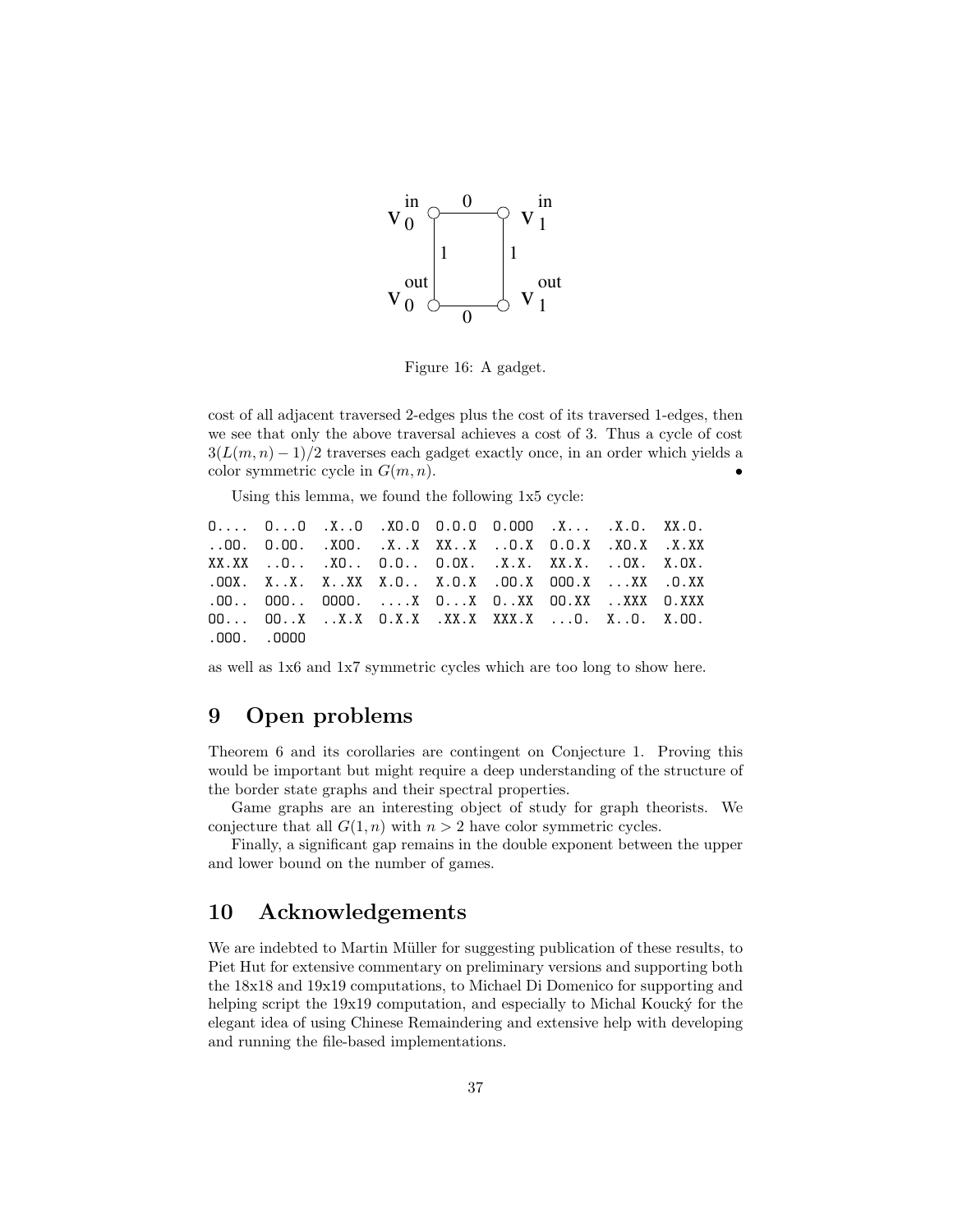

Figure 16: A gadget.

cost of all adjacent traversed 2-edges plus the cost of its traversed 1-edges, then we see that only the above traversal achieves a cost of 3. Thus a cycle of cost  $3(L(m, n) - 1)/2$  traverses each gadget exactly once, in an order which yields a color symmetric cycle in  $G(m, n)$ .

Using this lemma, we found the following 1x5 cycle:

| $0$ 00 .X0 .XD.0 0.0.0 0.000 .X .X.0. XX.0.             |  |  |  |  |
|---------------------------------------------------------|--|--|--|--|
| 00. 0.00. .X00. .XX XXX 0.X 0.0.X .X0.X .X.XX           |  |  |  |  |
| XX.XX 0 .XO 0.0 0.0X. .X.X. XX.X. 0X. X.0X.             |  |  |  |  |
| .00X. XX. XXX X.0 X.0.X .00.X 000.X XX .0.XX            |  |  |  |  |
| $.00.$ . 000 0000. $\ldots$ . 0X 0X 0XX 00.XX XXX 0.XXX |  |  |  |  |
| 00 00X X.X 0.X.X .XX.X XXX.X 0. X0. X.00.               |  |  |  |  |
| .000. .0000                                             |  |  |  |  |

as well as 1x6 and 1x7 symmetric cycles which are too long to show here.

# 9 Open problems

Theorem 6 and its corollaries are contingent on Conjecture 1. Proving this would be important but might require a deep understanding of the structure of the border state graphs and their spectral properties.

Game graphs are an interesting object of study for graph theorists. We conjecture that all  $G(1, n)$  with  $n > 2$  have color symmetric cycles.

Finally, a significant gap remains in the double exponent between the upper and lower bound on the number of games.

# 10 Acknowledgements

We are indebted to Martin Müller for suggesting publication of these results, to Piet Hut for extensive commentary on preliminary versions and supporting both the 18x18 and 19x19 computations, to Michael Di Domenico for supporting and helping script the  $19x19$  computation, and especially to Michal Koucký for the elegant idea of using Chinese Remaindering and extensive help with developing and running the file-based implementations.